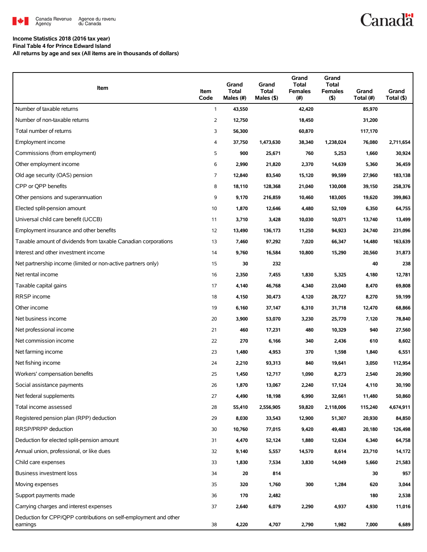

## **Canadä**

### **Income Statistics 2018 (2016 tax year)**

**Final Table 4 for Prince Edward Island All returns by age and sex (All items are in thousands of dollars)**

| Item                                                                         | Item<br>Code | Grand<br>Total<br>Males (#) | Grand<br>Total<br>Males (\$) | Grand<br><b>Total</b><br><b>Females</b><br>(#) | Grand<br><b>Total</b><br><b>Females</b><br>(5) | Grand<br>Total (#) | Grand<br>Total (\$) |
|------------------------------------------------------------------------------|--------------|-----------------------------|------------------------------|------------------------------------------------|------------------------------------------------|--------------------|---------------------|
| Number of taxable returns                                                    | $\mathbf{1}$ | 43,550                      |                              | 42,420                                         |                                                | 85,970             |                     |
| Number of non-taxable returns                                                | 2            | 12,750                      |                              | 18,450                                         |                                                | 31,200             |                     |
| Total number of returns                                                      | 3            | 56,300                      |                              | 60,870                                         |                                                | 117,170            |                     |
| Employment income                                                            | 4            | 37,750                      | 1,473,630                    | 38,340                                         | 1,238,024                                      | 76,080             | 2,711,654           |
| Commissions (from employment)                                                | 5            | 900                         | 25,671                       | 760                                            | 5,253                                          | 1,660              | 30,924              |
| Other employment income                                                      | 6            | 2,990                       | 21,820                       | 2,370                                          | 14,639                                         | 5,360              | 36,459              |
| Old age security (OAS) pension                                               | 7            | 12,840                      | 83,540                       | 15,120                                         | 99,599                                         | 27,960             | 183,138             |
| CPP or QPP benefits                                                          | 8            | 18,110                      | 128,368                      | 21,040                                         | 130,008                                        | 39,150             | 258,376             |
| Other pensions and superannuation                                            | 9            | 9,170                       | 216,859                      | 10,460                                         | 183,005                                        | 19,620             | 399,863             |
| Elected split-pension amount                                                 | 10           | 1,870                       | 12,646                       | 4,480                                          | 52,109                                         | 6,350              | 64,755              |
| Universal child care benefit (UCCB)                                          | 11           | 3,710                       | 3,428                        | 10,030                                         | 10,071                                         | 13,740             | 13,499              |
| Employment insurance and other benefits                                      | 12           | 13,490                      | 136,173                      | 11,250                                         | 94,923                                         | 24,740             | 231,096             |
| Taxable amount of dividends from taxable Canadian corporations               | 13           | 7,460                       | 97,292                       | 7,020                                          | 66,347                                         | 14,480             | 163,639             |
| Interest and other investment income                                         | 14           | 9,760                       | 16,584                       | 10,800                                         | 15,290                                         | 20,560             | 31,873              |
| Net partnership income (limited or non-active partners only)                 | 15           | 30                          | 232                          |                                                |                                                | 40                 | 238                 |
| Net rental income                                                            | 16           | 2,350                       | 7,455                        | 1,830                                          | 5,325                                          | 4,180              | 12,781              |
| Taxable capital gains                                                        | 17           | 4,140                       | 46,768                       | 4,340                                          | 23,040                                         | 8,470              | 69,808              |
| RRSP income                                                                  | 18           | 4,150                       | 30,473                       | 4,120                                          | 28,727                                         | 8,270              | 59,199              |
| Other income                                                                 | 19           | 6,160                       | 37,147                       | 6,310                                          | 31,718                                         | 12,470             | 68,866              |
| Net business income                                                          | 20           | 3,900                       | 53,070                       | 3,230                                          | 25,770                                         | 7,120              | 78,840              |
| Net professional income                                                      | 21           | 460                         | 17,231                       | 480                                            | 10,329                                         | 940                | 27,560              |
| Net commission income                                                        | 22           | 270                         | 6,166                        | 340                                            | 2,436                                          | 610                | 8,602               |
| Net farming income                                                           | 23           | 1,480                       | 4,953                        | 370                                            | 1,598                                          | 1,840              | 6,551               |
| Net fishing income                                                           | 24           | 2,210                       | 93,313                       | 840                                            | 19,641                                         | 3,050              | 112,954             |
| Workers' compensation benefits                                               | 25           | 1,450                       | 12,717                       | 1,090                                          | 8,273                                          | 2,540              | 20,990              |
| Social assistance payments                                                   | 26           | 1,870                       | 13,067                       | 2,240                                          | 17.124                                         | 4,110              | 30,190              |
| Net federal supplements                                                      | 27           | 4,490                       | 18,198                       | 6,990                                          | 32,661                                         | 11,480             | 50,860              |
| Total income assessed                                                        | 28           | 55,410                      | 2,556,905                    | 59,820                                         | 2,118,006                                      | 115,240            | 4,674,911           |
| Registered pension plan (RPP) deduction                                      | 29           | 8,030                       | 33,543                       | 12,900                                         | 51,307                                         | 20,930             | 84,850              |
| RRSP/PRPP deduction                                                          | 30           | 10,760                      | 77,015                       | 9,420                                          | 49,483                                         | 20,180             | 126,498             |
| Deduction for elected split-pension amount                                   | 31           | 4,470                       | 52,124                       | 1,880                                          | 12,634                                         | 6,340              | 64,758              |
| Annual union, professional, or like dues                                     | 32           | 9,140                       | 5,557                        | 14,570                                         | 8,614                                          | 23,710             | 14,172              |
| Child care expenses                                                          | 33           | 1,830                       | 7,534                        | 3,830                                          | 14,049                                         | 5,660              | 21,583              |
| Business investment loss                                                     | 34           | 20                          | 814                          |                                                |                                                | 30                 | 957                 |
| Moving expenses                                                              | 35           | 320                         | 1,760                        | 300                                            | 1,284                                          | 620                | 3,044               |
| Support payments made                                                        | 36           | 170                         | 2,482                        |                                                |                                                | 180                | 2,538               |
| Carrying charges and interest expenses                                       | 37           | 2,640                       | 6,079                        | 2,290                                          | 4,937                                          | 4,930              | 11,016              |
| Deduction for CPP/QPP contributions on self-employment and other<br>earnings | 38           | 4,220                       | 4,707                        | 2,790                                          | 1,982                                          | 7,000              | 6,689               |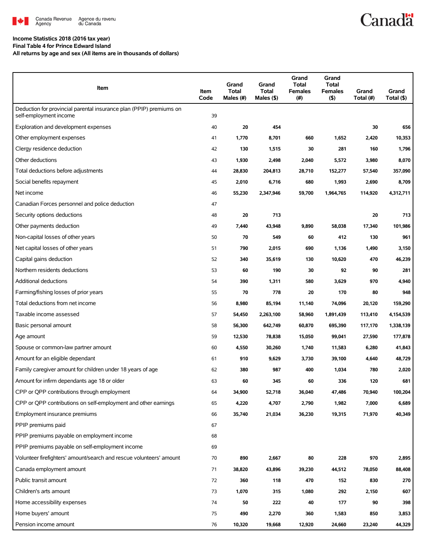

### Agence du revenu<br>du Canada

### **Canadä**

#### **Income Statistics 2018 (2016 tax year)**

**Final Table 4 for Prince Edward Island**

**All returns by age and sex (All items are in thousands of dollars)**

| Item                                                                                          | Item<br>Code | Grand<br>Total<br>Males (#) | Grand<br>Total<br>Males (\$) | Grand<br><b>Total</b><br><b>Females</b><br>(#) | Grand<br><b>Total</b><br><b>Females</b><br>$($ \$) | Grand<br>Total (#) | Grand<br>Total (\$) |
|-----------------------------------------------------------------------------------------------|--------------|-----------------------------|------------------------------|------------------------------------------------|----------------------------------------------------|--------------------|---------------------|
| Deduction for provincial parental insurance plan (PPIP) premiums on<br>self-employment income | 39           |                             |                              |                                                |                                                    |                    |                     |
| Exploration and development expenses                                                          | 40           | 20                          | 454                          |                                                |                                                    | 30                 | 656                 |
| Other employment expenses                                                                     | 41           | 1,770                       | 8,701                        | 660                                            | 1,652                                              | 2,420              | 10,353              |
| Clergy residence deduction                                                                    | 42           | 130                         | 1,515                        | 30                                             | 281                                                | 160                | 1,796               |
| Other deductions                                                                              | 43           | 1,930                       | 2,498                        | 2,040                                          | 5,572                                              | 3,980              | 8,070               |
| Total deductions before adjustments                                                           | 44           | 28,830                      | 204,813                      | 28,710                                         | 152,277                                            | 57,540             | 357,090             |
| Social benefits repayment                                                                     | 45           | 2,010                       | 6,716                        | 680                                            | 1,993                                              | 2,690              | 8,709               |
| Net income                                                                                    | 46           | 55,230                      | 2,347,946                    | 59,700                                         | 1,964,765                                          | 114,920            | 4,312,711           |
| Canadian Forces personnel and police deduction                                                | 47           |                             |                              |                                                |                                                    |                    |                     |
| Security options deductions                                                                   | 48           | 20                          | 713                          |                                                |                                                    | 20                 | 713                 |
| Other payments deduction                                                                      | 49           | 7,440                       | 43,948                       | 9,890                                          | 58,038                                             | 17,340             | 101,986             |
| Non-capital losses of other years                                                             | 50           | 70                          | 549                          | 60                                             | 412                                                | 130                | 961                 |
| Net capital losses of other years                                                             | 51           | 790                         | 2,015                        | 690                                            | 1,136                                              | 1,490              | 3,150               |
| Capital gains deduction                                                                       | 52           | 340                         | 35,619                       | 130                                            | 10,620                                             | 470                | 46,239              |
| Northern residents deductions                                                                 | 53           | 60                          | 190                          | 30                                             | 92                                                 | 90                 | 281                 |
| Additional deductions                                                                         | 54           | 390                         | 1,311                        | 580                                            | 3,629                                              | 970                | 4,940               |
| Farming/fishing losses of prior years                                                         | 55           | 70                          | 778                          | 20                                             | 170                                                | 80                 | 948                 |
| Total deductions from net income                                                              | 56           | 8,980                       | 85,194                       | 11,140                                         | 74,096                                             | 20,120             | 159,290             |
| Taxable income assessed                                                                       | 57           | 54,450                      | 2,263,100                    | 58,960                                         | 1,891,439                                          | 113,410            | 4,154,539           |
| Basic personal amount                                                                         | 58           | 56,300                      | 642,749                      | 60,870                                         | 695,390                                            | 117,170            | 1,338,139           |
| Age amount                                                                                    | 59           | 12,530                      | 78,838                       | 15,050                                         | 99,041                                             | 27,590             | 177,878             |
| Spouse or common-law partner amount                                                           | 60           | 4,550                       | 30,260                       | 1,740                                          | 11,583                                             | 6,280              | 41,843              |
| Amount for an eligible dependant                                                              | 61           | 910                         | 9,629                        | 3,730                                          | 39,100                                             | 4,640              | 48,729              |
| Family caregiver amount for children under 18 years of age                                    | 62           | 380                         | 987                          | 400                                            | 1,034                                              | 780                | 2,020               |
| Amount for infirm dependants age 18 or older                                                  | 63           | 60                          | 345                          | 60                                             | 336                                                | 120                | 681                 |
| CPP or QPP contributions through employment                                                   | 64           | 34,900                      | 52,718                       | 36,040                                         | 47,486                                             | 70,940             | 100,204             |
| CPP or QPP contributions on self-employment and other earnings                                | 65           | 4,220                       | 4,707                        | 2,790                                          | 1,982                                              | 7,000              | 6,689               |
| Employment insurance premiums                                                                 | 66           | 35,740                      | 21,034                       | 36,230                                         | 19,315                                             | 71,970             | 40,349              |
| PPIP premiums paid                                                                            | 67           |                             |                              |                                                |                                                    |                    |                     |
| PPIP premiums payable on employment income                                                    | 68           |                             |                              |                                                |                                                    |                    |                     |
| PPIP premiums payable on self-employment income                                               | 69           |                             |                              |                                                |                                                    |                    |                     |
| Volunteer firefighters' amount/search and rescue volunteers' amount                           | 70           | 890                         | 2,667                        | 80                                             | 228                                                | 970                | 2,895               |
| Canada employment amount                                                                      | 71           | 38,820                      | 43,896                       | 39,230                                         | 44,512                                             | 78,050             | 88,408              |
| Public transit amount                                                                         | 72           | 360                         | 118                          | 470                                            | 152                                                | 830                | 270                 |
| Children's arts amount                                                                        | 73           | 1,070                       | 315                          | 1,080                                          | 292                                                | 2,150              | 607                 |
| Home accessibility expenses                                                                   | 74           | 50                          | 222                          | 40                                             | 177                                                | 90                 | 398                 |
| Home buyers' amount                                                                           | 75           | 490                         | 2,270                        | 360                                            | 1,583                                              | 850                | 3,853               |
| Pension income amount                                                                         | 76           | 10,320                      | 19,668                       | 12,920                                         | 24,660                                             | 23,240             | 44,329              |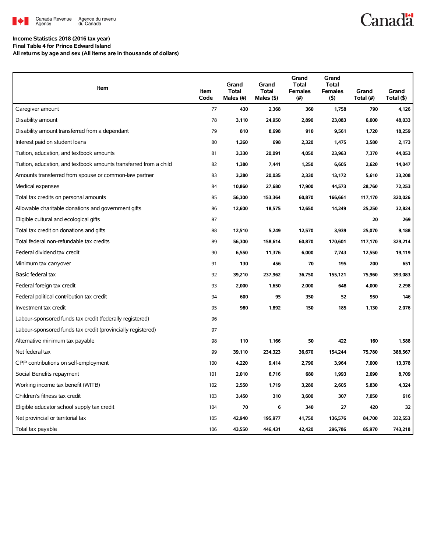

# **Canadä**

#### **Income Statistics 2018 (2016 tax year) Final Table 4 for Prince Edward Island**

**All returns by age and sex (All items are in thousands of dollars)**

| Item                                                              | Item<br>Code | Grand<br><b>Total</b><br>Males (#) | Grand<br><b>Total</b><br>Males (\$) | Grand<br><b>Total</b><br><b>Females</b><br>(#) | Grand<br><b>Total</b><br><b>Females</b><br>(5) | Grand<br>Total (#) | Grand<br>Total (\$) |
|-------------------------------------------------------------------|--------------|------------------------------------|-------------------------------------|------------------------------------------------|------------------------------------------------|--------------------|---------------------|
| Caregiver amount                                                  | 77           | 430                                | 2,368                               | 360                                            | 1,758                                          | 790                | 4,126               |
| Disability amount                                                 | 78           | 3,110                              | 24,950                              | 2,890                                          | 23,083                                         | 6,000              | 48,033              |
| Disability amount transferred from a dependant                    | 79           | 810                                | 8,698                               | 910                                            | 9,561                                          | 1,720              | 18,259              |
| Interest paid on student loans                                    | 80           | 1,260                              | 698                                 | 2,320                                          | 1,475                                          | 3,580              | 2,173               |
| Tuition, education, and textbook amounts                          | 81           | 3,330                              | 20,091                              | 4,050                                          | 23,963                                         | 7,370              | 44,053              |
| Tuition, education, and textbook amounts transferred from a child | 82           | 1,380                              | 7,441                               | 1,250                                          | 6,605                                          | 2,620              | 14,047              |
| Amounts transferred from spouse or common-law partner             | 83           | 3,280                              | 20,035                              | 2,330                                          | 13,172                                         | 5,610              | 33,208              |
| Medical expenses                                                  | 84           | 10,860                             | 27,680                              | 17,900                                         | 44,573                                         | 28,760             | 72,253              |
| Total tax credits on personal amounts                             | 85           | 56,300                             | 153,364                             | 60,870                                         | 166,661                                        | 117,170            | 320,026             |
| Allowable charitable donations and government gifts               | 86           | 12,600                             | 18,575                              | 12,650                                         | 14,249                                         | 25,250             | 32,824              |
| Eligible cultural and ecological gifts                            | 87           |                                    |                                     |                                                |                                                | 20                 | 269                 |
| Total tax credit on donations and gifts                           | 88           | 12,510                             | 5,249                               | 12,570                                         | 3,939                                          | 25,070             | 9,188               |
| Total federal non-refundable tax credits                          | 89           | 56,300                             | 158,614                             | 60,870                                         | 170,601                                        | 117,170            | 329,214             |
| Federal dividend tax credit                                       | 90           | 6,550                              | 11,376                              | 6,000                                          | 7,743                                          | 12,550             | 19.119              |
| Minimum tax carryover                                             | 91           | 130                                | 456                                 | 70                                             | 195                                            | 200                | 651                 |
| Basic federal tax                                                 | 92           | 39,210                             | 237,962                             | 36,750                                         | 155,121                                        | 75,960             | 393,083             |
| Federal foreign tax credit                                        | 93           | 2,000                              | 1,650                               | 2,000                                          | 648                                            | 4,000              | 2,298               |
| Federal political contribution tax credit                         | 94           | 600                                | 95                                  | 350                                            | 52                                             | 950                | 146                 |
| Investment tax credit                                             | 95           | 980                                | 1,892                               | 150                                            | 185                                            | 1,130              | 2,076               |
| Labour-sponsored funds tax credit (federally registered)          | 96           |                                    |                                     |                                                |                                                |                    |                     |
| Labour-sponsored funds tax credit (provincially registered)       | 97           |                                    |                                     |                                                |                                                |                    |                     |
| Alternative minimum tax payable                                   | 98           | 110                                | 1,166                               | 50                                             | 422                                            | 160                | 1,588               |
| Net federal tax                                                   | 99           | 39,110                             | 234,323                             | 36,670                                         | 154,244                                        | 75,780             | 388,567             |
| CPP contributions on self-employment                              | 100          | 4,220                              | 9,414                               | 2,790                                          | 3,964                                          | 7,000              | 13,378              |
| Social Benefits repayment                                         | 101          | 2,010                              | 6,716                               | 680                                            | 1,993                                          | 2,690              | 8,709               |
| Working income tax benefit (WITB)                                 | 102          | 2,550                              | 1,719                               | 3,280                                          | 2,605                                          | 5,830              | 4,324               |
| Children's fitness tax credit                                     | 103          | 3,450                              | 310                                 | 3,600                                          | 307                                            | 7,050              | 616                 |
| Eligible educator school supply tax credit                        | 104          | 70                                 | 6                                   | 340                                            | 27                                             | 420                | 32                  |
| Net provincial or territorial tax                                 | 105          | 42,940                             | 195,977                             | 41,750                                         | 136,576                                        | 84,700             | 332,553             |
| Total tax payable                                                 | 106          | 43.550                             | 446,431                             | 42,420                                         | 296,786                                        | 85,970             | 743,218             |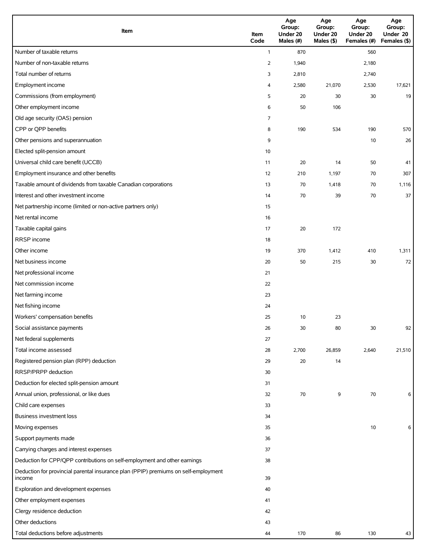| Item                                                                                          | Item<br>Code   | Age<br>Group:<br>Under 20<br>Males (#) | Age<br>Group:<br>Under 20<br>Males (\$) | Age<br>Group:<br>Under 20<br>Females (#) | Age<br>Group:<br>Under 20<br>Females (\$) |
|-----------------------------------------------------------------------------------------------|----------------|----------------------------------------|-----------------------------------------|------------------------------------------|-------------------------------------------|
| Number of taxable returns                                                                     | $\mathbf{1}$   | 870                                    |                                         | 560                                      |                                           |
| Number of non-taxable returns                                                                 | $\overline{2}$ | 1,940                                  |                                         | 2,180                                    |                                           |
| Total number of returns                                                                       | 3              | 2,810                                  |                                         | 2,740                                    |                                           |
| Employment income                                                                             | 4              | 2,580                                  | 21,070                                  | 2,530                                    | 17,621                                    |
| Commissions (from employment)                                                                 | 5              | 20                                     | 30                                      | 30                                       | 19                                        |
| Other employment income                                                                       | 6              | 50                                     | 106                                     |                                          |                                           |
| Old age security (OAS) pension                                                                | 7              |                                        |                                         |                                          |                                           |
| CPP or QPP benefits                                                                           | 8              | 190                                    | 534                                     | 190                                      | 570                                       |
| Other pensions and superannuation                                                             | 9              |                                        |                                         | 10                                       | 26                                        |
| Elected split-pension amount                                                                  | 10             |                                        |                                         |                                          |                                           |
| Universal child care benefit (UCCB)                                                           | 11             | 20                                     | 14                                      | 50                                       | 41                                        |
| Employment insurance and other benefits                                                       | 12             | 210                                    | 1,197                                   | 70                                       | 307                                       |
| Taxable amount of dividends from taxable Canadian corporations                                | 13             | 70                                     | 1,418                                   | 70                                       | 1,116                                     |
| Interest and other investment income                                                          | 14             | 70                                     | 39                                      | 70                                       | 37                                        |
| Net partnership income (limited or non-active partners only)                                  | 15             |                                        |                                         |                                          |                                           |
| Net rental income                                                                             | 16             |                                        |                                         |                                          |                                           |
| Taxable capital gains                                                                         | 17             | 20                                     | 172                                     |                                          |                                           |
| RRSP income                                                                                   | 18             |                                        |                                         |                                          |                                           |
| Other income                                                                                  | 19             | 370                                    | 1,412                                   | 410                                      | 1,311                                     |
| Net business income                                                                           | 20             | 50                                     | 215                                     | 30                                       | 72                                        |
| Net professional income                                                                       | 21             |                                        |                                         |                                          |                                           |
| Net commission income                                                                         | 22             |                                        |                                         |                                          |                                           |
| Net farming income                                                                            | 23             |                                        |                                         |                                          |                                           |
| Net fishing income                                                                            | 24             |                                        |                                         |                                          |                                           |
| Workers' compensation benefits                                                                | 25             | 10                                     | 23                                      |                                          |                                           |
| Social assistance payments                                                                    | 26             | $30\,$                                 | 80                                      | 30                                       | 92                                        |
| Net federal supplements                                                                       | 27             |                                        |                                         |                                          |                                           |
| Total income assessed                                                                         | 28             | 2,700                                  | 26,859                                  | 2,640                                    | 21,510                                    |
| Registered pension plan (RPP) deduction                                                       | 29             | 20                                     | 14                                      |                                          |                                           |
| RRSP/PRPP deduction                                                                           | 30             |                                        |                                         |                                          |                                           |
| Deduction for elected split-pension amount                                                    | 31             |                                        |                                         |                                          |                                           |
| Annual union, professional, or like dues                                                      | 32             | 70                                     | 9                                       | 70                                       | 6                                         |
| Child care expenses                                                                           | 33             |                                        |                                         |                                          |                                           |
| Business investment loss                                                                      | 34             |                                        |                                         |                                          |                                           |
| Moving expenses                                                                               | 35             |                                        |                                         | 10                                       | 6                                         |
| Support payments made                                                                         | 36             |                                        |                                         |                                          |                                           |
| Carrying charges and interest expenses                                                        | 37             |                                        |                                         |                                          |                                           |
| Deduction for CPP/QPP contributions on self-employment and other earnings                     | 38             |                                        |                                         |                                          |                                           |
| Deduction for provincial parental insurance plan (PPIP) premiums on self-employment<br>income | 39             |                                        |                                         |                                          |                                           |
| Exploration and development expenses                                                          | 40             |                                        |                                         |                                          |                                           |
| Other employment expenses                                                                     | 41             |                                        |                                         |                                          |                                           |
| Clergy residence deduction                                                                    | 42             |                                        |                                         |                                          |                                           |
| Other deductions                                                                              | 43             |                                        |                                         |                                          |                                           |
| Total deductions before adjustments                                                           | 44             | 170                                    | 86                                      | 130                                      | 43                                        |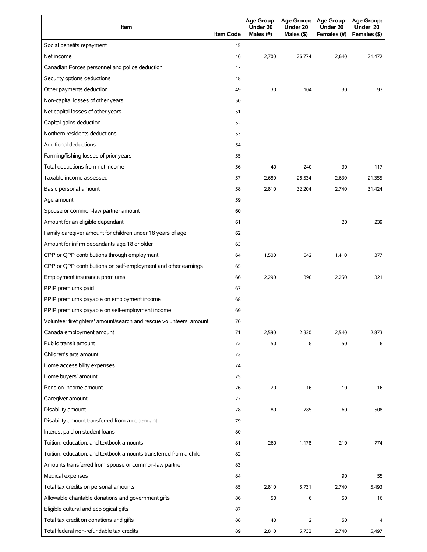| Item                                                                | <b>Item Code</b> | Under 20<br>Males (#) | Under 20<br>Males $(\$)$ | Age Group: Age Group: Age Group: Age Group:<br>Under 20<br>Females (#) | Under 20<br>Females (\$) |
|---------------------------------------------------------------------|------------------|-----------------------|--------------------------|------------------------------------------------------------------------|--------------------------|
| Social benefits repayment                                           | 45               |                       |                          |                                                                        |                          |
| Net income                                                          | 46               | 2,700                 | 26,774                   | 2,640                                                                  | 21,472                   |
| Canadian Forces personnel and police deduction                      | 47               |                       |                          |                                                                        |                          |
| Security options deductions                                         | 48               |                       |                          |                                                                        |                          |
| Other payments deduction                                            | 49               | 30                    | 104                      | 30                                                                     | 93                       |
| Non-capital losses of other years                                   | 50               |                       |                          |                                                                        |                          |
| Net capital losses of other years                                   | 51               |                       |                          |                                                                        |                          |
| Capital gains deduction                                             | 52               |                       |                          |                                                                        |                          |
| Northern residents deductions                                       | 53               |                       |                          |                                                                        |                          |
| <b>Additional deductions</b>                                        | 54               |                       |                          |                                                                        |                          |
| Farming/fishing losses of prior years                               | 55               |                       |                          |                                                                        |                          |
| Total deductions from net income                                    | 56               | 40                    | 240                      | 30                                                                     | 117                      |
| Taxable income assessed                                             | 57               | 2,680                 | 26,534                   | 2,630                                                                  | 21,355                   |
| Basic personal amount                                               | 58               | 2,810                 | 32,204                   | 2,740                                                                  | 31,424                   |
| Age amount                                                          | 59               |                       |                          |                                                                        |                          |
| Spouse or common-law partner amount                                 | 60               |                       |                          |                                                                        |                          |
| Amount for an eligible dependant                                    | 61               |                       |                          | 20                                                                     | 239                      |
| Family caregiver amount for children under 18 years of age          | 62               |                       |                          |                                                                        |                          |
| Amount for infirm dependants age 18 or older                        | 63               |                       |                          |                                                                        |                          |
| CPP or QPP contributions through employment                         | 64               | 1,500                 | 542                      | 1,410                                                                  | 377                      |
| CPP or QPP contributions on self-employment and other earnings      | 65               |                       |                          |                                                                        |                          |
| Employment insurance premiums                                       | 66               | 2,290                 | 390                      | 2,250                                                                  | 321                      |
| PPIP premiums paid                                                  | 67               |                       |                          |                                                                        |                          |
| PPIP premiums payable on employment income                          | 68               |                       |                          |                                                                        |                          |
| PPIP premiums payable on self-employment income                     | 69               |                       |                          |                                                                        |                          |
| Volunteer firefighters' amount/search and rescue volunteers' amount | 70               |                       |                          |                                                                        |                          |
| Canada employment amount                                            | 71               | 2,590                 | 2,930                    | 2,540                                                                  | 2,873                    |
| Public transit amount                                               | 72               | 50                    | 8                        | 50                                                                     | 8                        |
| Children's arts amount                                              | 73               |                       |                          |                                                                        |                          |
| Home accessibility expenses                                         | 74               |                       |                          |                                                                        |                          |
| Home buyers' amount                                                 | 75               |                       |                          |                                                                        |                          |
| Pension income amount                                               | 76               | 20                    | 16                       | 10                                                                     | 16                       |
| Caregiver amount                                                    | 77               |                       |                          |                                                                        |                          |
| Disability amount                                                   | 78               | 80                    | 785                      | 60                                                                     | 508                      |
| Disability amount transferred from a dependant                      | 79               |                       |                          |                                                                        |                          |
| Interest paid on student loans                                      | 80               |                       |                          |                                                                        |                          |
| Tuition, education, and textbook amounts                            | 81               | 260                   | 1,178                    | 210                                                                    | 774                      |
| Tuition, education, and textbook amounts transferred from a child   | 82               |                       |                          |                                                                        |                          |
| Amounts transferred from spouse or common-law partner               | 83               |                       |                          |                                                                        |                          |
| Medical expenses                                                    | 84               |                       |                          | 90                                                                     | 55                       |
| Total tax credits on personal amounts                               | 85               | 2,810                 | 5,731                    | 2,740                                                                  | 5,493                    |
| Allowable charitable donations and government gifts                 | 86               | 50                    | 6                        | 50                                                                     | 16                       |
| Eligible cultural and ecological gifts                              | 87               |                       |                          |                                                                        |                          |
| Total tax credit on donations and gifts                             | 88               | 40                    | $\overline{2}$           | 50                                                                     | 4                        |
| Total federal non-refundable tax credits                            | 89               | 2,810                 | 5,732                    | 2,740                                                                  | 5,497                    |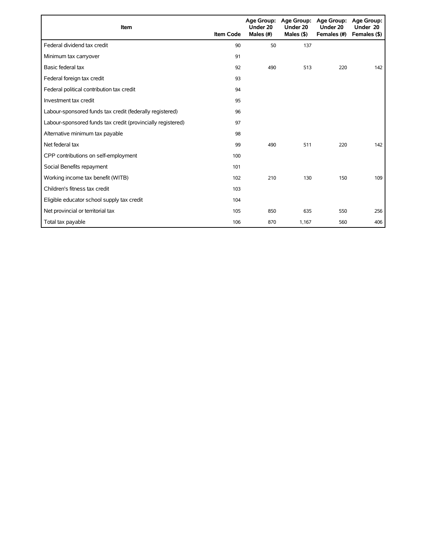| Item                                                        | <b>Item Code</b> | Under 20<br>Males (#) | Age Group: Age Group:<br>Under 20<br>Males $($ \$ $)$ | Age Group:<br>Under 20<br>Females (#) | Age Group:<br>Under 20<br>Females (\$) |
|-------------------------------------------------------------|------------------|-----------------------|-------------------------------------------------------|---------------------------------------|----------------------------------------|
| Federal dividend tax credit                                 | 90               | 50                    | 137                                                   |                                       |                                        |
| Minimum tax carryover                                       | 91               |                       |                                                       |                                       |                                        |
| Basic federal tax                                           | 92               | 490                   | 513                                                   | 220                                   | 142                                    |
| Federal foreign tax credit                                  | 93               |                       |                                                       |                                       |                                        |
| Federal political contribution tax credit                   | 94               |                       |                                                       |                                       |                                        |
| Investment tax credit                                       | 95               |                       |                                                       |                                       |                                        |
| Labour-sponsored funds tax credit (federally registered)    | 96               |                       |                                                       |                                       |                                        |
| Labour-sponsored funds tax credit (provincially registered) | 97               |                       |                                                       |                                       |                                        |
| Alternative minimum tax payable                             | 98               |                       |                                                       |                                       |                                        |
| Net federal tax                                             | 99               | 490                   | 511                                                   | 220                                   | 142                                    |
| CPP contributions on self-employment                        | 100              |                       |                                                       |                                       |                                        |
| Social Benefits repayment                                   | 101              |                       |                                                       |                                       |                                        |
| Working income tax benefit (WITB)                           | 102              | 210                   | 130                                                   | 150                                   | 109                                    |
| Children's fitness tax credit                               | 103              |                       |                                                       |                                       |                                        |
| Eligible educator school supply tax credit                  | 104              |                       |                                                       |                                       |                                        |
| Net provincial or territorial tax                           | 105              | 850                   | 635                                                   | 550                                   | 256                                    |
| Total tax payable                                           | 106              | 870                   | 1,167                                                 | 560                                   | 406                                    |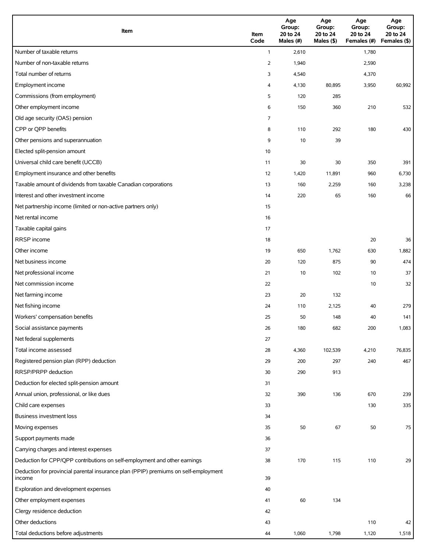| Item                                                                                          | Item<br>Code   | Age<br>Group:<br>20 to 24<br>Males (#) | Age<br>Group:<br>20 to 24<br>Males (\$) | Age<br>Group:<br>20 to 24<br>Females (#) | Age<br>Group:<br>20 to 24<br>Females (\$) |
|-----------------------------------------------------------------------------------------------|----------------|----------------------------------------|-----------------------------------------|------------------------------------------|-------------------------------------------|
| Number of taxable returns                                                                     | $\mathbf{1}$   | 2,610                                  |                                         | 1,780                                    |                                           |
| Number of non-taxable returns                                                                 | $\overline{2}$ | 1,940                                  |                                         | 2,590                                    |                                           |
| Total number of returns                                                                       | 3              | 4,540                                  |                                         | 4,370                                    |                                           |
| Employment income                                                                             | 4              | 4,130                                  | 80,895                                  | 3,950                                    | 60,992                                    |
| Commissions (from employment)                                                                 | 5              | 120                                    | 285                                     |                                          |                                           |
| Other employment income                                                                       | 6              | 150                                    | 360                                     | 210                                      | 532                                       |
| Old age security (OAS) pension                                                                | 7              |                                        |                                         |                                          |                                           |
| CPP or QPP benefits                                                                           | 8              | 110                                    | 292                                     | 180                                      | 430                                       |
| Other pensions and superannuation                                                             | 9              | 10                                     | 39                                      |                                          |                                           |
| Elected split-pension amount                                                                  | 10             |                                        |                                         |                                          |                                           |
| Universal child care benefit (UCCB)                                                           | 11             | 30                                     | 30                                      | 350                                      | 391                                       |
| Employment insurance and other benefits                                                       | 12             | 1,420                                  | 11,891                                  | 960                                      | 6,730                                     |
| Taxable amount of dividends from taxable Canadian corporations                                | 13             | 160                                    | 2,259                                   | 160                                      | 3,238                                     |
| Interest and other investment income                                                          | 14             | 220                                    | 65                                      | 160                                      | 66                                        |
| Net partnership income (limited or non-active partners only)                                  | 15             |                                        |                                         |                                          |                                           |
| Net rental income                                                                             | 16             |                                        |                                         |                                          |                                           |
| Taxable capital gains                                                                         | 17             |                                        |                                         |                                          |                                           |
| <b>RRSP</b> income                                                                            | 18             |                                        |                                         | 20                                       | 36                                        |
| Other income                                                                                  | 19             | 650                                    | 1,762                                   | 630                                      | 1,882                                     |
| Net business income                                                                           | 20             | 120                                    | 875                                     | 90                                       | 474                                       |
| Net professional income                                                                       | 21             | 10                                     | 102                                     | 10                                       | 37                                        |
| Net commission income                                                                         | 22             |                                        |                                         | 10                                       | 32                                        |
| Net farming income                                                                            | 23             | 20                                     | 132                                     |                                          |                                           |
| Net fishing income                                                                            | 24             | 110                                    | 2,125                                   | 40                                       | 279                                       |
| Workers' compensation benefits                                                                | 25             | 50                                     | 148                                     | 40                                       | 141                                       |
| Social assistance payments                                                                    | 26             | 180                                    | 682                                     | 200                                      | 1,083                                     |
| Net federal supplements                                                                       | 27             |                                        |                                         |                                          |                                           |
| Total income assessed                                                                         | 28             | 4,360                                  | 102,539                                 | 4,210                                    | 76,835                                    |
| Registered pension plan (RPP) deduction                                                       | 29             | 200                                    | 297                                     | 240                                      | 467                                       |
| RRSP/PRPP deduction                                                                           | 30             | 290                                    | 913                                     |                                          |                                           |
| Deduction for elected split-pension amount                                                    | 31             |                                        |                                         |                                          |                                           |
| Annual union, professional, or like dues                                                      | 32             | 390                                    | 136                                     | 670                                      | 239                                       |
| Child care expenses                                                                           | 33             |                                        |                                         | 130                                      | 335                                       |
| Business investment loss                                                                      | 34             |                                        |                                         |                                          |                                           |
| Moving expenses                                                                               | 35             | 50                                     | 67                                      | 50                                       | 75                                        |
| Support payments made                                                                         | 36             |                                        |                                         |                                          |                                           |
| Carrying charges and interest expenses                                                        | 37             |                                        |                                         |                                          |                                           |
| Deduction for CPP/QPP contributions on self-employment and other earnings                     | 38             | 170                                    | 115                                     | 110                                      | 29                                        |
| Deduction for provincial parental insurance plan (PPIP) premiums on self-employment<br>income | 39             |                                        |                                         |                                          |                                           |
| Exploration and development expenses                                                          | 40             |                                        |                                         |                                          |                                           |
| Other employment expenses                                                                     | 41             | 60                                     | 134                                     |                                          |                                           |
| Clergy residence deduction                                                                    | 42             |                                        |                                         |                                          |                                           |
| Other deductions                                                                              | 43             |                                        |                                         | 110                                      | 42                                        |
| Total deductions before adjustments                                                           | 44             | 1,060                                  | 1,798                                   | 1,120                                    | 1,518                                     |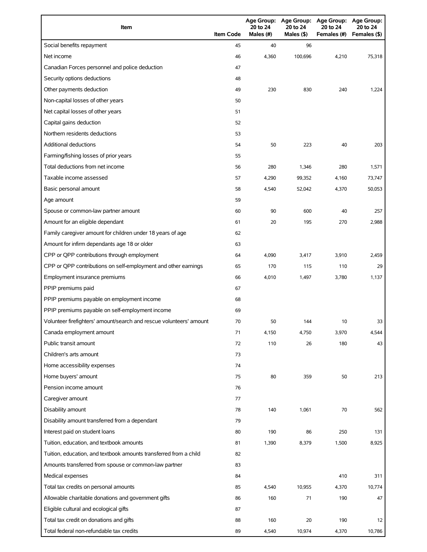| Item                                                                | <b>Item Code</b> | 20 to 24<br>Males (#) | 20 to 24<br>Males $(§)$ | Age Group: Age Group: Age Group: Age Group:<br>20 to 24<br>Females (#) | 20 to 24<br>Females (\$) |
|---------------------------------------------------------------------|------------------|-----------------------|-------------------------|------------------------------------------------------------------------|--------------------------|
| Social benefits repayment                                           | 45               | 40                    | 96                      |                                                                        |                          |
| Net income                                                          | 46               | 4,360                 | 100,696                 | 4,210                                                                  | 75,318                   |
| Canadian Forces personnel and police deduction                      | 47               |                       |                         |                                                                        |                          |
| Security options deductions                                         | 48               |                       |                         |                                                                        |                          |
| Other payments deduction                                            | 49               | 230                   | 830                     | 240                                                                    | 1,224                    |
| Non-capital losses of other years                                   | 50               |                       |                         |                                                                        |                          |
| Net capital losses of other years                                   | 51               |                       |                         |                                                                        |                          |
| Capital gains deduction                                             | 52               |                       |                         |                                                                        |                          |
| Northern residents deductions                                       | 53               |                       |                         |                                                                        |                          |
| <b>Additional deductions</b>                                        | 54               | 50                    | 223                     | 40                                                                     | 203                      |
| Farming/fishing losses of prior years                               | 55               |                       |                         |                                                                        |                          |
| Total deductions from net income                                    | 56               | 280                   | 1,346                   | 280                                                                    | 1,571                    |
| Taxable income assessed                                             | 57               | 4,290                 | 99,352                  | 4,160                                                                  | 73,747                   |
| Basic personal amount                                               | 58               | 4,540                 | 52,042                  | 4,370                                                                  | 50,053                   |
| Age amount                                                          | 59               |                       |                         |                                                                        |                          |
| Spouse or common-law partner amount                                 | 60               | 90                    | 600                     | 40                                                                     | 257                      |
| Amount for an eligible dependant                                    | 61               | 20                    | 195                     | 270                                                                    | 2,988                    |
| Family caregiver amount for children under 18 years of age          | 62               |                       |                         |                                                                        |                          |
| Amount for infirm dependants age 18 or older                        | 63               |                       |                         |                                                                        |                          |
| CPP or QPP contributions through employment                         | 64               | 4,090                 | 3,417                   | 3,910                                                                  | 2,459                    |
| CPP or QPP contributions on self-employment and other earnings      | 65               | 170                   | 115                     | 110                                                                    | 29                       |
| Employment insurance premiums                                       | 66               | 4,010                 | 1,497                   | 3,780                                                                  | 1,137                    |
| PPIP premiums paid                                                  | 67               |                       |                         |                                                                        |                          |
| PPIP premiums payable on employment income                          | 68               |                       |                         |                                                                        |                          |
| PPIP premiums payable on self-employment income                     | 69               |                       |                         |                                                                        |                          |
| Volunteer firefighters' amount/search and rescue volunteers' amount | 70               | 50                    | 144                     | 10                                                                     | 33                       |
| Canada employment amount                                            | 71               | 4,150                 | 4,750                   | 3,970                                                                  | 4,544                    |
| Public transit amount                                               | 72               | 110                   | 26                      | 180                                                                    | 43                       |
| Children's arts amount                                              | 73               |                       |                         |                                                                        |                          |
| Home accessibility expenses                                         | 74               |                       |                         |                                                                        |                          |
| Home buyers' amount                                                 | 75               | 80                    | 359                     | 50                                                                     | 213                      |
| Pension income amount                                               | 76               |                       |                         |                                                                        |                          |
| Caregiver amount                                                    | 77               |                       |                         |                                                                        |                          |
| Disability amount                                                   | 78               | 140                   | 1,061                   | 70                                                                     | 562                      |
| Disability amount transferred from a dependant                      | 79               |                       |                         |                                                                        |                          |
| Interest paid on student loans                                      | 80               | 190                   | 86                      | 250                                                                    | 131                      |
| Tuition, education, and textbook amounts                            | 81               | 1,390                 | 8,379                   | 1,500                                                                  | 8,925                    |
| Tuition, education, and textbook amounts transferred from a child   | 82               |                       |                         |                                                                        |                          |
| Amounts transferred from spouse or common-law partner               | 83               |                       |                         |                                                                        |                          |
| Medical expenses                                                    | 84               |                       |                         | 410                                                                    | 311                      |
| Total tax credits on personal amounts                               | 85               | 4,540                 | 10,955                  | 4,370                                                                  | 10,774                   |
| Allowable charitable donations and government gifts                 | 86               | 160                   | 71                      | 190                                                                    | 47                       |
| Eligible cultural and ecological gifts                              | 87               |                       |                         |                                                                        |                          |
| Total tax credit on donations and gifts                             | 88               | 160                   | 20                      | 190                                                                    | 12                       |
| Total federal non-refundable tax credits                            | 89               | 4,540                 | 10,974                  | 4,370                                                                  | 10,786                   |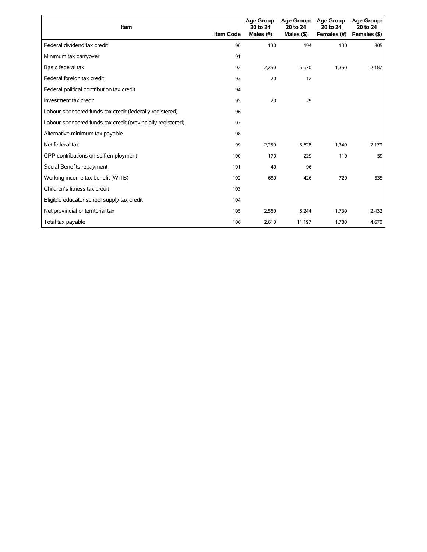| Item                                                        | <b>Item Code</b> | 20 to 24<br>Males (#) | Age Group: Age Group:<br>20 to 24<br>Males $($ \$ $)$ | Age Group:<br>20 to 24<br>Females (#) | Age Group:<br>20 to 24<br>Females (\$) |
|-------------------------------------------------------------|------------------|-----------------------|-------------------------------------------------------|---------------------------------------|----------------------------------------|
| Federal dividend tax credit                                 | 90               | 130                   | 194                                                   | 130                                   | 305                                    |
| Minimum tax carryover                                       | 91               |                       |                                                       |                                       |                                        |
| Basic federal tax                                           | 92               | 2,250                 | 5,670                                                 | 1,350                                 | 2,187                                  |
| Federal foreign tax credit                                  | 93               | 20                    | 12                                                    |                                       |                                        |
| Federal political contribution tax credit                   | 94               |                       |                                                       |                                       |                                        |
| Investment tax credit                                       | 95               | 20                    | 29                                                    |                                       |                                        |
| Labour-sponsored funds tax credit (federally registered)    | 96               |                       |                                                       |                                       |                                        |
| Labour-sponsored funds tax credit (provincially registered) | 97               |                       |                                                       |                                       |                                        |
| Alternative minimum tax payable                             | 98               |                       |                                                       |                                       |                                        |
| Net federal tax                                             | 99               | 2,250                 | 5,628                                                 | 1,340                                 | 2,179                                  |
| CPP contributions on self-employment                        | 100              | 170                   | 229                                                   | 110                                   | 59                                     |
| Social Benefits repayment                                   | 101              | 40                    | 96                                                    |                                       |                                        |
| Working income tax benefit (WITB)                           | 102              | 680                   | 426                                                   | 720                                   | 535                                    |
| Children's fitness tax credit                               | 103              |                       |                                                       |                                       |                                        |
| Eligible educator school supply tax credit                  | 104              |                       |                                                       |                                       |                                        |
| Net provincial or territorial tax                           | 105              | 2,560                 | 5,244                                                 | 1,730                                 | 2,432                                  |
| Total tax payable                                           | 106              | 2,610                 | 11,197                                                | 1,780                                 | 4,670                                  |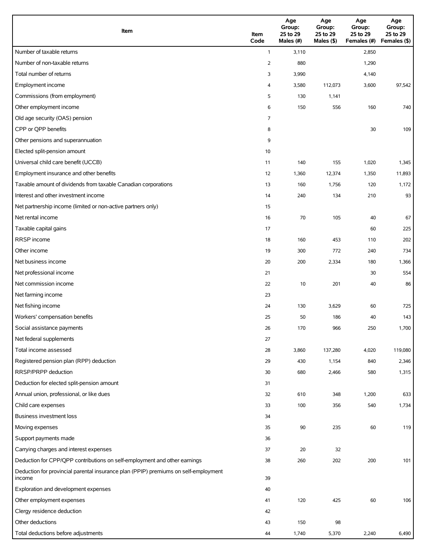| Item                                                                                          | Item<br>Code | Age<br>Group:<br>25 to 29<br>Males (#) | Age<br>Group:<br>25 to 29<br>Males (\$) | Age<br>Group:<br>25 to 29<br>Females (#) | Age<br>Group:<br>25 to 29<br>Females (\$) |
|-----------------------------------------------------------------------------------------------|--------------|----------------------------------------|-----------------------------------------|------------------------------------------|-------------------------------------------|
| Number of taxable returns                                                                     | $\mathbf{1}$ | 3,110                                  |                                         | 2,850                                    |                                           |
| Number of non-taxable returns                                                                 | 2            | 880                                    |                                         | 1,290                                    |                                           |
| Total number of returns                                                                       | 3            | 3,990                                  |                                         | 4,140                                    |                                           |
| Employment income                                                                             | 4            | 3,580                                  | 112,073                                 | 3,600                                    | 97,542                                    |
| Commissions (from employment)                                                                 | 5            | 130                                    | 1,141                                   |                                          |                                           |
| Other employment income                                                                       | 6            | 150                                    | 556                                     | 160                                      | 740                                       |
| Old age security (OAS) pension                                                                | 7            |                                        |                                         |                                          |                                           |
| CPP or QPP benefits                                                                           | 8            |                                        |                                         | 30                                       | 109                                       |
| Other pensions and superannuation                                                             | 9            |                                        |                                         |                                          |                                           |
| Elected split-pension amount                                                                  | 10           |                                        |                                         |                                          |                                           |
| Universal child care benefit (UCCB)                                                           | 11           | 140                                    | 155                                     | 1,020                                    | 1,345                                     |
| Employment insurance and other benefits                                                       | 12           | 1,360                                  | 12,374                                  | 1,350                                    | 11,893                                    |
| Taxable amount of dividends from taxable Canadian corporations                                | 13           | 160                                    | 1,756                                   | 120                                      | 1,172                                     |
| Interest and other investment income                                                          | 14           | 240                                    | 134                                     | 210                                      | 93                                        |
| Net partnership income (limited or non-active partners only)                                  | 15           |                                        |                                         |                                          |                                           |
| Net rental income                                                                             | 16           | 70                                     | 105                                     | 40                                       | 67                                        |
| Taxable capital gains                                                                         | 17           |                                        |                                         | 60                                       | 225                                       |
| <b>RRSP</b> income                                                                            | 18           | 160                                    | 453                                     | 110                                      | 202                                       |
| Other income                                                                                  | 19           | 300                                    | 772                                     | 240                                      | 734                                       |
| Net business income                                                                           | 20           | 200                                    | 2,334                                   | 180                                      | 1,366                                     |
| Net professional income                                                                       | 21           |                                        |                                         | 30                                       | 554                                       |
| Net commission income                                                                         | 22           | 10                                     | 201                                     | 40                                       | 86                                        |
| Net farming income                                                                            | 23           |                                        |                                         |                                          |                                           |
| Net fishing income                                                                            | 24           | 130                                    | 3,629                                   | 60                                       | 725                                       |
| Workers' compensation benefits                                                                | 25           | 50                                     | 186                                     | 40                                       | 143                                       |
| Social assistance payments                                                                    | 26           | 170                                    | 966                                     | 250                                      | 1,700                                     |
| Net federal supplements                                                                       | 27           |                                        |                                         |                                          |                                           |
| Total income assessed                                                                         | 28           | 3,860                                  | 137,280                                 | 4,020                                    | 119,080                                   |
| Registered pension plan (RPP) deduction                                                       | 29           | 430                                    | 1,154                                   | 840                                      | 2,346                                     |
| RRSP/PRPP deduction                                                                           | 30           | 680                                    | 2,466                                   | 580                                      | 1,315                                     |
| Deduction for elected split-pension amount                                                    | 31           |                                        |                                         |                                          |                                           |
| Annual union, professional, or like dues                                                      | 32           | 610                                    | 348                                     | 1,200                                    | 633                                       |
| Child care expenses                                                                           | 33           | 100                                    | 356                                     | 540                                      | 1,734                                     |
| Business investment loss                                                                      | 34           |                                        |                                         |                                          |                                           |
| Moving expenses                                                                               | 35           | 90                                     | 235                                     | 60                                       | 119                                       |
| Support payments made                                                                         | 36           |                                        |                                         |                                          |                                           |
| Carrying charges and interest expenses                                                        | 37           | 20                                     | 32                                      |                                          |                                           |
| Deduction for CPP/QPP contributions on self-employment and other earnings                     | 38           | 260                                    | 202                                     | 200                                      | 101                                       |
| Deduction for provincial parental insurance plan (PPIP) premiums on self-employment<br>income | 39           |                                        |                                         |                                          |                                           |
| Exploration and development expenses                                                          | 40           |                                        |                                         |                                          |                                           |
| Other employment expenses                                                                     | 41           | 120                                    | 425                                     | 60                                       | 106                                       |
| Clergy residence deduction                                                                    | 42           |                                        |                                         |                                          |                                           |
| Other deductions                                                                              | 43           | 150                                    | 98                                      |                                          |                                           |
| Total deductions before adjustments                                                           | 44           | 1,740                                  | 5,370                                   | 2,240                                    | 6,490                                     |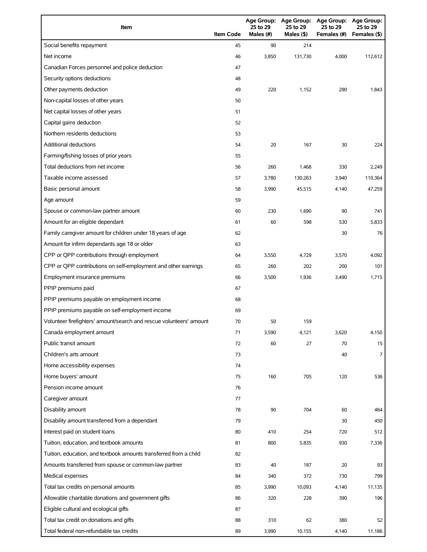| Item                                                                | <b>Item Code</b> | <b>Age Group:</b><br>25 to 29<br>Males (#) | <b>Age Group:</b><br>25 to 29<br>Males (\$) | Age Group:<br>25 to 29<br>Females (#) | <b>Age Group:</b><br>25 to 29<br>Females (\$) |
|---------------------------------------------------------------------|------------------|--------------------------------------------|---------------------------------------------|---------------------------------------|-----------------------------------------------|
| Social benefits repayment                                           | 45               | 90                                         | 214                                         |                                       |                                               |
| Net income                                                          | 46               | 3,850                                      | 131,730                                     | 4,000                                 | 112,612                                       |
| Canadian Forces personnel and police deduction                      | 47               |                                            |                                             |                                       |                                               |
| Security options deductions                                         | 48               |                                            |                                             |                                       |                                               |
| Other payments deduction                                            | 49               | 220                                        | 1,152                                       | 290                                   | 1,843                                         |
| Non-capital losses of other years                                   | 50               |                                            |                                             |                                       |                                               |
| Net capital losses of other years                                   | 51               |                                            |                                             |                                       |                                               |
| Capital gains deduction                                             | 52               |                                            |                                             |                                       |                                               |
| Northern residents deductions                                       | 53               |                                            |                                             |                                       |                                               |
| <b>Additional deductions</b>                                        | 54               | 20                                         | 167                                         | 30                                    | 224                                           |
| Farming/fishing losses of prior years                               | 55               |                                            |                                             |                                       |                                               |
| Total deductions from net income                                    | 56               | 260                                        | 1,468                                       | 330                                   | 2,249                                         |
| Taxable income assessed                                             | 57               | 3,780                                      | 130,263                                     | 3,940                                 | 110,364                                       |
| Basic personal amount                                               | 58               | 3,990                                      | 45,515                                      | 4,140                                 | 47,259                                        |
| Age amount                                                          | 59               |                                            |                                             |                                       |                                               |
| Spouse or common-law partner amount                                 | 60               | 230                                        | 1,690                                       | 90                                    | 741                                           |
| Amount for an eligible dependant                                    | 61               | 60                                         | 598                                         | 530                                   | 5,833                                         |
| Family caregiver amount for children under 18 years of age          | 62               |                                            |                                             | 30                                    | 76                                            |
| Amount for infirm dependants age 18 or older                        | 63               |                                            |                                             |                                       |                                               |
| CPP or QPP contributions through employment                         | 64               | 3,550                                      | 4,729                                       | 3,570                                 | 4,092                                         |
| CPP or QPP contributions on self-employment and other earnings      | 65               | 260                                        | 202                                         | 200                                   | 101                                           |
| Employment insurance premiums                                       | 66               | 3,500                                      | 1,936                                       | 3,490                                 | 1,715                                         |
| PPIP premiums paid                                                  | 67               |                                            |                                             |                                       |                                               |
| PPIP premiums payable on employment income                          | 68               |                                            |                                             |                                       |                                               |
| PPIP premiums payable on self-employment income                     | 69               |                                            |                                             |                                       |                                               |
| Volunteer firefighters' amount/search and rescue volunteers' amount | 70               | 50                                         | 159                                         |                                       |                                               |
| Canada employment amount                                            | 71               | 3,590                                      | 4,121                                       | 3,620                                 | 4,150                                         |
| Public transit amount                                               | 72               | 60                                         | 27                                          | 70                                    | 15                                            |
| Children's arts amount                                              | 73               |                                            |                                             | 40                                    | 7                                             |
| Home accessibility expenses                                         | 74               |                                            |                                             |                                       |                                               |
| Home buyers' amount                                                 | 75               | 160                                        | 705                                         | 120                                   | 536                                           |
| Pension income amount                                               | 76               |                                            |                                             |                                       |                                               |
| Caregiver amount                                                    | 77               |                                            |                                             |                                       |                                               |
| Disability amount                                                   | 78               | 90                                         | 704                                         | 60                                    | 464                                           |
| Disability amount transferred from a dependant                      | 79               |                                            |                                             | 30                                    | 450                                           |
| Interest paid on student loans                                      | 80               | 410                                        | 254                                         | 720                                   | 512                                           |
| Tuition, education, and textbook amounts                            | 81               | 800                                        | 5,835                                       | 930                                   | 7,336                                         |
| Tuition, education, and textbook amounts transferred from a child   | 82               |                                            |                                             |                                       |                                               |
| Amounts transferred from spouse or common-law partner               | 83               | 40                                         | 187                                         | 20                                    | 93                                            |
| Medical expenses                                                    | 84               | 340                                        | 372                                         | 730                                   | 799                                           |
| Total tax credits on personal amounts                               | 85               | 3,990                                      | 10,093                                      | 4,140                                 | 11,135                                        |
| Allowable charitable donations and government gifts                 | 86               | 320                                        | 228                                         | 390                                   | 196                                           |
| Eligible cultural and ecological gifts                              | 87               |                                            |                                             |                                       |                                               |
| Total tax credit on donations and gifts                             | 88               | 310                                        | 62                                          | 380                                   | 52                                            |
| Total federal non-refundable tax credits                            | 89               | 3,990                                      | 10,155                                      | 4,140                                 | 11,186                                        |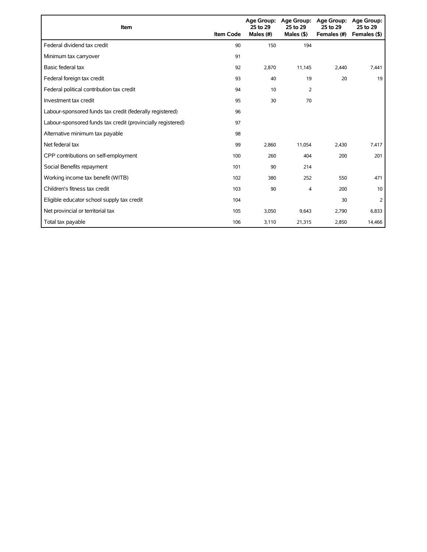| Item                                                        | <b>Item Code</b> | 25 to 29<br>Males (#) | Age Group: Age Group:<br>25 to 29<br>Males $($ \$) | <b>Age Group:</b><br>25 to 29<br>Females (#) | <b>Age Group:</b><br>25 to 29<br>Females (\$) |
|-------------------------------------------------------------|------------------|-----------------------|----------------------------------------------------|----------------------------------------------|-----------------------------------------------|
| Federal dividend tax credit                                 | 90               | 150                   | 194                                                |                                              |                                               |
| Minimum tax carryover                                       | 91               |                       |                                                    |                                              |                                               |
| Basic federal tax                                           | 92               | 2,870                 | 11,145                                             | 2.440                                        | 7,441                                         |
| Federal foreign tax credit                                  | 93               | 40                    | 19                                                 | 20                                           | 19                                            |
| Federal political contribution tax credit                   | 94               | 10                    | $\overline{2}$                                     |                                              |                                               |
| Investment tax credit                                       | 95               | 30                    | 70                                                 |                                              |                                               |
| Labour-sponsored funds tax credit (federally registered)    | 96               |                       |                                                    |                                              |                                               |
| Labour-sponsored funds tax credit (provincially registered) | 97               |                       |                                                    |                                              |                                               |
| Alternative minimum tax payable                             | 98               |                       |                                                    |                                              |                                               |
| Net federal tax                                             | 99               | 2,860                 | 11,054                                             | 2,430                                        | 7,417                                         |
| CPP contributions on self-employment                        | 100              | 260                   | 404                                                | 200                                          | 201                                           |
| Social Benefits repayment                                   | 101              | 90                    | 214                                                |                                              |                                               |
| Working income tax benefit (WITB)                           | 102              | 380                   | 252                                                | 550                                          | 471                                           |
| Children's fitness tax credit                               | 103              | 90                    | 4                                                  | 200                                          | 10                                            |
| Eligible educator school supply tax credit                  | 104              |                       |                                                    | 30                                           | 2                                             |
| Net provincial or territorial tax                           | 105              | 3,050                 | 9,643                                              | 2,790                                        | 6,833                                         |
| Total tax payable                                           | 106              | 3,110                 | 21,315                                             | 2,850                                        | 14,466                                        |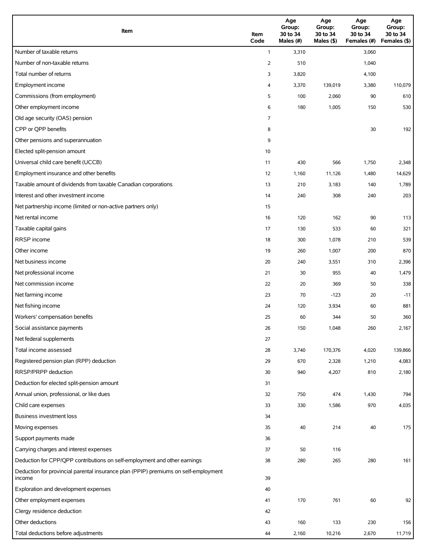| Item                                                                                          | Item<br>Code | Age<br>Group:<br>30 to 34<br>Males (#) | Age<br>Group:<br>30 to 34<br>Males (\$) | Age<br>Group:<br>30 to 34<br>Females (#) | Age<br>Group:<br>30 to 34<br>Females (\$) |
|-----------------------------------------------------------------------------------------------|--------------|----------------------------------------|-----------------------------------------|------------------------------------------|-------------------------------------------|
| Number of taxable returns                                                                     | $\mathbf{1}$ | 3,310                                  |                                         | 3,060                                    |                                           |
| Number of non-taxable returns                                                                 | 2            | 510                                    |                                         | 1,040                                    |                                           |
| Total number of returns                                                                       | 3            | 3,820                                  |                                         | 4,100                                    |                                           |
| Employment income                                                                             | 4            | 3,370                                  | 139,019                                 | 3,380                                    | 110,079                                   |
| Commissions (from employment)                                                                 | 5            | 100                                    | 2,060                                   | 90                                       | 610                                       |
| Other employment income                                                                       | 6            | 180                                    | 1,005                                   | 150                                      | 530                                       |
| Old age security (OAS) pension                                                                | 7            |                                        |                                         |                                          |                                           |
| CPP or QPP benefits                                                                           | 8            |                                        |                                         | 30                                       | 192                                       |
| Other pensions and superannuation                                                             | 9            |                                        |                                         |                                          |                                           |
| Elected split-pension amount                                                                  | 10           |                                        |                                         |                                          |                                           |
| Universal child care benefit (UCCB)                                                           | 11           | 430                                    | 566                                     | 1,750                                    | 2,348                                     |
| Employment insurance and other benefits                                                       | 12           | 1,160                                  | 11,126                                  | 1,480                                    | 14,629                                    |
| Taxable amount of dividends from taxable Canadian corporations                                | 13           | 210                                    | 3,183                                   | 140                                      | 1,789                                     |
| Interest and other investment income                                                          | 14           | 240                                    | 308                                     | 240                                      | 203                                       |
| Net partnership income (limited or non-active partners only)                                  | 15           |                                        |                                         |                                          |                                           |
| Net rental income                                                                             | 16           | 120                                    | 162                                     | 90                                       | 113                                       |
| Taxable capital gains                                                                         | 17           | 130                                    | 533                                     | 60                                       | 321                                       |
| <b>RRSP</b> income                                                                            | 18           | 300                                    | 1,078                                   | 210                                      | 539                                       |
| Other income                                                                                  | 19           | 260                                    | 1,007                                   | 200                                      | 870                                       |
| Net business income                                                                           | 20           | 240                                    | 3,551                                   | 310                                      | 2,396                                     |
| Net professional income                                                                       | 21           | 30                                     | 955                                     | 40                                       | 1,479                                     |
| Net commission income                                                                         | 22           | 20                                     | 369                                     | 50                                       | 338                                       |
| Net farming income                                                                            | 23           | 70                                     | $-123$                                  | 20                                       | $-11$                                     |
| Net fishing income                                                                            | 24           | 120                                    | 3,934                                   | 60                                       | 881                                       |
| Workers' compensation benefits                                                                | 25           | 60                                     | 344                                     | 50                                       | 360                                       |
| Social assistance payments                                                                    | 26           | 150                                    | 1,048                                   | 260                                      | 2,167                                     |
| Net federal supplements                                                                       | 27           |                                        |                                         |                                          |                                           |
| Total income assessed                                                                         | 28           | 3,740                                  | 170,376                                 | 4,020                                    | 139,866                                   |
| Registered pension plan (RPP) deduction                                                       | 29           | 670                                    | 2,328                                   | 1,210                                    | 4,083                                     |
| RRSP/PRPP deduction                                                                           | 30           | 940                                    | 4,207                                   | 810                                      | 2,180                                     |
| Deduction for elected split-pension amount                                                    | 31           |                                        |                                         |                                          |                                           |
| Annual union, professional, or like dues                                                      | 32           | 750                                    | 474                                     | 1,430                                    | 794                                       |
| Child care expenses                                                                           | 33           | 330                                    | 1,586                                   | 970                                      | 4,035                                     |
| Business investment loss                                                                      | 34           |                                        |                                         |                                          |                                           |
| Moving expenses                                                                               | 35           | 40                                     | 214                                     | 40                                       | 175                                       |
| Support payments made                                                                         | 36           |                                        |                                         |                                          |                                           |
| Carrying charges and interest expenses                                                        | 37           | 50                                     | 116                                     |                                          |                                           |
| Deduction for CPP/QPP contributions on self-employment and other earnings                     | 38           | 280                                    | 265                                     | 280                                      | 161                                       |
| Deduction for provincial parental insurance plan (PPIP) premiums on self-employment<br>income | 39           |                                        |                                         |                                          |                                           |
| Exploration and development expenses                                                          | 40           |                                        |                                         |                                          |                                           |
| Other employment expenses                                                                     | 41           | 170                                    | 761                                     | 60                                       | 92                                        |
| Clergy residence deduction                                                                    | 42           |                                        |                                         |                                          |                                           |
| Other deductions                                                                              | 43           | 160                                    | 133                                     | 230                                      | 156                                       |
| Total deductions before adjustments                                                           | 44           | 2,160                                  | 10,216                                  | 2,670                                    | 11,719                                    |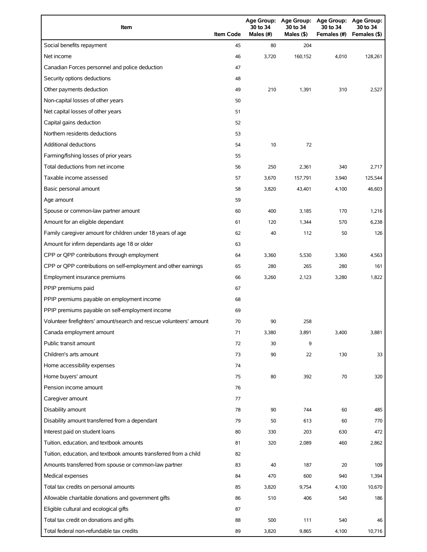| Item                                                                | <b>Item Code</b> | 30 to 34<br>Males (#) | 30 to 34<br>Males (\$) | Age Group: Age Group: Age Group: Age Group:<br>30 to 34<br>Females (#) | 30 to 34<br>Females (\$) |
|---------------------------------------------------------------------|------------------|-----------------------|------------------------|------------------------------------------------------------------------|--------------------------|
| Social benefits repayment                                           | 45               | 80                    | 204                    |                                                                        |                          |
| Net income                                                          | 46               | 3,720                 | 160,152                | 4,010                                                                  | 128,261                  |
| Canadian Forces personnel and police deduction                      | 47               |                       |                        |                                                                        |                          |
| Security options deductions                                         | 48               |                       |                        |                                                                        |                          |
| Other payments deduction                                            | 49               | 210                   | 1,391                  | 310                                                                    | 2,527                    |
| Non-capital losses of other years                                   | 50               |                       |                        |                                                                        |                          |
| Net capital losses of other years                                   | 51               |                       |                        |                                                                        |                          |
| Capital gains deduction                                             | 52               |                       |                        |                                                                        |                          |
| Northern residents deductions                                       | 53               |                       |                        |                                                                        |                          |
| Additional deductions                                               | 54               | 10                    | 72                     |                                                                        |                          |
| Farming/fishing losses of prior years                               | 55               |                       |                        |                                                                        |                          |
| Total deductions from net income                                    | 56               | 250                   | 2,361                  | 340                                                                    | 2,717                    |
| Taxable income assessed                                             | 57               | 3,670                 | 157,791                | 3,940                                                                  | 125,544                  |
| Basic personal amount                                               | 58               | 3,820                 | 43,401                 | 4,100                                                                  | 46,603                   |
| Age amount                                                          | 59               |                       |                        |                                                                        |                          |
| Spouse or common-law partner amount                                 | 60               | 400                   | 3,185                  | 170                                                                    | 1,216                    |
| Amount for an eligible dependant                                    | 61               | 120                   | 1,344                  | 570                                                                    | 6,238                    |
| Family caregiver amount for children under 18 years of age          | 62               | 40                    | 112                    | 50                                                                     | 126                      |
| Amount for infirm dependants age 18 or older                        | 63               |                       |                        |                                                                        |                          |
| CPP or QPP contributions through employment                         | 64               | 3,360                 | 5,530                  | 3,360                                                                  | 4,563                    |
| CPP or QPP contributions on self-employment and other earnings      | 65               | 280                   | 265                    | 280                                                                    | 161                      |
| Employment insurance premiums                                       | 66               | 3,260                 | 2,123                  | 3,280                                                                  | 1,822                    |
| PPIP premiums paid                                                  | 67               |                       |                        |                                                                        |                          |
| PPIP premiums payable on employment income                          | 68               |                       |                        |                                                                        |                          |
| PPIP premiums payable on self-employment income                     | 69               |                       |                        |                                                                        |                          |
| Volunteer firefighters' amount/search and rescue volunteers' amount | 70               | 90                    | 258                    |                                                                        |                          |
| Canada employment amount                                            | 71               | 3,380                 | 3,891                  | 3,400                                                                  | 3,881                    |
| Public transit amount                                               | 72               | 30                    | 9                      |                                                                        |                          |
| Children's arts amount                                              | 73               | 90                    | 22                     | 130                                                                    | 33                       |
| Home accessibility expenses                                         | 74               |                       |                        |                                                                        |                          |
| Home buyers' amount                                                 | 75               | 80                    | 392                    | 70                                                                     | 320                      |
| Pension income amount                                               | 76               |                       |                        |                                                                        |                          |
| Caregiver amount                                                    | 77               |                       |                        |                                                                        |                          |
| Disability amount                                                   | 78               | 90                    | 744                    | 60                                                                     | 485                      |
| Disability amount transferred from a dependant                      | 79               | 50                    | 613                    | 60                                                                     | 770                      |
| Interest paid on student loans                                      | 80               | 330                   | 203                    | 630                                                                    | 472                      |
| Tuition, education, and textbook amounts                            | 81               | 320                   | 2,089                  | 460                                                                    | 2,862                    |
| Tuition, education, and textbook amounts transferred from a child   | 82               |                       |                        |                                                                        |                          |
| Amounts transferred from spouse or common-law partner               | 83               | 40                    | 187                    | 20                                                                     | 109                      |
| Medical expenses                                                    | 84               | 470                   | 600                    | 940                                                                    | 1,394                    |
| Total tax credits on personal amounts                               | 85               | 3,820                 | 9,754                  | 4,100                                                                  | 10,670                   |
| Allowable charitable donations and government gifts                 | 86               | 510                   | 406                    | 540                                                                    | 186                      |
| Eligible cultural and ecological gifts                              | 87               |                       |                        |                                                                        |                          |
| Total tax credit on donations and gifts                             | 88               | 500                   | 111                    | 540                                                                    | 46                       |
| Total federal non-refundable tax credits                            | 89               | 3,820                 | 9,865                  | 4,100                                                                  | 10,716                   |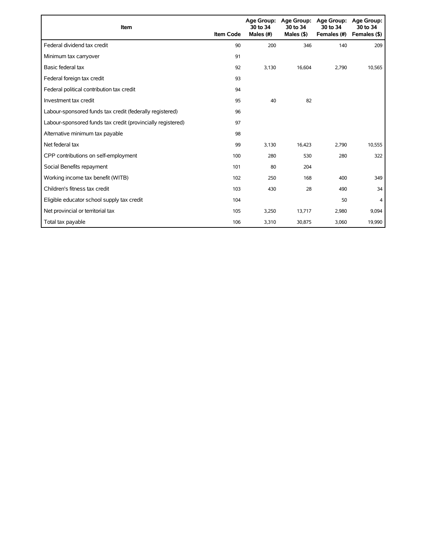| Item                                                        | <b>Item Code</b> | 30 to 34<br>Males (#) | Age Group: Age Group:<br>30 to 34<br>Males $($ \$) | <b>Age Group:</b><br>30 to 34<br>Females (#) | Age Group:<br>30 to 34<br>Females (\$) |
|-------------------------------------------------------------|------------------|-----------------------|----------------------------------------------------|----------------------------------------------|----------------------------------------|
| Federal dividend tax credit                                 | 90               | 200                   | 346                                                | 140                                          | 209                                    |
| Minimum tax carryover                                       | 91               |                       |                                                    |                                              |                                        |
| Basic federal tax                                           | 92               | 3.130                 | 16.604                                             | 2.790                                        | 10,565                                 |
| Federal foreign tax credit                                  | 93               |                       |                                                    |                                              |                                        |
| Federal political contribution tax credit                   | 94               |                       |                                                    |                                              |                                        |
| Investment tax credit                                       | 95               | 40                    | 82                                                 |                                              |                                        |
| Labour-sponsored funds tax credit (federally registered)    | 96               |                       |                                                    |                                              |                                        |
| Labour-sponsored funds tax credit (provincially registered) | 97               |                       |                                                    |                                              |                                        |
| Alternative minimum tax payable                             | 98               |                       |                                                    |                                              |                                        |
| Net federal tax                                             | 99               | 3,130                 | 16,423                                             | 2,790                                        | 10,555                                 |
| CPP contributions on self-employment                        | 100              | 280                   | 530                                                | 280                                          | 322                                    |
| Social Benefits repayment                                   | 101              | 80                    | 204                                                |                                              |                                        |
| Working income tax benefit (WITB)                           | 102              | 250                   | 168                                                | 400                                          | 349                                    |
| Children's fitness tax credit                               | 103              | 430                   | 28                                                 | 490                                          | 34                                     |
| Eligible educator school supply tax credit                  | 104              |                       |                                                    | 50                                           | $\overline{4}$                         |
| Net provincial or territorial tax                           | 105              | 3,250                 | 13,717                                             | 2,980                                        | 9,094                                  |
| Total tax payable                                           | 106              | 3,310                 | 30,875                                             | 3,060                                        | 19,990                                 |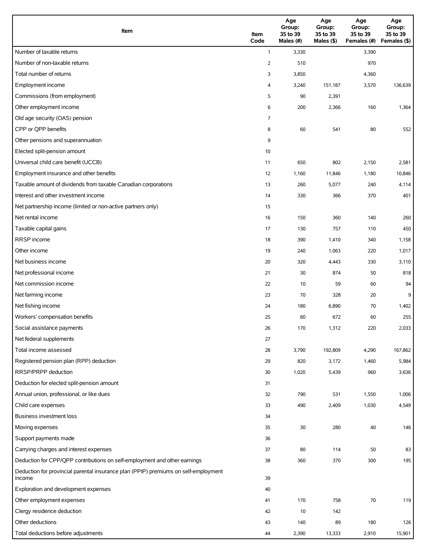| Item                                                                                          | Item<br>Code | Age<br>Group:<br>35 to 39<br>Males (#) | Age<br>Group:<br>35 to 39<br>Males (\$) | Age<br>Group:<br>35 to 39<br>Females (#) | Age<br>Group:<br>35 to 39<br>Females (\$) |
|-----------------------------------------------------------------------------------------------|--------------|----------------------------------------|-----------------------------------------|------------------------------------------|-------------------------------------------|
| Number of taxable returns                                                                     | $\mathbf{1}$ | 3,330                                  |                                         | 3,390                                    |                                           |
| Number of non-taxable returns                                                                 | 2            | 510                                    |                                         | 970                                      |                                           |
| Total number of returns                                                                       | 3            | 3,850                                  |                                         | 4,360                                    |                                           |
| Employment income                                                                             | 4            | 3,240                                  | 151,187                                 | 3,570                                    | 136,639                                   |
| Commissions (from employment)                                                                 | 5            | 90                                     | 2,391                                   |                                          |                                           |
| Other employment income                                                                       | 6            | 200                                    | 2,366                                   | 160                                      | 1,364                                     |
| Old age security (OAS) pension                                                                | 7            |                                        |                                         |                                          |                                           |
| CPP or QPP benefits                                                                           | 8            | 60                                     | 541                                     | 80                                       | 552                                       |
| Other pensions and superannuation                                                             | 9            |                                        |                                         |                                          |                                           |
| Elected split-pension amount                                                                  | 10           |                                        |                                         |                                          |                                           |
| Universal child care benefit (UCCB)                                                           | 11           | 650                                    | 802                                     | 2,150                                    | 2,581                                     |
| Employment insurance and other benefits                                                       | 12           | 1,160                                  | 11,846                                  | 1,180                                    | 10,846                                    |
| Taxable amount of dividends from taxable Canadian corporations                                | 13           | 260                                    | 5,077                                   | 240                                      | 4,114                                     |
| Interest and other investment income                                                          | 14           | 330                                    | 366                                     | 370                                      | 401                                       |
| Net partnership income (limited or non-active partners only)                                  | 15           |                                        |                                         |                                          |                                           |
| Net rental income                                                                             | 16           | 150                                    | 360                                     | 140                                      | 260                                       |
| Taxable capital gains                                                                         | 17           | 130                                    | 757                                     | 110                                      | 450                                       |
| <b>RRSP</b> income                                                                            | 18           | 390                                    | 1,410                                   | 340                                      | 1,158                                     |
| Other income                                                                                  | 19           | 240                                    | 1,063                                   | 220                                      | 1,017                                     |
| Net business income                                                                           | 20           | 320                                    | 4,443                                   | 330                                      | 3,110                                     |
| Net professional income                                                                       | 21           | 30                                     | 874                                     | 50                                       | 818                                       |
| Net commission income                                                                         | 22           | 10                                     | 59                                      | 60                                       | 94                                        |
| Net farming income                                                                            | 23           | 70                                     | 328                                     | 20                                       | 9                                         |
| Net fishing income                                                                            | 24           | 180                                    | 6,890                                   | 70                                       | 1,402                                     |
| Workers' compensation benefits                                                                | 25           | 60                                     | 672                                     | 60                                       | 255                                       |
| Social assistance payments                                                                    | 26           | 170                                    | 1,312                                   | 220                                      | 2,033                                     |
| Net federal supplements                                                                       | 27           |                                        |                                         |                                          |                                           |
| Total income assessed                                                                         | 28           | 3,790                                  | 192,809                                 | 4,290                                    | 167,862                                   |
| Registered pension plan (RPP) deduction                                                       | 29           | 820                                    | 3,172                                   | 1,460                                    | 5,984                                     |
| RRSP/PRPP deduction                                                                           | 30           | 1,020                                  | 5,439                                   | 960                                      | 3,636                                     |
| Deduction for elected split-pension amount                                                    | 31           |                                        |                                         |                                          |                                           |
| Annual union, professional, or like dues                                                      | 32           | 790                                    | 531                                     | 1,550                                    | 1,006                                     |
| Child care expenses                                                                           | 33           | 490                                    | 2,409                                   | 1,030                                    | 4,549                                     |
| Business investment loss                                                                      | 34           |                                        |                                         |                                          |                                           |
| Moving expenses                                                                               | 35           | 30                                     | 280                                     | 40                                       | 146                                       |
| Support payments made                                                                         | 36           |                                        |                                         |                                          |                                           |
| Carrying charges and interest expenses                                                        | 37           | 80                                     | 114                                     | 50                                       | 83                                        |
| Deduction for CPP/QPP contributions on self-employment and other earnings                     | 38           | 360                                    | 370                                     | 300                                      | 195                                       |
| Deduction for provincial parental insurance plan (PPIP) premiums on self-employment<br>income | 39           |                                        |                                         |                                          |                                           |
| Exploration and development expenses                                                          | 40           |                                        |                                         |                                          |                                           |
| Other employment expenses                                                                     | 41           | 170                                    | 758                                     | 70                                       | 119                                       |
| Clergy residence deduction                                                                    | 42           | 10                                     | 142                                     |                                          |                                           |
| Other deductions                                                                              | 43           | 140                                    | 89                                      | 180                                      | 126                                       |
| Total deductions before adjustments                                                           | 44           | 2,390                                  | 13,333                                  | 2,910                                    | 15,901                                    |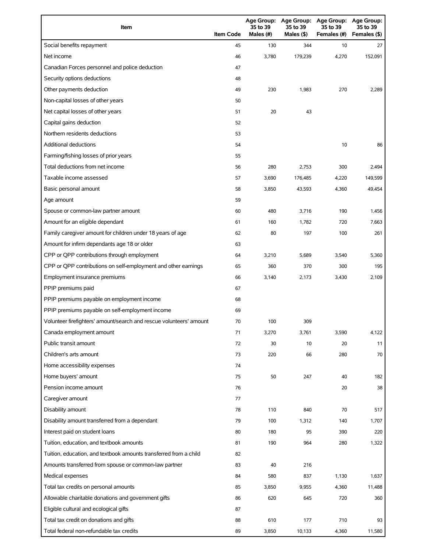| Item                                                                | <b>Item Code</b> | 35 to 39<br>Males (#) | 35 to 39<br>Males (\$) | Age Group: Age Group: Age Group:<br>35 to 39<br>Females (#) | <b>Age Group:</b><br>35 to 39<br>Females (\$) |
|---------------------------------------------------------------------|------------------|-----------------------|------------------------|-------------------------------------------------------------|-----------------------------------------------|
| Social benefits repayment                                           | 45               | 130                   | 344                    | 10                                                          | 27                                            |
| Net income                                                          | 46               | 3,780                 | 179,239                | 4,270                                                       | 152,091                                       |
| Canadian Forces personnel and police deduction                      | 47               |                       |                        |                                                             |                                               |
| Security options deductions                                         | 48               |                       |                        |                                                             |                                               |
| Other payments deduction                                            | 49               | 230                   | 1,983                  | 270                                                         | 2,289                                         |
| Non-capital losses of other years                                   | 50               |                       |                        |                                                             |                                               |
| Net capital losses of other years                                   | 51               | 20                    | 43                     |                                                             |                                               |
| Capital gains deduction                                             | 52               |                       |                        |                                                             |                                               |
| Northern residents deductions                                       | 53               |                       |                        |                                                             |                                               |
| Additional deductions                                               | 54               |                       |                        | 10                                                          | 86                                            |
| Farming/fishing losses of prior years                               | 55               |                       |                        |                                                             |                                               |
| Total deductions from net income                                    | 56               | 280                   | 2,753                  | 300                                                         | 2,494                                         |
| Taxable income assessed                                             | 57               | 3,690                 | 176,485                | 4,220                                                       | 149,599                                       |
| Basic personal amount                                               | 58               | 3,850                 | 43,593                 | 4,360                                                       | 49,454                                        |
| Age amount                                                          | 59               |                       |                        |                                                             |                                               |
| Spouse or common-law partner amount                                 | 60               | 480                   | 3,716                  | 190                                                         | 1,456                                         |
| Amount for an eligible dependant                                    | 61               | 160                   | 1,782                  | 720                                                         | 7,663                                         |
| Family caregiver amount for children under 18 years of age          | 62               | 80                    | 197                    | 100                                                         | 261                                           |
| Amount for infirm dependants age 18 or older                        | 63               |                       |                        |                                                             |                                               |
| CPP or QPP contributions through employment                         | 64               | 3,210                 | 5,689                  | 3,540                                                       | 5,360                                         |
| CPP or QPP contributions on self-employment and other earnings      | 65               | 360                   | 370                    | 300                                                         | 195                                           |
| Employment insurance premiums                                       | 66               | 3,140                 | 2,173                  | 3,430                                                       | 2,109                                         |
| PPIP premiums paid                                                  | 67               |                       |                        |                                                             |                                               |
| PPIP premiums payable on employment income                          | 68               |                       |                        |                                                             |                                               |
| PPIP premiums payable on self-employment income                     | 69               |                       |                        |                                                             |                                               |
| Volunteer firefighters' amount/search and rescue volunteers' amount | 70               | 100                   | 309                    |                                                             |                                               |
| Canada employment amount                                            | 71               | 3,270                 | 3,761                  | 3,590                                                       | 4,122                                         |
| Public transit amount                                               | 72               | 30                    | 10                     | 20                                                          | 11                                            |
| Children's arts amount                                              | 73               | 220                   | 66                     | 280                                                         | 70                                            |
| Home accessibility expenses                                         | 74               |                       |                        |                                                             |                                               |
| Home buyers' amount                                                 | 75               | 50                    | 247                    | 40                                                          | 182                                           |
| Pension income amount                                               | 76               |                       |                        | 20                                                          | 38                                            |
| Caregiver amount                                                    | 77               |                       |                        |                                                             |                                               |
| Disability amount                                                   | 78               | 110                   | 840                    | 70                                                          | 517                                           |
| Disability amount transferred from a dependant                      | 79               | 100                   | 1,312                  | 140                                                         | 1,707                                         |
| Interest paid on student loans                                      | 80               | 180                   | 95                     | 390                                                         | 220                                           |
| Tuition, education, and textbook amounts                            | 81               | 190                   | 964                    | 280                                                         | 1,322                                         |
| Tuition, education, and textbook amounts transferred from a child   | 82               |                       |                        |                                                             |                                               |
| Amounts transferred from spouse or common-law partner               | 83               | 40                    | 216                    |                                                             |                                               |
| Medical expenses                                                    | 84               | 580                   | 837                    | 1,130                                                       | 1,637                                         |
| Total tax credits on personal amounts                               | 85               | 3,850                 | 9,955                  | 4,360                                                       | 11,488                                        |
| Allowable charitable donations and government gifts                 | 86               | 620                   | 645                    | 720                                                         | 360                                           |
| Eligible cultural and ecological gifts                              | 87               |                       |                        |                                                             |                                               |
| Total tax credit on donations and gifts                             | 88               | 610                   | 177                    | 710                                                         | 93                                            |
| Total federal non-refundable tax credits                            | 89               | 3,850                 | 10,133                 | 4,360                                                       | 11,580                                        |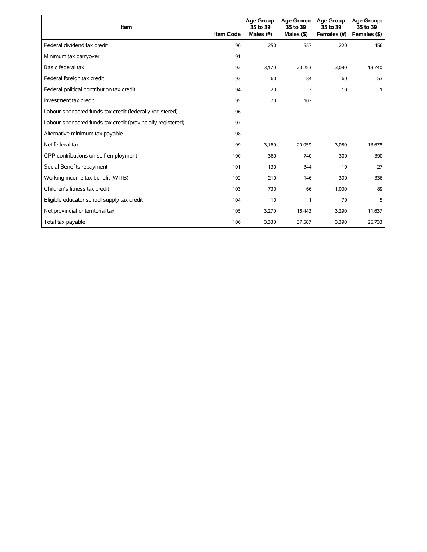| Item                                                        | <b>Item Code</b> | 35 to 39<br>Males (#) | Age Group: Age Group:<br>35 to 39<br>Males $($ \$ $)$ | <b>Age Group:</b><br>35 to 39<br>Females (#) | Age Group:<br>35 to 39<br>Females (\$) |
|-------------------------------------------------------------|------------------|-----------------------|-------------------------------------------------------|----------------------------------------------|----------------------------------------|
| Federal dividend tax credit                                 | 90               | 250                   | 557                                                   | 220                                          | 456                                    |
| Minimum tax carryover                                       | 91               |                       |                                                       |                                              |                                        |
| Basic federal tax                                           | 92               | 3,170                 | 20,253                                                | 3,080                                        | 13,740                                 |
| Federal foreign tax credit                                  | 93               | 60                    | 84                                                    | 60                                           | 53                                     |
| Federal political contribution tax credit                   | 94               | 20                    | 3                                                     | 10                                           |                                        |
| Investment tax credit                                       | 95               | 70                    | 107                                                   |                                              |                                        |
| Labour-sponsored funds tax credit (federally registered)    | 96               |                       |                                                       |                                              |                                        |
| Labour-sponsored funds tax credit (provincially registered) | 97               |                       |                                                       |                                              |                                        |
| Alternative minimum tax payable                             | 98               |                       |                                                       |                                              |                                        |
| Net federal tax                                             | 99               | 3,160                 | 20,059                                                | 3,080                                        | 13,678                                 |
| CPP contributions on self-employment                        | 100              | 360                   | 740                                                   | 300                                          | 390                                    |
| Social Benefits repayment                                   | 101              | 130                   | 344                                                   | 10                                           | 27                                     |
| Working income tax benefit (WITB)                           | 102              | 210                   | 146                                                   | 390                                          | 336                                    |
| Children's fitness tax credit                               | 103              | 730                   | 66                                                    | 1,000                                        | 89                                     |
| Eligible educator school supply tax credit                  | 104              | 10                    | 1                                                     | 70                                           | 5                                      |
| Net provincial or territorial tax                           | 105              | 3,270                 | 16,443                                                | 3,290                                        | 11,637                                 |
| Total tax payable                                           | 106              | 3,330                 | 37,587                                                | 3,390                                        | 25,733                                 |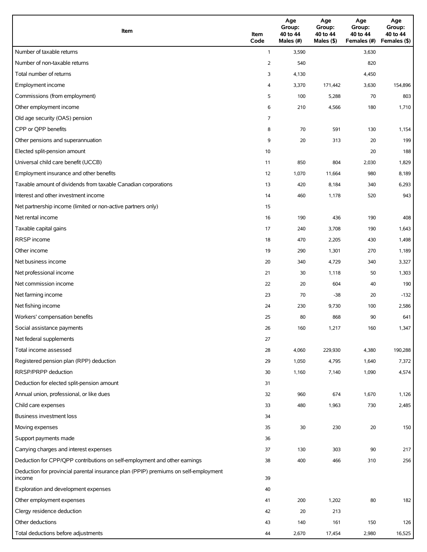| Item                                                                                          | Item<br>Code | Age<br>Group:<br>40 to 44<br>Males (#) | Age<br>Group:<br>40 to 44<br>Males (\$) | Age<br>Group:<br>40 to 44<br>Females (#) | Age<br>Group:<br>40 to 44<br>Females (\$) |
|-----------------------------------------------------------------------------------------------|--------------|----------------------------------------|-----------------------------------------|------------------------------------------|-------------------------------------------|
| Number of taxable returns                                                                     | $\mathbf{1}$ | 3,590                                  |                                         | 3,630                                    |                                           |
| Number of non-taxable returns                                                                 | 2            | 540                                    |                                         | 820                                      |                                           |
| Total number of returns                                                                       | 3            | 4,130                                  |                                         | 4,450                                    |                                           |
| Employment income                                                                             | 4            | 3,370                                  | 171,442                                 | 3,630                                    | 154,896                                   |
| Commissions (from employment)                                                                 | 5            | 100                                    | 5,288                                   | 70                                       | 803                                       |
| Other employment income                                                                       | 6            | 210                                    | 4,566                                   | 180                                      | 1,710                                     |
| Old age security (OAS) pension                                                                | 7            |                                        |                                         |                                          |                                           |
| CPP or QPP benefits                                                                           | 8            | 70                                     | 591                                     | 130                                      | 1,154                                     |
| Other pensions and superannuation                                                             | 9            | 20                                     | 313                                     | 20                                       | 199                                       |
| Elected split-pension amount                                                                  | 10           |                                        |                                         | 20                                       | 188                                       |
| Universal child care benefit (UCCB)                                                           | 11           | 850                                    | 804                                     | 2,030                                    | 1,829                                     |
| Employment insurance and other benefits                                                       | 12           | 1,070                                  | 11,664                                  | 980                                      | 8,189                                     |
| Taxable amount of dividends from taxable Canadian corporations                                | 13           | 420                                    | 8,184                                   | 340                                      | 6,293                                     |
| Interest and other investment income                                                          | 14           | 460                                    | 1,178                                   | 520                                      | 943                                       |
| Net partnership income (limited or non-active partners only)                                  | 15           |                                        |                                         |                                          |                                           |
| Net rental income                                                                             | 16           | 190                                    | 436                                     | 190                                      | 408                                       |
| Taxable capital gains                                                                         | 17           | 240                                    | 3,708                                   | 190                                      | 1,643                                     |
| <b>RRSP</b> income                                                                            | 18           | 470                                    | 2,205                                   | 430                                      | 1,498                                     |
| Other income                                                                                  | 19           | 290                                    | 1,301                                   | 270                                      | 1,189                                     |
| Net business income                                                                           | 20           | 340                                    | 4,729                                   | 340                                      | 3,327                                     |
| Net professional income                                                                       | 21           | 30                                     | 1,118                                   | 50                                       | 1,303                                     |
| Net commission income                                                                         | 22           | 20                                     | 604                                     | 40                                       | 190                                       |
| Net farming income                                                                            | 23           | 70                                     | $-38$                                   | 20                                       | $-132$                                    |
| Net fishing income                                                                            | 24           | 230                                    | 9,730                                   | 100                                      | 2,586                                     |
| Workers' compensation benefits                                                                | 25           | 80                                     | 868                                     | 90                                       | 641                                       |
| Social assistance payments                                                                    | 26           | 160                                    | 1,217                                   | 160                                      | 1,347                                     |
| Net federal supplements                                                                       | 27           |                                        |                                         |                                          |                                           |
| Total income assessed                                                                         | 28           | 4,060                                  | 229,930                                 | 4,380                                    | 190,288                                   |
| Registered pension plan (RPP) deduction                                                       | 29           | 1,050                                  | 4,795                                   | 1,640                                    | 7,372                                     |
| RRSP/PRPP deduction                                                                           | 30           | 1,160                                  | 7,140                                   | 1,090                                    | 4,574                                     |
| Deduction for elected split-pension amount                                                    | 31           |                                        |                                         |                                          |                                           |
| Annual union, professional, or like dues                                                      | 32           | 960                                    | 674                                     | 1,670                                    | 1,126                                     |
| Child care expenses                                                                           | 33           | 480                                    | 1,963                                   | 730                                      | 2,485                                     |
| Business investment loss                                                                      | 34           |                                        |                                         |                                          |                                           |
| Moving expenses                                                                               | 35           | 30                                     | 230                                     | 20                                       | 150                                       |
| Support payments made                                                                         | 36           |                                        |                                         |                                          |                                           |
| Carrying charges and interest expenses                                                        | 37           | 130                                    | 303                                     | 90                                       | 217                                       |
| Deduction for CPP/QPP contributions on self-employment and other earnings                     | 38           | 400                                    | 466                                     | 310                                      | 256                                       |
| Deduction for provincial parental insurance plan (PPIP) premiums on self-employment<br>income | 39           |                                        |                                         |                                          |                                           |
| Exploration and development expenses                                                          | 40           |                                        |                                         |                                          |                                           |
| Other employment expenses                                                                     | 41           | 200                                    | 1,202                                   | 80                                       | 182                                       |
| Clergy residence deduction                                                                    | 42           | 20                                     | 213                                     |                                          |                                           |
| Other deductions                                                                              | 43           | 140                                    | 161                                     | 150                                      | 126                                       |
| Total deductions before adjustments                                                           | 44           | 2,670                                  | 17,454                                  | 2,980                                    | 16,525                                    |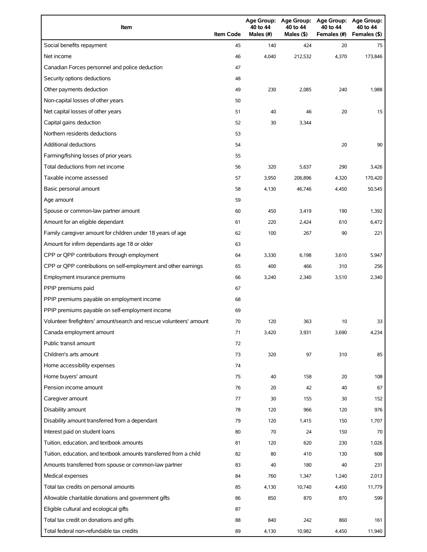| Item                                                                | <b>Item Code</b> | 40 to 44<br>Males (#) | 40 to 44<br>Males (\$) | Age Group: Age Group: Age Group:<br>40 to 44<br>Females (#) | Age Group:<br>40 to 44<br>Females (\$) |
|---------------------------------------------------------------------|------------------|-----------------------|------------------------|-------------------------------------------------------------|----------------------------------------|
| Social benefits repayment                                           | 45               | 140                   | 424                    | 20                                                          | 75                                     |
| Net income                                                          | 46               | 4,040                 | 212,532                | 4,370                                                       | 173.846                                |
| Canadian Forces personnel and police deduction                      | 47               |                       |                        |                                                             |                                        |
| Security options deductions                                         | 48               |                       |                        |                                                             |                                        |
| Other payments deduction                                            | 49               | 230                   | 2,085                  | 240                                                         | 1,988                                  |
| Non-capital losses of other years                                   | 50               |                       |                        |                                                             |                                        |
| Net capital losses of other years                                   | 51               | 40                    | 46                     | 20                                                          | 15                                     |
| Capital gains deduction                                             | 52               | 30                    | 3,344                  |                                                             |                                        |
| Northern residents deductions                                       | 53               |                       |                        |                                                             |                                        |
| Additional deductions                                               | 54               |                       |                        | 20                                                          | 90                                     |
| Farming/fishing losses of prior years                               | 55               |                       |                        |                                                             |                                        |
| Total deductions from net income                                    | 56               | 320                   | 5,637                  | 290                                                         | 3,426                                  |
| Taxable income assessed                                             | 57               | 3,950                 | 206,896                | 4,320                                                       | 170,420                                |
| Basic personal amount                                               | 58               | 4,130                 | 46.746                 | 4,450                                                       | 50,545                                 |
| Age amount                                                          | 59               |                       |                        |                                                             |                                        |
| Spouse or common-law partner amount                                 | 60               | 450                   | 3,419                  | 190                                                         | 1,392                                  |
| Amount for an eligible dependant                                    | 61               | 220                   | 2,424                  | 610                                                         | 6,472                                  |
| Family caregiver amount for children under 18 years of age          | 62               | 100                   | 267                    | 90                                                          | 221                                    |
| Amount for infirm dependants age 18 or older                        | 63               |                       |                        |                                                             |                                        |
| CPP or QPP contributions through employment                         | 64               | 3,330                 | 6,198                  | 3,610                                                       | 5,947                                  |
| CPP or QPP contributions on self-employment and other earnings      | 65               | 400                   | 466                    | 310                                                         | 256                                    |
| Employment insurance premiums                                       | 66               | 3,240                 | 2,340                  | 3,510                                                       | 2,340                                  |
| PPIP premiums paid                                                  | 67               |                       |                        |                                                             |                                        |
| PPIP premiums payable on employment income                          | 68               |                       |                        |                                                             |                                        |
| PPIP premiums payable on self-employment income                     | 69               |                       |                        |                                                             |                                        |
| Volunteer firefighters' amount/search and rescue volunteers' amount | 70               | 120                   | 363                    | 10                                                          | 33                                     |
| Canada employment amount                                            | 71               | 3,420                 | 3,931                  | 3,690                                                       | 4,234                                  |
| Public transit amount                                               | 72               |                       |                        |                                                             |                                        |
| Children's arts amount                                              | 73               | 320                   | 97                     | 310                                                         | 85                                     |
| Home accessibility expenses                                         | 74               |                       |                        |                                                             |                                        |
| Home buyers' amount                                                 | 75               | 40                    | 158                    | 20                                                          | 108                                    |
| Pension income amount                                               | 76               | 20                    | 42                     | 40                                                          | 67                                     |
| Caregiver amount                                                    | 77               | 30                    | 155                    | 30                                                          | 152                                    |
| Disability amount                                                   | 78               | 120                   | 966                    | 120                                                         | 976                                    |
| Disability amount transferred from a dependant                      | 79               | 120                   | 1,415                  | 150                                                         | 1,707                                  |
| Interest paid on student loans                                      | 80               | 70                    | 24                     | 150                                                         | 70                                     |
| Tuition, education, and textbook amounts                            | 81               | 120                   | 620                    | 230                                                         | 1,026                                  |
| Tuition, education, and textbook amounts transferred from a child   | 82               | 80                    | 410                    | 130                                                         | 608                                    |
| Amounts transferred from spouse or common-law partner               | 83               | 40                    | 180                    | 40                                                          | 231                                    |
| Medical expenses                                                    | 84               | 760                   | 1,347                  | 1,240                                                       | 2,013                                  |
| Total tax credits on personal amounts                               | 85               | 4,130                 | 10,740                 | 4,450                                                       | 11,779                                 |
| Allowable charitable donations and government gifts                 | 86               | 850                   | 870                    | 870                                                         | 599                                    |
| Eligible cultural and ecological gifts                              | 87               |                       |                        |                                                             |                                        |
| Total tax credit on donations and gifts                             | 88               | 840                   | 242                    | 860                                                         | 161                                    |
| Total federal non-refundable tax credits                            | 89               | 4,130                 | 10,982                 | 4,450                                                       | 11,940                                 |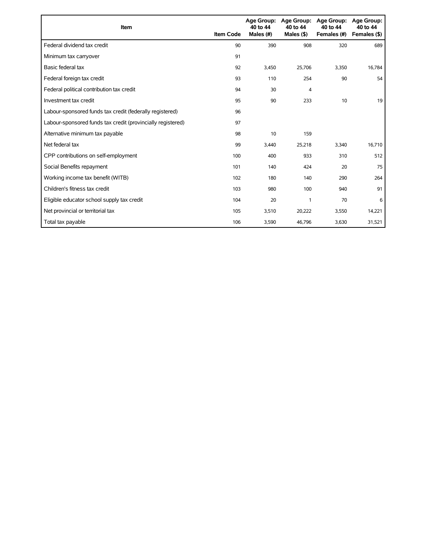| Item                                                        | <b>Item Code</b> | 40 to 44<br>Males (#) | Age Group: Age Group:<br>40 to 44<br>Males $($ \$ $)$ | <b>Age Group:</b><br>40 to 44<br>Females (#) | <b>Age Group:</b><br>40 to 44<br>Females (\$) |
|-------------------------------------------------------------|------------------|-----------------------|-------------------------------------------------------|----------------------------------------------|-----------------------------------------------|
| Federal dividend tax credit                                 | 90               | 390                   | 908                                                   | 320                                          | 689                                           |
| Minimum tax carryover                                       | 91               |                       |                                                       |                                              |                                               |
| Basic federal tax                                           | 92               | 3,450                 | 25,706                                                | 3,350                                        | 16,784                                        |
| Federal foreign tax credit                                  | 93               | 110                   | 254                                                   | 90                                           | 54                                            |
| Federal political contribution tax credit                   | 94               | 30                    | 4                                                     |                                              |                                               |
| Investment tax credit                                       | 95               | 90                    | 233                                                   | 10                                           | 19                                            |
| Labour-sponsored funds tax credit (federally registered)    | 96               |                       |                                                       |                                              |                                               |
| Labour-sponsored funds tax credit (provincially registered) | 97               |                       |                                                       |                                              |                                               |
| Alternative minimum tax payable                             | 98               | 10                    | 159                                                   |                                              |                                               |
| Net federal tax                                             | 99               | 3,440                 | 25,218                                                | 3,340                                        | 16,710                                        |
| CPP contributions on self-employment                        | 100              | 400                   | 933                                                   | 310                                          | 512                                           |
| Social Benefits repayment                                   | 101              | 140                   | 424                                                   | 20                                           | 75                                            |
| Working income tax benefit (WITB)                           | 102              | 180                   | 140                                                   | 290                                          | 264                                           |
| Children's fitness tax credit                               | 103              | 980                   | 100                                                   | 940                                          | 91                                            |
| Eligible educator school supply tax credit                  | 104              | 20                    | 1                                                     | 70                                           | 6                                             |
| Net provincial or territorial tax                           | 105              | 3,510                 | 20,222                                                | 3,550                                        | 14,221                                        |
| Total tax payable                                           | 106              | 3,590                 | 46,796                                                | 3,630                                        | 31,521                                        |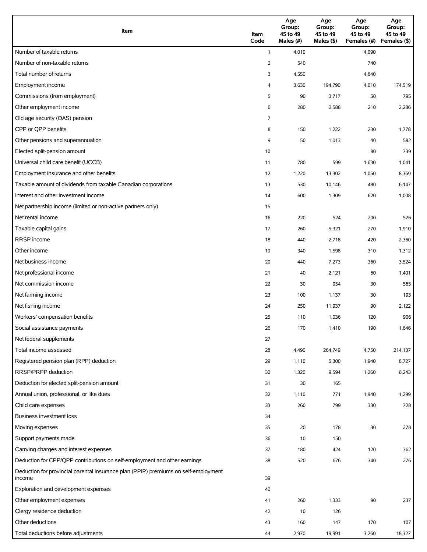| Item                                                                                          | Item<br>Code | Age<br>Group:<br>45 to 49<br>Males (#) | Age<br>Group:<br>45 to 49<br>Males (\$) | Age<br>Group:<br>45 to 49<br>Females (#) | Age<br>Group:<br>45 to 49<br>Females (\$) |
|-----------------------------------------------------------------------------------------------|--------------|----------------------------------------|-----------------------------------------|------------------------------------------|-------------------------------------------|
| Number of taxable returns                                                                     | $\mathbf{1}$ | 4,010                                  |                                         | 4,090                                    |                                           |
| Number of non-taxable returns                                                                 | 2            | 540                                    |                                         | 740                                      |                                           |
| Total number of returns                                                                       | 3            | 4,550                                  |                                         | 4,840                                    |                                           |
| Employment income                                                                             | 4            | 3,630                                  | 194,790                                 | 4,010                                    | 174,519                                   |
| Commissions (from employment)                                                                 | 5            | 90                                     | 3,717                                   | 50                                       | 795                                       |
| Other employment income                                                                       | 6            | 280                                    | 2,588                                   | 210                                      | 2,286                                     |
| Old age security (OAS) pension                                                                | 7            |                                        |                                         |                                          |                                           |
| CPP or QPP benefits                                                                           | 8            | 150                                    | 1,222                                   | 230                                      | 1,778                                     |
| Other pensions and superannuation                                                             | 9            | 50                                     | 1,013                                   | 40                                       | 582                                       |
| Elected split-pension amount                                                                  | 10           |                                        |                                         | 80                                       | 739                                       |
| Universal child care benefit (UCCB)                                                           | 11           | 780                                    | 599                                     | 1,630                                    | 1,041                                     |
| Employment insurance and other benefits                                                       | 12           | 1,220                                  | 13,302                                  | 1,050                                    | 8,369                                     |
| Taxable amount of dividends from taxable Canadian corporations                                | 13           | 530                                    | 10,146                                  | 480                                      | 6,147                                     |
| Interest and other investment income                                                          | 14           | 600                                    | 1,309                                   | 620                                      | 1,008                                     |
| Net partnership income (limited or non-active partners only)                                  | 15           |                                        |                                         |                                          |                                           |
| Net rental income                                                                             | 16           | 220                                    | 524                                     | 200                                      | 526                                       |
| Taxable capital gains                                                                         | 17           | 260                                    | 5,321                                   | 270                                      | 1,910                                     |
| <b>RRSP</b> income                                                                            | 18           | 440                                    | 2,718                                   | 420                                      | 2,360                                     |
| Other income                                                                                  | 19           | 340                                    | 1,598                                   | 310                                      | 1,312                                     |
| Net business income                                                                           | 20           | 440                                    | 7,273                                   | 360                                      | 3,524                                     |
| Net professional income                                                                       | 21           | 40                                     | 2,121                                   | 60                                       | 1,401                                     |
| Net commission income                                                                         | 22           | 30                                     | 954                                     | 30                                       | 565                                       |
| Net farming income                                                                            | 23           | 100                                    | 1,137                                   | 30                                       | 193                                       |
| Net fishing income                                                                            | 24           | 250                                    | 11,937                                  | 90                                       | 2,122                                     |
| Workers' compensation benefits                                                                | 25           | 110                                    | 1,036                                   | 120                                      | 906                                       |
| Social assistance payments                                                                    | 26           | 170                                    | 1,410                                   | 190                                      | 1,646                                     |
| Net federal supplements                                                                       | 27           |                                        |                                         |                                          |                                           |
| Total income assessed                                                                         | 28           | 4,490                                  | 264,749                                 | 4,750                                    | 214,137                                   |
| Registered pension plan (RPP) deduction                                                       | 29           | 1,110                                  | 5,300                                   | 1,940                                    | 8,727                                     |
| RRSP/PRPP deduction                                                                           | 30           | 1,320                                  | 9,594                                   | 1,260                                    | 6,243                                     |
| Deduction for elected split-pension amount                                                    | 31           | 30                                     | 165                                     |                                          |                                           |
| Annual union, professional, or like dues                                                      | 32           | 1,110                                  | 771                                     | 1,940                                    | 1,299                                     |
| Child care expenses                                                                           | 33           | 260                                    | 799                                     | 330                                      | 728                                       |
| Business investment loss                                                                      | 34           |                                        |                                         |                                          |                                           |
| Moving expenses                                                                               | 35           | 20                                     | 178                                     | 30                                       | 278                                       |
| Support payments made                                                                         | 36           | 10                                     | 150                                     |                                          |                                           |
| Carrying charges and interest expenses                                                        | 37           | 180                                    | 424                                     | 120                                      | 362                                       |
| Deduction for CPP/QPP contributions on self-employment and other earnings                     | 38           | 520                                    | 676                                     | 340                                      | 276                                       |
| Deduction for provincial parental insurance plan (PPIP) premiums on self-employment<br>income | 39           |                                        |                                         |                                          |                                           |
| Exploration and development expenses                                                          | 40           |                                        |                                         |                                          |                                           |
| Other employment expenses                                                                     | 41           | 260                                    | 1,333                                   | 90                                       | 237                                       |
| Clergy residence deduction                                                                    | 42           | 10                                     | 126                                     |                                          |                                           |
| Other deductions                                                                              | 43           | 160                                    | 147                                     | 170                                      | 107                                       |
| Total deductions before adjustments                                                           | 44           | 2,970                                  | 19,991                                  | 3,260                                    | 18,327                                    |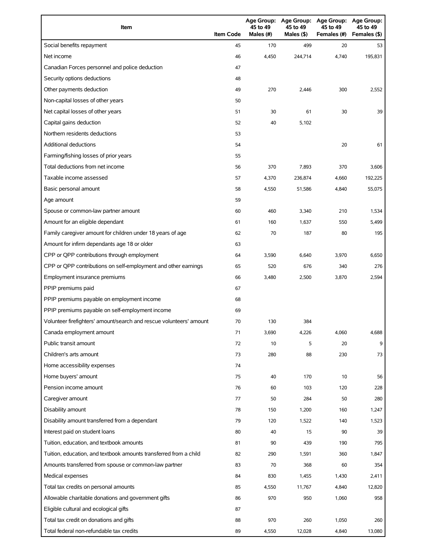| Item                                                                | <b>Item Code</b> | 45 to 49<br>Males (#) | Age Group: Age Group:<br>45 to 49<br>Males (\$) | <b>Age Group:</b><br>45 to 49<br>Females (#) | <b>Age Group:</b><br>45 to 49<br>Females (\$) |
|---------------------------------------------------------------------|------------------|-----------------------|-------------------------------------------------|----------------------------------------------|-----------------------------------------------|
| Social benefits repayment                                           | 45               | 170                   | 499                                             | 20                                           | 53                                            |
| Net income                                                          | 46               | 4,450                 | 244,714                                         | 4,740                                        | 195.831                                       |
| Canadian Forces personnel and police deduction                      | 47               |                       |                                                 |                                              |                                               |
| Security options deductions                                         | 48               |                       |                                                 |                                              |                                               |
| Other payments deduction                                            | 49               | 270                   | 2,446                                           | 300                                          | 2,552                                         |
| Non-capital losses of other years                                   | 50               |                       |                                                 |                                              |                                               |
| Net capital losses of other years                                   | 51               | 30                    | 61                                              | 30                                           | 39                                            |
| Capital gains deduction                                             | 52               | 40                    | 5,102                                           |                                              |                                               |
| Northern residents deductions                                       | 53               |                       |                                                 |                                              |                                               |
| <b>Additional deductions</b>                                        | 54               |                       |                                                 | 20                                           | 61                                            |
| Farming/fishing losses of prior years                               | 55               |                       |                                                 |                                              |                                               |
| Total deductions from net income                                    | 56               | 370                   | 7,893                                           | 370                                          | 3,606                                         |
| Taxable income assessed                                             | 57               | 4,370                 | 236,874                                         | 4,660                                        | 192,225                                       |
| Basic personal amount                                               | 58               | 4,550                 | 51,586                                          | 4,840                                        | 55,075                                        |
| Age amount                                                          | 59               |                       |                                                 |                                              |                                               |
| Spouse or common-law partner amount                                 | 60               | 460                   | 3,340                                           | 210                                          | 1,534                                         |
| Amount for an eligible dependant                                    | 61               | 160                   | 1,637                                           | 550                                          | 5,499                                         |
| Family caregiver amount for children under 18 years of age          | 62               | 70                    | 187                                             | 80                                           | 195                                           |
| Amount for infirm dependants age 18 or older                        | 63               |                       |                                                 |                                              |                                               |
| CPP or QPP contributions through employment                         | 64               | 3,590                 | 6,640                                           | 3,970                                        | 6,650                                         |
| CPP or QPP contributions on self-employment and other earnings      | 65               | 520                   | 676                                             | 340                                          | 276                                           |
| Employment insurance premiums                                       | 66               | 3,480                 | 2,500                                           | 3,870                                        | 2,594                                         |
| PPIP premiums paid                                                  | 67               |                       |                                                 |                                              |                                               |
| PPIP premiums payable on employment income                          | 68               |                       |                                                 |                                              |                                               |
| PPIP premiums payable on self-employment income                     | 69               |                       |                                                 |                                              |                                               |
| Volunteer firefighters' amount/search and rescue volunteers' amount | 70               | 130                   | 384                                             |                                              |                                               |
| Canada employment amount                                            | 71               | 3,690                 | 4,226                                           | 4,060                                        | 4,688                                         |
| Public transit amount                                               | 72               | 10                    | 5                                               | 20                                           | 9                                             |
| Children's arts amount                                              | 73               | 280                   | 88                                              | 230                                          | 73                                            |
| Home accessibility expenses                                         | 74               |                       |                                                 |                                              |                                               |
| Home buyers' amount                                                 | 75               | 40                    | 170                                             | 10                                           | 56                                            |
| Pension income amount                                               | 76               | 60                    | 103                                             | 120                                          | 228                                           |
| Caregiver amount                                                    | 77               | 50                    | 284                                             | 50                                           | 280                                           |
| Disability amount                                                   | 78               | 150                   | 1,200                                           | 160                                          | 1,247                                         |
| Disability amount transferred from a dependant                      | 79               | 120                   | 1,522                                           | 140                                          | 1,523                                         |
| Interest paid on student loans                                      | 80               | 40                    | 15                                              | 90                                           | 39                                            |
| Tuition, education, and textbook amounts                            | 81               | 90                    | 439                                             | 190                                          | 795                                           |
| Tuition, education, and textbook amounts transferred from a child   | 82               | 290                   | 1,591                                           | 360                                          | 1,847                                         |
| Amounts transferred from spouse or common-law partner               | 83               | 70                    | 368                                             | 60                                           | 354                                           |
| Medical expenses                                                    | 84               | 830                   | 1,455                                           | 1,430                                        | 2,411                                         |
| Total tax credits on personal amounts                               | 85               | 4,550                 | 11,767                                          | 4,840                                        | 12,820                                        |
| Allowable charitable donations and government gifts                 | 86               | 970                   | 950                                             | 1,060                                        | 958                                           |
| Eligible cultural and ecological gifts                              | 87               |                       |                                                 |                                              |                                               |
| Total tax credit on donations and gifts                             | 88               | 970                   | 260                                             | 1,050                                        | 260                                           |
| Total federal non-refundable tax credits                            | 89               | 4,550                 | 12,028                                          | 4,840                                        | 13,080                                        |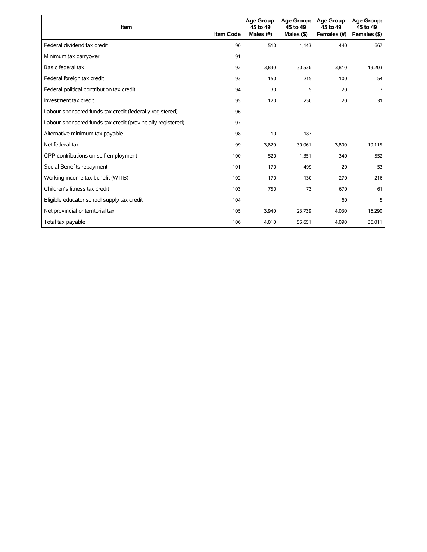| Item                                                        | <b>Item Code</b> | 45 to 49<br>Males (#) | Age Group: Age Group:<br>45 to 49<br>Males $($ \$ $)$ | <b>Age Group:</b><br>45 to 49<br>Females (#) | Age Group:<br>45 to 49<br>Females (\$) |
|-------------------------------------------------------------|------------------|-----------------------|-------------------------------------------------------|----------------------------------------------|----------------------------------------|
| Federal dividend tax credit                                 | 90               | 510                   | 1,143                                                 | 440                                          | 667                                    |
| Minimum tax carryover                                       | 91               |                       |                                                       |                                              |                                        |
| Basic federal tax                                           | 92               | 3,830                 | 30,536                                                | 3,810                                        | 19,203                                 |
| Federal foreign tax credit                                  | 93               | 150                   | 215                                                   | 100                                          | 54                                     |
| Federal political contribution tax credit                   | 94               | 30                    | 5                                                     | 20                                           | 3                                      |
| Investment tax credit                                       | 95               | 120                   | 250                                                   | 20                                           | 31                                     |
| Labour-sponsored funds tax credit (federally registered)    | 96               |                       |                                                       |                                              |                                        |
| Labour-sponsored funds tax credit (provincially registered) | 97               |                       |                                                       |                                              |                                        |
| Alternative minimum tax payable                             | 98               | 10                    | 187                                                   |                                              |                                        |
| Net federal tax                                             | 99               | 3,820                 | 30,061                                                | 3,800                                        | 19,115                                 |
| CPP contributions on self-employment                        | 100              | 520                   | 1,351                                                 | 340                                          | 552                                    |
| Social Benefits repayment                                   | 101              | 170                   | 499                                                   | 20                                           | 53                                     |
| Working income tax benefit (WITB)                           | 102              | 170                   | 130                                                   | 270                                          | 216                                    |
| Children's fitness tax credit                               | 103              | 750                   | 73                                                    | 670                                          | 61                                     |
| Eligible educator school supply tax credit                  | 104              |                       |                                                       | 60                                           | 5                                      |
| Net provincial or territorial tax                           | 105              | 3,940                 | 23,739                                                | 4,030                                        | 16,290                                 |
| Total tax payable                                           | 106              | 4,010                 | 55,651                                                | 4,090                                        | 36,011                                 |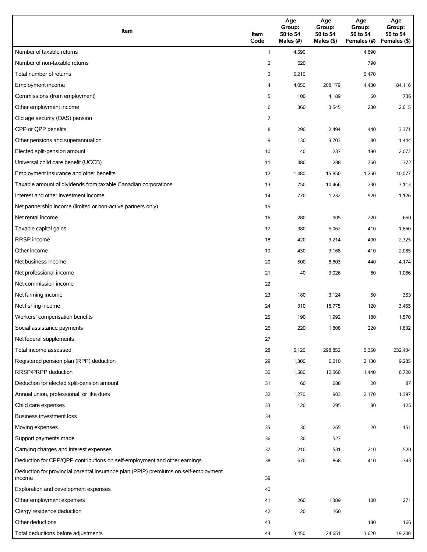| Item                                                                                          | Item<br>Code | Age<br>Group:<br>50 to 54<br>Males (#) | Age<br>Group:<br>50 to 54<br>Males (\$) | Age<br>Group:<br>50 to 54<br>Females (#) | Age<br>Group:<br>50 to 54<br>Females (\$) |
|-----------------------------------------------------------------------------------------------|--------------|----------------------------------------|-----------------------------------------|------------------------------------------|-------------------------------------------|
| Number of taxable returns                                                                     | $\mathbf{1}$ | 4,590                                  |                                         | 4,690                                    |                                           |
| Number of non-taxable returns                                                                 | 2            | 620                                    |                                         | 790                                      |                                           |
| Total number of returns                                                                       | 3            | 5,210                                  |                                         | 5,470                                    |                                           |
| Employment income                                                                             | 4            | 4,050                                  | 208,179                                 | 4,430                                    | 184,116                                   |
| Commissions (from employment)                                                                 | 5            | 100                                    | 4,189                                   | 60                                       | 736                                       |
| Other employment income                                                                       | 6            | 360                                    | 3,545                                   | 230                                      | 2,015                                     |
| Old age security (OAS) pension                                                                | 7            |                                        |                                         |                                          |                                           |
| CPP or QPP benefits                                                                           | 8            | 290                                    | 2,494                                   | 440                                      | 3,371                                     |
| Other pensions and superannuation                                                             | 9            | 130                                    | 3,703                                   | 80                                       | 1,444                                     |
| Elected split-pension amount                                                                  | 10           | 40                                     | 237                                     | 190                                      | 2,072                                     |
| Universal child care benefit (UCCB)                                                           | 11           | 480                                    | 288                                     | 760                                      | 372                                       |
| Employment insurance and other benefits                                                       | 12           | 1,480                                  | 15,850                                  | 1,250                                    | 10,077                                    |
| Taxable amount of dividends from taxable Canadian corporations                                | 13           | 750                                    | 10,466                                  | 730                                      | 7,113                                     |
| Interest and other investment income                                                          | 14           | 770                                    | 1,232                                   | 920                                      | 1,126                                     |
| Net partnership income (limited or non-active partners only)                                  | 15           |                                        |                                         |                                          |                                           |
| Net rental income                                                                             | 16           | 280                                    | 905                                     | 220                                      | 650                                       |
| Taxable capital gains                                                                         | 17           | 380                                    | 5,062                                   | 410                                      | 1,860                                     |
| <b>RRSP</b> income                                                                            | 18           | 420                                    | 3,214                                   | 400                                      | 2,325                                     |
| Other income                                                                                  | 19           | 430                                    | 3,168                                   | 410                                      | 2,085                                     |
| Net business income                                                                           | 20           | 500                                    | 8,803                                   | 440                                      | 4,174                                     |
| Net professional income                                                                       | 21           | 40                                     | 3,026                                   | 60                                       | 1,086                                     |
| Net commission income                                                                         | 22           |                                        |                                         |                                          |                                           |
| Net farming income                                                                            | 23           | 180                                    | 3,124                                   | 50                                       | 353                                       |
| Net fishing income                                                                            | 24           | 310                                    | 16,775                                  | 120                                      | 3,455                                     |
| Workers' compensation benefits                                                                | 25           | 190                                    | 1,992                                   | 180                                      | 1,570                                     |
| Social assistance payments                                                                    | 26           | 220                                    | 1,808                                   | 220                                      | 1,832                                     |
| Net federal supplements                                                                       | 27           |                                        |                                         |                                          |                                           |
| Total income assessed                                                                         | 28           | 5,120                                  | 298,852                                 | 5,350                                    | 232,434                                   |
| Registered pension plan (RPP) deduction                                                       | 29           | 1,300                                  | 6,210                                   | 2,130                                    | 9,285                                     |
| RRSP/PRPP deduction                                                                           | 30           | 1,580                                  | 12,560                                  | 1,440                                    | 6,728                                     |
| Deduction for elected split-pension amount                                                    | 31           | 60                                     | 688                                     | 20                                       | 87                                        |
| Annual union, professional, or like dues                                                      | 32           | 1,270                                  | 903                                     | 2,170                                    | 1,397                                     |
| Child care expenses                                                                           | 33           | 120                                    | 295                                     | 80                                       | 125                                       |
| Business investment loss                                                                      | 34           |                                        |                                         |                                          |                                           |
| Moving expenses                                                                               | 35           | 30                                     | 265                                     | 20                                       | 151                                       |
| Support payments made                                                                         | 36           | 30                                     | 527                                     |                                          |                                           |
| Carrying charges and interest expenses                                                        | 37           | 210                                    | 531                                     | 210                                      | 520                                       |
| Deduction for CPP/QPP contributions on self-employment and other earnings                     | 38           | 670                                    | 868                                     | 410                                      | 343                                       |
| Deduction for provincial parental insurance plan (PPIP) premiums on self-employment<br>income | 39           |                                        |                                         |                                          |                                           |
| Exploration and development expenses                                                          | 40           |                                        |                                         |                                          |                                           |
| Other employment expenses                                                                     | 41           | 260                                    | 1,389                                   | 100                                      | 271                                       |
| Clergy residence deduction                                                                    | 42           | 20                                     | 160                                     |                                          |                                           |
| Other deductions                                                                              | 43           |                                        |                                         | 180                                      | 166                                       |
| Total deductions before adjustments                                                           | 44           | 3,450                                  | 24,651                                  | 3,620                                    | 19,200                                    |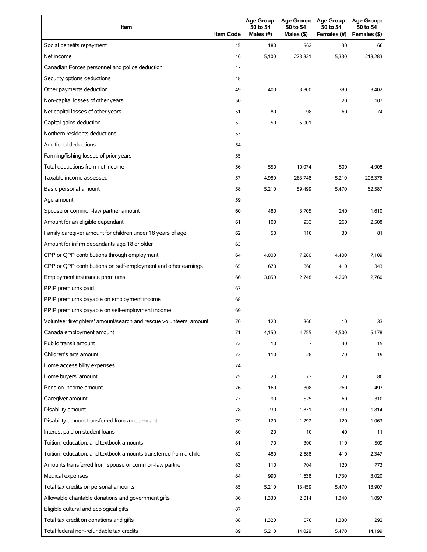| Item                                                                | <b>Item Code</b> | 50 to 54<br>Males (#) | 50 to 54<br>Males $(§)$ | Age Group: Age Group: Age Group:<br>50 to 54<br>Females (#) | Age Group:<br>50 to 54<br>Females (\$) |
|---------------------------------------------------------------------|------------------|-----------------------|-------------------------|-------------------------------------------------------------|----------------------------------------|
| Social benefits repayment                                           | 45               | 180                   | 562                     | 30                                                          | 66                                     |
| Net income                                                          | 46               | 5,100                 | 273,821                 | 5,330                                                       | 213.283                                |
| Canadian Forces personnel and police deduction                      | 47               |                       |                         |                                                             |                                        |
| Security options deductions                                         | 48               |                       |                         |                                                             |                                        |
| Other payments deduction                                            | 49               | 400                   | 3,800                   | 390                                                         | 3,402                                  |
| Non-capital losses of other years                                   | 50               |                       |                         | 20                                                          | 107                                    |
| Net capital losses of other years                                   | 51               | 80                    | 98                      | 60                                                          | 74                                     |
| Capital gains deduction                                             | 52               | 50                    | 5,901                   |                                                             |                                        |
| Northern residents deductions                                       | 53               |                       |                         |                                                             |                                        |
| Additional deductions                                               | 54               |                       |                         |                                                             |                                        |
| Farming/fishing losses of prior years                               | 55               |                       |                         |                                                             |                                        |
| Total deductions from net income                                    | 56               | 550                   | 10,074                  | 500                                                         | 4,908                                  |
| Taxable income assessed                                             | 57               | 4,980                 | 263,748                 | 5,210                                                       | 208,376                                |
| Basic personal amount                                               | 58               | 5,210                 | 59,499                  | 5,470                                                       | 62,587                                 |
| Age amount                                                          | 59               |                       |                         |                                                             |                                        |
| Spouse or common-law partner amount                                 | 60               | 480                   | 3,705                   | 240                                                         | 1,610                                  |
| Amount for an eligible dependant                                    | 61               | 100                   | 933                     | 260                                                         | 2,508                                  |
| Family caregiver amount for children under 18 years of age          | 62               | 50                    | 110                     | 30                                                          | 81                                     |
| Amount for infirm dependants age 18 or older                        | 63               |                       |                         |                                                             |                                        |
| CPP or QPP contributions through employment                         | 64               | 4,000                 | 7,280                   | 4,400                                                       | 7,109                                  |
| CPP or QPP contributions on self-employment and other earnings      | 65               | 670                   | 868                     | 410                                                         | 343                                    |
| Employment insurance premiums                                       | 66               | 3,850                 | 2,748                   | 4,260                                                       | 2,760                                  |
| PPIP premiums paid                                                  | 67               |                       |                         |                                                             |                                        |
| PPIP premiums payable on employment income                          | 68               |                       |                         |                                                             |                                        |
| PPIP premiums payable on self-employment income                     | 69               |                       |                         |                                                             |                                        |
| Volunteer firefighters' amount/search and rescue volunteers' amount | 70               | 120                   | 360                     | 10                                                          | 33                                     |
| Canada employment amount                                            | 71               | 4,150                 | 4,755                   | 4,500                                                       | 5,178                                  |
| Public transit amount                                               | 72               | 10                    | 7                       | 30                                                          | 15                                     |
| Children's arts amount                                              | 73               | 110                   | 28                      | 70                                                          | 19                                     |
| Home accessibility expenses                                         | 74               |                       |                         |                                                             |                                        |
| Home buyers' amount                                                 | 75               | 20                    | 73                      | 20                                                          | 80                                     |
| Pension income amount                                               | 76               | 160                   | 308                     | 260                                                         | 493                                    |
| Caregiver amount                                                    | 77               | 90                    | 525                     | 60                                                          | 310                                    |
| Disability amount                                                   | 78               | 230                   | 1,831                   | 230                                                         | 1,814                                  |
| Disability amount transferred from a dependant                      | 79               | 120                   | 1,292                   | 120                                                         | 1,063                                  |
| Interest paid on student loans                                      | 80               | 20                    | 10                      | 40                                                          | 11                                     |
| Tuition, education, and textbook amounts                            | 81               | 70                    | 300                     | 110                                                         | 509                                    |
| Tuition, education, and textbook amounts transferred from a child   | 82               | 480                   | 2,688                   | 410                                                         | 2,347                                  |
| Amounts transferred from spouse or common-law partner               | 83               | 110                   | 704                     | 120                                                         | 773                                    |
| Medical expenses                                                    | 84               | 990                   | 1,638                   | 1,730                                                       | 3,020                                  |
| Total tax credits on personal amounts                               | 85               | 5,210                 | 13,459                  | 5,470                                                       | 13,907                                 |
| Allowable charitable donations and government gifts                 | 86               | 1,330                 | 2,014                   | 1,340                                                       | 1,097                                  |
| Eligible cultural and ecological gifts                              | 87               |                       |                         |                                                             |                                        |
| Total tax credit on donations and gifts                             | 88               | 1,320                 | 570                     | 1,330                                                       | 292                                    |
| Total federal non-refundable tax credits                            | 89               | 5,210                 | 14,029                  | 5,470                                                       | 14,199                                 |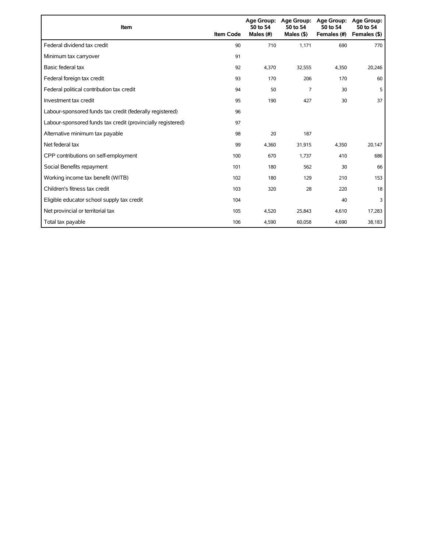| Item                                                        | <b>Item Code</b> | 50 to 54<br>Males (#) | Age Group: Age Group:<br>50 to 54<br>Males $($ \$) | <b>Age Group:</b><br>50 to 54<br>Females (#) | <b>Age Group:</b><br>50 to 54<br>Females (\$) |
|-------------------------------------------------------------|------------------|-----------------------|----------------------------------------------------|----------------------------------------------|-----------------------------------------------|
| Federal dividend tax credit                                 | 90               | 710                   | 1,171                                              | 690                                          | 770                                           |
| Minimum tax carryover                                       | 91               |                       |                                                    |                                              |                                               |
| Basic federal tax                                           | 92               | 4,370                 | 32,555                                             | 4,350                                        | 20,246                                        |
| Federal foreign tax credit                                  | 93               | 170                   | 206                                                | 170                                          | 60                                            |
| Federal political contribution tax credit                   | 94               | 50                    | 7                                                  | 30                                           | 5                                             |
| Investment tax credit                                       | 95               | 190                   | 427                                                | 30                                           | 37                                            |
| Labour-sponsored funds tax credit (federally registered)    | 96               |                       |                                                    |                                              |                                               |
| Labour-sponsored funds tax credit (provincially registered) | 97               |                       |                                                    |                                              |                                               |
| Alternative minimum tax payable                             | 98               | 20                    | 187                                                |                                              |                                               |
| Net federal tax                                             | 99               | 4,360                 | 31,915                                             | 4,350                                        | 20,147                                        |
| CPP contributions on self-employment                        | 100              | 670                   | 1,737                                              | 410                                          | 686                                           |
| Social Benefits repayment                                   | 101              | 180                   | 562                                                | 30                                           | 66                                            |
| Working income tax benefit (WITB)                           | 102              | 180                   | 129                                                | 210                                          | 153                                           |
| Children's fitness tax credit                               | 103              | 320                   | 28                                                 | 220                                          | 18                                            |
| Eligible educator school supply tax credit                  | 104              |                       |                                                    | 40                                           | 3                                             |
| Net provincial or territorial tax                           | 105              | 4,520                 | 25,843                                             | 4,610                                        | 17,283                                        |
| Total tax payable                                           | 106              | 4,590                 | 60,058                                             | 4,690                                        | 38,183                                        |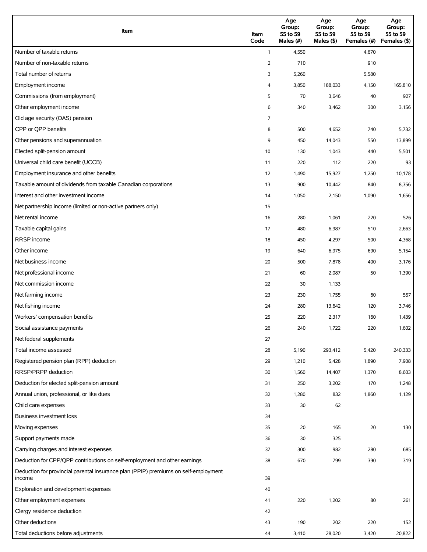| Item                                                                                          | Item<br>Code | Age<br>Group:<br>55 to 59<br>Males (#) | Age<br>Group:<br>55 to 59<br>Males (\$) | Age<br>Group:<br>55 to 59<br>Females (#) | Age<br>Group:<br>55 to 59<br>Females (\$) |
|-----------------------------------------------------------------------------------------------|--------------|----------------------------------------|-----------------------------------------|------------------------------------------|-------------------------------------------|
| Number of taxable returns                                                                     | $\mathbf{1}$ | 4,550                                  |                                         | 4,670                                    |                                           |
| Number of non-taxable returns                                                                 | 2            | 710                                    |                                         | 910                                      |                                           |
| Total number of returns                                                                       | 3            | 5,260                                  |                                         | 5,580                                    |                                           |
| Employment income                                                                             | 4            | 3,850                                  | 188,033                                 | 4,150                                    | 165,810                                   |
| Commissions (from employment)                                                                 | 5            | 70                                     | 3,646                                   | 40                                       | 927                                       |
| Other employment income                                                                       | 6            | 340                                    | 3,462                                   | 300                                      | 3,156                                     |
| Old age security (OAS) pension                                                                | 7            |                                        |                                         |                                          |                                           |
| CPP or OPP benefits                                                                           | 8            | 500                                    | 4,652                                   | 740                                      | 5,732                                     |
| Other pensions and superannuation                                                             | 9            | 450                                    | 14,043                                  | 550                                      | 13,899                                    |
| Elected split-pension amount                                                                  | 10           | 130                                    | 1,043                                   | 440                                      | 5,501                                     |
| Universal child care benefit (UCCB)                                                           | 11           | 220                                    | 112                                     | 220                                      | 93                                        |
| Employment insurance and other benefits                                                       | 12           | 1,490                                  | 15,927                                  | 1,250                                    | 10,178                                    |
| Taxable amount of dividends from taxable Canadian corporations                                | 13           | 900                                    | 10,442                                  | 840                                      | 8,356                                     |
| Interest and other investment income                                                          | 14           | 1,050                                  | 2,150                                   | 1,090                                    | 1,656                                     |
| Net partnership income (limited or non-active partners only)                                  | 15           |                                        |                                         |                                          |                                           |
| Net rental income                                                                             | 16           | 280                                    | 1,061                                   | 220                                      | 526                                       |
| Taxable capital gains                                                                         | 17           | 480                                    | 6,987                                   | 510                                      | 2,663                                     |
| <b>RRSP</b> income                                                                            | 18           | 450                                    | 4,297                                   | 500                                      | 4,368                                     |
| Other income                                                                                  | 19           | 640                                    | 6,975                                   | 690                                      | 5,154                                     |
| Net business income                                                                           | 20           | 500                                    | 7,878                                   | 400                                      | 3,176                                     |
| Net professional income                                                                       | 21           | 60                                     | 2,087                                   | 50                                       | 1,390                                     |
| Net commission income                                                                         | 22           | 30                                     | 1,133                                   |                                          |                                           |
| Net farming income                                                                            | 23           | 230                                    | 1,755                                   | 60                                       | 557                                       |
| Net fishing income                                                                            | 24           | 280                                    | 13,642                                  | 120                                      | 3,746                                     |
| Workers' compensation benefits                                                                | 25           | 220                                    | 2,317                                   | 160                                      | 1,439                                     |
| Social assistance payments                                                                    | 26           | 240                                    | 1,722                                   | 220                                      | 1,602                                     |
| Net federal supplements                                                                       | 27           |                                        |                                         |                                          |                                           |
| Total income assessed                                                                         | 28           | 5,190                                  | 293,412                                 | 5,420                                    | 240,333                                   |
| Registered pension plan (RPP) deduction                                                       | 29           | 1,210                                  | 5,428                                   | 1,890                                    | 7,908                                     |
| RRSP/PRPP deduction                                                                           | 30           | 1,560                                  | 14,407                                  | 1,370                                    | 8,603                                     |
| Deduction for elected split-pension amount                                                    | 31           | 250                                    | 3,202                                   | 170                                      | 1,248                                     |
| Annual union, professional, or like dues                                                      | 32           | 1,280                                  | 832                                     | 1,860                                    | 1,129                                     |
| Child care expenses                                                                           | 33           | 30                                     | 62                                      |                                          |                                           |
| Business investment loss                                                                      | 34           |                                        |                                         |                                          |                                           |
| Moving expenses                                                                               | 35           | 20                                     | 165                                     | 20                                       | 130                                       |
| Support payments made                                                                         | 36           | 30                                     | 325                                     |                                          |                                           |
| Carrying charges and interest expenses                                                        | 37           | 300                                    | 982                                     | 280                                      | 685                                       |
| Deduction for CPP/QPP contributions on self-employment and other earnings                     | 38           | 670                                    | 799                                     | 390                                      | 319                                       |
| Deduction for provincial parental insurance plan (PPIP) premiums on self-employment<br>income | 39           |                                        |                                         |                                          |                                           |
| Exploration and development expenses                                                          | 40           |                                        |                                         |                                          |                                           |
| Other employment expenses                                                                     | 41           | 220                                    | 1,202                                   | 80                                       | 261                                       |
| Clergy residence deduction                                                                    | 42           |                                        |                                         |                                          |                                           |
| Other deductions                                                                              | 43           | 190                                    | 202                                     | 220                                      | 152                                       |
| Total deductions before adjustments                                                           | 44           | 3,410                                  | 28,020                                  | 3,420                                    | 20,822                                    |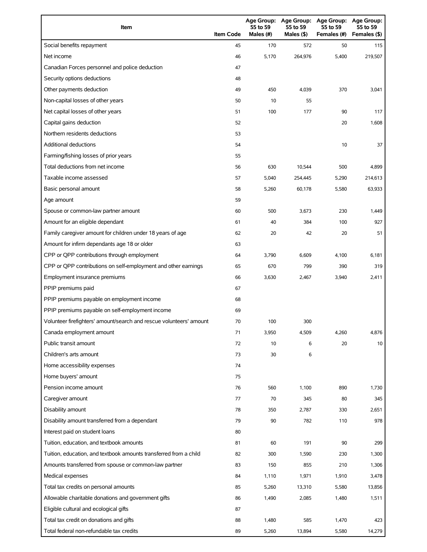| Item                                                                | <b>Item Code</b> | 55 to 59<br>Males (#) | 55 to 59<br>Males $(§)$ | Age Group: Age Group: Age Group:<br>55 to 59<br>Females (#) | <b>Age Group:</b><br>55 to 59<br>Females (\$) |
|---------------------------------------------------------------------|------------------|-----------------------|-------------------------|-------------------------------------------------------------|-----------------------------------------------|
| Social benefits repayment                                           | 45               | 170                   | 572                     | 50                                                          | 115                                           |
| Net income                                                          | 46               | 5,170                 | 264,976                 | 5,400                                                       | 219,507                                       |
| Canadian Forces personnel and police deduction                      | 47               |                       |                         |                                                             |                                               |
| Security options deductions                                         | 48               |                       |                         |                                                             |                                               |
| Other payments deduction                                            | 49               | 450                   | 4,039                   | 370                                                         | 3,041                                         |
| Non-capital losses of other years                                   | 50               | 10                    | 55                      |                                                             |                                               |
| Net capital losses of other years                                   | 51               | 100                   | 177                     | 90                                                          | 117                                           |
| Capital gains deduction                                             | 52               |                       |                         | 20                                                          | 1,608                                         |
| Northern residents deductions                                       | 53               |                       |                         |                                                             |                                               |
| Additional deductions                                               | 54               |                       |                         | 10                                                          | 37                                            |
| Farming/fishing losses of prior years                               | 55               |                       |                         |                                                             |                                               |
| Total deductions from net income                                    | 56               | 630                   | 10,544                  | 500                                                         | 4,899                                         |
| Taxable income assessed                                             | 57               | 5,040                 | 254,445                 | 5,290                                                       | 214,613                                       |
| Basic personal amount                                               | 58               | 5,260                 | 60,178                  | 5,580                                                       | 63,933                                        |
| Age amount                                                          | 59               |                       |                         |                                                             |                                               |
| Spouse or common-law partner amount                                 | 60               | 500                   | 3,673                   | 230                                                         | 1,449                                         |
| Amount for an eligible dependant                                    | 61               | 40                    | 384                     | 100                                                         | 927                                           |
| Family caregiver amount for children under 18 years of age          | 62               | 20                    | 42                      | 20                                                          | 51                                            |
| Amount for infirm dependants age 18 or older                        | 63               |                       |                         |                                                             |                                               |
| CPP or QPP contributions through employment                         | 64               | 3,790                 | 6,609                   | 4,100                                                       | 6,181                                         |
| CPP or QPP contributions on self-employment and other earnings      | 65               | 670                   | 799                     | 390                                                         | 319                                           |
| Employment insurance premiums                                       | 66               | 3,630                 | 2,467                   | 3,940                                                       | 2,411                                         |
| PPIP premiums paid                                                  | 67               |                       |                         |                                                             |                                               |
| PPIP premiums payable on employment income                          | 68               |                       |                         |                                                             |                                               |
| PPIP premiums payable on self-employment income                     | 69               |                       |                         |                                                             |                                               |
| Volunteer firefighters' amount/search and rescue volunteers' amount | 70               | 100                   | 300                     |                                                             |                                               |
| Canada employment amount                                            | 71               | 3,950                 | 4,509                   | 4,260                                                       | 4,876                                         |
| Public transit amount                                               | 72               | 10                    | 6                       | 20                                                          | 10                                            |
| Children's arts amount                                              | 73               | 30                    | 6                       |                                                             |                                               |
| Home accessibility expenses                                         | 74               |                       |                         |                                                             |                                               |
| Home buyers' amount                                                 | 75               |                       |                         |                                                             |                                               |
| Pension income amount                                               | 76               | 560                   | 1,100                   | 890                                                         | 1,730                                         |
| Caregiver amount                                                    | 77               | 70                    | 345                     | 80                                                          | 345                                           |
| Disability amount                                                   | 78               | 350                   | 2,787                   | 330                                                         | 2,651                                         |
| Disability amount transferred from a dependant                      | 79               | 90                    | 782                     | 110                                                         | 978                                           |
| Interest paid on student loans                                      | 80               |                       |                         |                                                             |                                               |
| Tuition, education, and textbook amounts                            | 81               | 60                    | 191                     | 90                                                          | 299                                           |
| Tuition, education, and textbook amounts transferred from a child   | 82               | 300                   | 1,590                   | 230                                                         | 1,300                                         |
| Amounts transferred from spouse or common-law partner               | 83               | 150                   | 855                     | 210                                                         | 1,306                                         |
| Medical expenses                                                    | 84               | 1,110                 | 1,971                   | 1,910                                                       | 3,478                                         |
| Total tax credits on personal amounts                               | 85               | 5,260                 | 13,310                  | 5,580                                                       | 13,856                                        |
| Allowable charitable donations and government gifts                 | 86               | 1,490                 | 2,085                   | 1,480                                                       | 1,511                                         |
| Eligible cultural and ecological gifts                              | 87               |                       |                         |                                                             |                                               |
| Total tax credit on donations and gifts                             | 88               | 1,480                 | 585                     | 1,470                                                       | 423                                           |
| Total federal non-refundable tax credits                            | 89               | 5,260                 | 13,894                  | 5,580                                                       | 14,279                                        |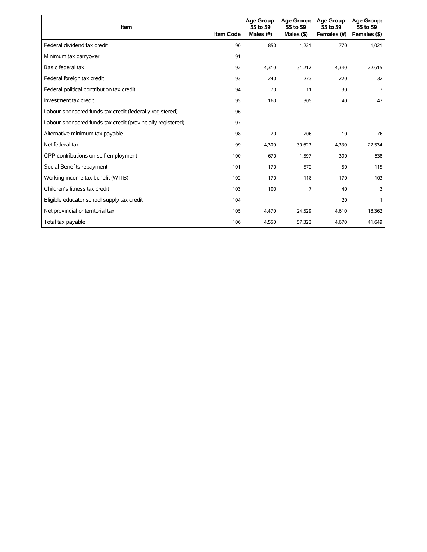| Item                                                        | <b>Item Code</b> | 55 to 59<br>Males (#) | Age Group: Age Group:<br>55 to 59<br>Males $($ \$) | <b>Age Group:</b><br>55 to 59<br>Females (#) | Age Group:<br>55 to 59<br>Females (\$) |
|-------------------------------------------------------------|------------------|-----------------------|----------------------------------------------------|----------------------------------------------|----------------------------------------|
| Federal dividend tax credit                                 | 90               | 850                   | 1,221                                              | 770                                          | 1,021                                  |
| Minimum tax carryover                                       | 91               |                       |                                                    |                                              |                                        |
| Basic federal tax                                           | 92               | 4.310                 | 31,212                                             | 4.340                                        | 22,615                                 |
| Federal foreign tax credit                                  | 93               | 240                   | 273                                                | 220                                          | 32                                     |
| Federal political contribution tax credit                   | 94               | 70                    | 11                                                 | 30                                           | 7                                      |
| Investment tax credit                                       | 95               | 160                   | 305                                                | 40                                           | 43                                     |
| Labour-sponsored funds tax credit (federally registered)    | 96               |                       |                                                    |                                              |                                        |
| Labour-sponsored funds tax credit (provincially registered) | 97               |                       |                                                    |                                              |                                        |
| Alternative minimum tax payable                             | 98               | 20                    | 206                                                | 10                                           | 76                                     |
| Net federal tax                                             | 99               | 4,300                 | 30,623                                             | 4,330                                        | 22,534                                 |
| CPP contributions on self-employment                        | 100              | 670                   | 1,597                                              | 390                                          | 638                                    |
| Social Benefits repayment                                   | 101              | 170                   | 572                                                | 50                                           | 115                                    |
| Working income tax benefit (WITB)                           | 102              | 170                   | 118                                                | 170                                          | 103                                    |
| Children's fitness tax credit                               | 103              | 100                   | 7                                                  | 40                                           | 3                                      |
| Eligible educator school supply tax credit                  | 104              |                       |                                                    | 20                                           |                                        |
| Net provincial or territorial tax                           | 105              | 4,470                 | 24,529                                             | 4,610                                        | 18,362                                 |
| Total tax payable                                           | 106              | 4,550                 | 57,322                                             | 4,670                                        | 41,649                                 |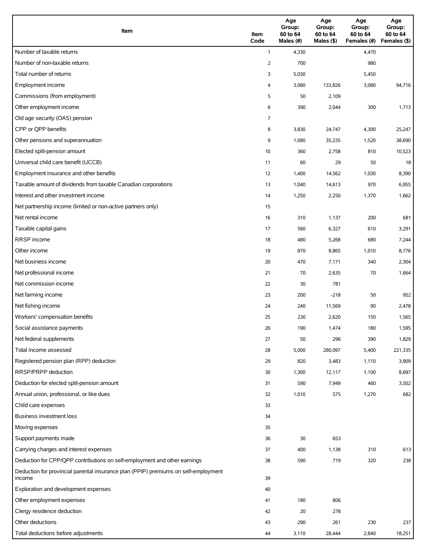| Item                                                                                          | Item<br>Code | Age<br>Group:<br>60 to 64<br>Males (#) | Age<br>Group:<br>60 to 64<br>Males (\$) | Age<br>Group:<br>60 to 64<br>Females (#) | Age<br>Group:<br>60 to 64<br>Females (\$) |
|-----------------------------------------------------------------------------------------------|--------------|----------------------------------------|-----------------------------------------|------------------------------------------|-------------------------------------------|
| Number of taxable returns                                                                     | $\mathbf{1}$ | 4,330                                  |                                         | 4,470                                    |                                           |
| Number of non-taxable returns                                                                 | 2            | 700                                    |                                         | 980                                      |                                           |
| Total number of returns                                                                       | 3            | 5,030                                  |                                         | 5,450                                    |                                           |
| Employment income                                                                             | 4            | 3,080                                  | 133,826                                 | 3,080                                    | 94,716                                    |
| Commissions (from employment)                                                                 | 5            | 50                                     | 2,109                                   |                                          |                                           |
| Other employment income                                                                       | 6            | 390                                    | 2,044                                   | 300                                      | 1,713                                     |
| Old age security (OAS) pension                                                                | 7            |                                        |                                         |                                          |                                           |
| CPP or QPP benefits                                                                           | 8            | 3,830                                  | 24,747                                  | 4,300                                    | 25,247                                    |
| Other pensions and superannuation                                                             | 9            | 1,080                                  | 35,235                                  | 1,520                                    | 38,690                                    |
| Elected split-pension amount                                                                  | 10           | 360                                    | 2,758                                   | 810                                      | 10,523                                    |
| Universal child care benefit (UCCB)                                                           | 11           | 60                                     | 29                                      | 50                                       | 18                                        |
| Employment insurance and other benefits                                                       | 12           | 1,400                                  | 14,562                                  | 1,030                                    | 8,390                                     |
| Taxable amount of dividends from taxable Canadian corporations                                | 13           | 1,040                                  | 14,613                                  | 970                                      | 6,955                                     |
| Interest and other investment income                                                          | 14           | 1,250                                  | 2,250                                   | 1,370                                    | 1,662                                     |
| Net partnership income (limited or non-active partners only)                                  | 15           |                                        |                                         |                                          |                                           |
| Net rental income                                                                             | 16           | 310                                    | 1,137                                   | 200                                      | 681                                       |
| Taxable capital gains                                                                         | 17           | 560                                    | 6,327                                   | 610                                      | 3,291                                     |
| <b>RRSP</b> income                                                                            | 18           | 480                                    | 5,268                                   | 680                                      | 7,244                                     |
| Other income                                                                                  | 19           | 870                                    | 8,865                                   | 1,010                                    | 8,776                                     |
| Net business income                                                                           | 20           | 470                                    | 7,171                                   | 340                                      | 2,304                                     |
| Net professional income                                                                       | 21           | 70                                     | 2,635                                   | 70                                       | 1,664                                     |
| Net commission income                                                                         | 22           | 30                                     | 781                                     |                                          |                                           |
| Net farming income                                                                            | 23           | 200                                    | $-218$                                  | 50                                       | 952                                       |
| Net fishing income                                                                            | 24           | 240                                    | 11,569                                  | 90                                       | 2,478                                     |
| Workers' compensation benefits                                                                | 25           | 230                                    | 2,620                                   | 150                                      | 1,565                                     |
| Social assistance payments                                                                    | 26           | 190                                    | 1,474                                   | 180                                      | 1,595                                     |
| Net federal supplements                                                                       | 27           | 50                                     | 296                                     | 390                                      | 1,829                                     |
| Total income assessed                                                                         | 28           | 5,000                                  | 280,097                                 | 5,400                                    | 221,335                                   |
| Registered pension plan (RPP) deduction                                                       | 29           | 820                                    | 3,483                                   | 1,110                                    | 3,909                                     |
| RRSP/PRPP deduction                                                                           | 30           | 1,300                                  | 12,117                                  | 1,100                                    | 8,697                                     |
| Deduction for elected split-pension amount                                                    | 31           | 590                                    | 7,949                                   | 460                                      | 3,502                                     |
| Annual union, professional, or like dues                                                      | 32           | 1,010                                  | 575                                     | 1,270                                    | 682                                       |
| Child care expenses                                                                           | 33           |                                        |                                         |                                          |                                           |
| Business investment loss                                                                      | 34           |                                        |                                         |                                          |                                           |
| Moving expenses                                                                               | 35           |                                        |                                         |                                          |                                           |
| Support payments made                                                                         | 36           | 30                                     | 653                                     |                                          |                                           |
| Carrying charges and interest expenses                                                        | 37           | 400                                    | 1,138                                   | 310                                      | 613                                       |
| Deduction for CPP/QPP contributions on self-employment and other earnings                     | 38           | 590                                    | 719                                     | 320                                      | 238                                       |
| Deduction for provincial parental insurance plan (PPIP) premiums on self-employment<br>income | 39           |                                        |                                         |                                          |                                           |
| Exploration and development expenses                                                          | 40           |                                        |                                         |                                          |                                           |
| Other employment expenses                                                                     | 41           | 180                                    | 806                                     |                                          |                                           |
| Clergy residence deduction                                                                    | 42           | 20                                     | 278                                     |                                          |                                           |
| Other deductions                                                                              | 43           | 290                                    | 261                                     | 230                                      | 237                                       |
| Total deductions before adjustments                                                           | 44           | 3,110                                  | 28,444                                  | 2,840                                    | 18,251                                    |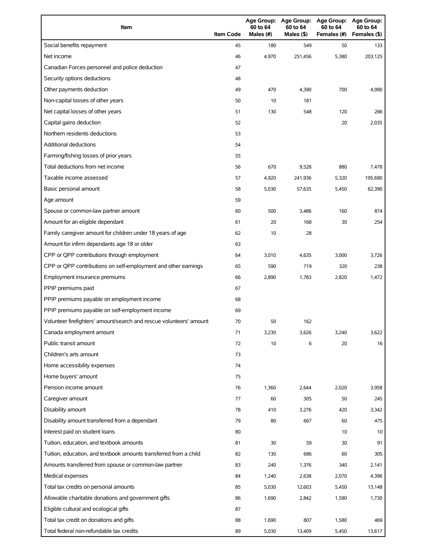| Item                                                                | <b>Item Code</b> | 60 to 64<br>Males (#) | Age Group: Age Group:<br>60 to 64<br>Males (\$) | <b>Age Group:</b><br>60 to 64<br>Females (#) | Age Group:<br>60 to 64<br>Females (\$) |
|---------------------------------------------------------------------|------------------|-----------------------|-------------------------------------------------|----------------------------------------------|----------------------------------------|
| Social benefits repayment                                           | 45               | 180                   | 549                                             | 50                                           | 133                                    |
| Net income                                                          | 46               | 4,970                 | 251,456                                         | 5,380                                        | 203,125                                |
| Canadian Forces personnel and police deduction                      | 47               |                       |                                                 |                                              |                                        |
| Security options deductions                                         | 48               |                       |                                                 |                                              |                                        |
| Other payments deduction                                            | 49               | 470                   | 4,390                                           | 700                                          | 4,990                                  |
| Non-capital losses of other years                                   | 50               | 10                    | 181                                             |                                              |                                        |
| Net capital losses of other years                                   | 51               | 130                   | 548                                             | 120                                          | 266                                    |
| Capital gains deduction                                             | 52               |                       |                                                 | 20                                           | 2,035                                  |
| Northern residents deductions                                       | 53               |                       |                                                 |                                              |                                        |
| <b>Additional deductions</b>                                        | 54               |                       |                                                 |                                              |                                        |
| Farming/fishing losses of prior years                               | 55               |                       |                                                 |                                              |                                        |
| Total deductions from net income                                    | 56               | 670                   | 9,528                                           | 880                                          | 7,478                                  |
| Taxable income assessed                                             | 57               | 4,920                 | 241,936                                         | 5,320                                        | 195,690                                |
| Basic personal amount                                               | 58               | 5,030                 | 57,635                                          | 5,450                                        | 62,390                                 |
| Age amount                                                          | 59               |                       |                                                 |                                              |                                        |
| Spouse or common-law partner amount                                 | 60               | 500                   | 3,486                                           | 160                                          | 874                                    |
| Amount for an eligible dependant                                    | 61               | 20                    | 168                                             | 30                                           | 254                                    |
| Family caregiver amount for children under 18 years of age          | 62               | 10                    | 28                                              |                                              |                                        |
| Amount for infirm dependants age 18 or older                        | 63               |                       |                                                 |                                              |                                        |
| CPP or QPP contributions through employment                         | 64               | 3,010                 | 4,635                                           | 3,000                                        | 3,726                                  |
| CPP or QPP contributions on self-employment and other earnings      | 65               | 590                   | 719                                             | 320                                          | 238                                    |
| Employment insurance premiums                                       | 66               | 2,890                 | 1,783                                           | 2,820                                        | 1,472                                  |
| PPIP premiums paid                                                  | 67               |                       |                                                 |                                              |                                        |
| PPIP premiums payable on employment income                          | 68               |                       |                                                 |                                              |                                        |
| PPIP premiums payable on self-employment income                     | 69               |                       |                                                 |                                              |                                        |
| Volunteer firefighters' amount/search and rescue volunteers' amount | 70               | 50                    | 162                                             |                                              |                                        |
| Canada employment amount                                            | 71               | 3,230                 | 3,626                                           | 3,240                                        | 3,622                                  |
| Public transit amount                                               | 72               | 10                    | 6                                               | 20                                           | 16                                     |
| Children's arts amount                                              | 73               |                       |                                                 |                                              |                                        |
| Home accessibility expenses                                         | 74               |                       |                                                 |                                              |                                        |
| Home buyers' amount                                                 | 75               |                       |                                                 |                                              |                                        |
| Pension income amount                                               | 76               | 1,360                 | 2,644                                           | 2,020                                        | 3,958                                  |
| Caregiver amount                                                    | 77               | 60                    | 305                                             | 50                                           | 245                                    |
| Disability amount                                                   | 78               | 410                   | 3,276                                           | 420                                          | 3,342                                  |
| Disability amount transferred from a dependant                      | 79               | 80                    | 667                                             | 60                                           | 475                                    |
| Interest paid on student loans                                      | 80               |                       |                                                 | 10                                           | 10                                     |
| Tuition, education, and textbook amounts                            | 81               | 30                    | 59                                              | 30                                           | 91                                     |
| Tuition, education, and textbook amounts transferred from a child   | 82               | 130                   | 686                                             | 60                                           | 305                                    |
| Amounts transferred from spouse or common-law partner               | 83               | 240                   | 1,376                                           | 340                                          | 2,141                                  |
| Medical expenses                                                    | 84               | 1,240                 | 2,638                                           | 2,070                                        | 4,396                                  |
| Total tax credits on personal amounts                               | 85               | 5,030                 | 12,603                                          | 5,450                                        | 13,148                                 |
| Allowable charitable donations and government gifts                 | 86               | 1,690                 | 2,842                                           | 1,590                                        | 1,730                                  |
| Eligible cultural and ecological gifts                              | 87               |                       |                                                 |                                              |                                        |
| Total tax credit on donations and gifts                             | 88               | 1,690                 | 807                                             | 1,580                                        | 469                                    |
| Total federal non-refundable tax credits                            | 89               | 5,030                 | 13,409                                          | 5,450                                        | 13,617                                 |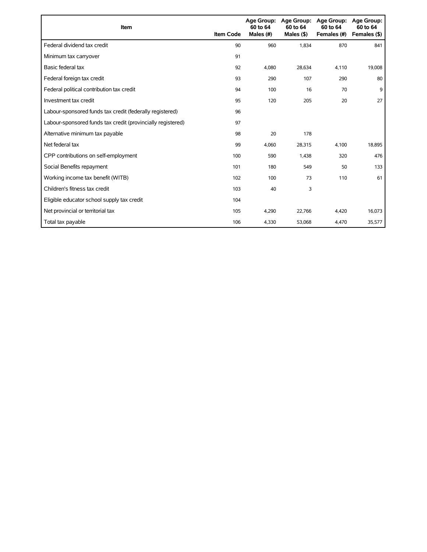| Item                                                        | <b>Item Code</b> | 60 to 64<br>Males (#) | Age Group: Age Group:<br>60 to 64<br>Males $($ \$ $)$ | Age Group:<br>60 to 64<br>Females (#) | <b>Age Group:</b><br>60 to 64<br>Females (\$) |
|-------------------------------------------------------------|------------------|-----------------------|-------------------------------------------------------|---------------------------------------|-----------------------------------------------|
| Federal dividend tax credit                                 | 90               | 960                   | 1,834                                                 | 870                                   | 841                                           |
| Minimum tax carryover                                       | 91               |                       |                                                       |                                       |                                               |
| Basic federal tax                                           | 92               | 4,080                 | 28,634                                                | 4,110                                 | 19,008                                        |
| Federal foreign tax credit                                  | 93               | 290                   | 107                                                   | 290                                   | 80                                            |
| Federal political contribution tax credit                   | 94               | 100                   | 16                                                    | 70                                    | 9                                             |
| Investment tax credit                                       | 95               | 120                   | 205                                                   | 20                                    | 27                                            |
| Labour-sponsored funds tax credit (federally registered)    | 96               |                       |                                                       |                                       |                                               |
| Labour-sponsored funds tax credit (provincially registered) | 97               |                       |                                                       |                                       |                                               |
| Alternative minimum tax payable                             | 98               | 20                    | 178                                                   |                                       |                                               |
| Net federal tax                                             | 99               | 4,060                 | 28,315                                                | 4,100                                 | 18,895                                        |
| CPP contributions on self-employment                        | 100              | 590                   | 1,438                                                 | 320                                   | 476                                           |
| Social Benefits repayment                                   | 101              | 180                   | 549                                                   | 50                                    | 133                                           |
| Working income tax benefit (WITB)                           | 102              | 100                   | 73                                                    | 110                                   | 61                                            |
| Children's fitness tax credit                               | 103              | 40                    | 3                                                     |                                       |                                               |
| Eligible educator school supply tax credit                  | 104              |                       |                                                       |                                       |                                               |
| Net provincial or territorial tax                           | 105              | 4,290                 | 22,766                                                | 4,420                                 | 16,073                                        |
| Total tax payable                                           | 106              | 4,330                 | 53,068                                                | 4,470                                 | 35,577                                        |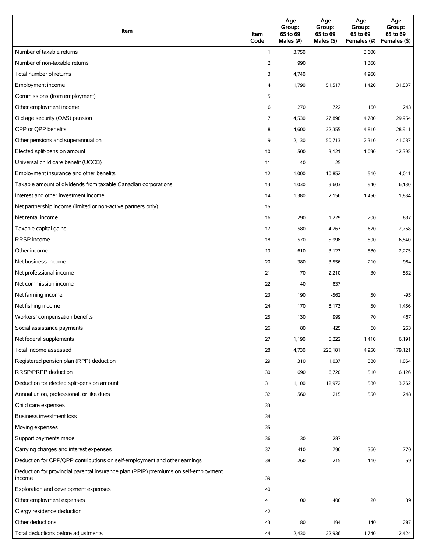| Item                                                                                          | Item<br>Code | Age<br>Group:<br>65 to 69<br>Males (#) | Age<br>Group:<br>65 to 69<br>Males (\$) | Age<br>Group:<br>65 to 69<br>Females (#) | Age<br>Group:<br>65 to 69<br>Females (\$) |
|-----------------------------------------------------------------------------------------------|--------------|----------------------------------------|-----------------------------------------|------------------------------------------|-------------------------------------------|
| Number of taxable returns                                                                     | $\mathbf{1}$ | 3,750                                  |                                         | 3,600                                    |                                           |
| Number of non-taxable returns                                                                 | 2            | 990                                    |                                         | 1,360                                    |                                           |
| Total number of returns                                                                       | 3            | 4,740                                  |                                         | 4,960                                    |                                           |
| Employment income                                                                             | 4            | 1,790                                  | 51,517                                  | 1,420                                    | 31,837                                    |
| Commissions (from employment)                                                                 | 5            |                                        |                                         |                                          |                                           |
| Other employment income                                                                       | 6            | 270                                    | 722                                     | 160                                      | 243                                       |
| Old age security (OAS) pension                                                                | 7            | 4,530                                  | 27,898                                  | 4,780                                    | 29,954                                    |
| CPP or QPP benefits                                                                           | 8            | 4,600                                  | 32,355                                  | 4,810                                    | 28,911                                    |
| Other pensions and superannuation                                                             | 9            | 2,130                                  | 50,713                                  | 2,310                                    | 41,087                                    |
| Elected split-pension amount                                                                  | 10           | 500                                    | 3,121                                   | 1,090                                    | 12,395                                    |
| Universal child care benefit (UCCB)                                                           | 11           | 40                                     | 25                                      |                                          |                                           |
| Employment insurance and other benefits                                                       | 12           | 1,000                                  | 10,852                                  | 510                                      | 4,041                                     |
| Taxable amount of dividends from taxable Canadian corporations                                | 13           | 1,030                                  | 9,603                                   | 940                                      | 6,130                                     |
| Interest and other investment income                                                          | 14           | 1,380                                  | 2,156                                   | 1,450                                    | 1,834                                     |
| Net partnership income (limited or non-active partners only)                                  | 15           |                                        |                                         |                                          |                                           |
| Net rental income                                                                             | 16           | 290                                    | 1,229                                   | 200                                      | 837                                       |
| Taxable capital gains                                                                         | 17           | 580                                    | 4,267                                   | 620                                      | 2,768                                     |
| <b>RRSP</b> income                                                                            | 18           | 570                                    | 5,998                                   | 590                                      | 6,540                                     |
| Other income                                                                                  | 19           | 610                                    | 3,123                                   | 580                                      | 2,275                                     |
| Net business income                                                                           | 20           | 380                                    | 3,556                                   | 210                                      | 984                                       |
| Net professional income                                                                       | 21           | 70                                     | 2,210                                   | 30                                       | 552                                       |
| Net commission income                                                                         | 22           | 40                                     | 837                                     |                                          |                                           |
| Net farming income                                                                            | 23           | 190                                    | $-562$                                  | 50                                       | $-95$                                     |
| Net fishing income                                                                            | 24           | 170                                    | 8,173                                   | 50                                       | 1,456                                     |
| Workers' compensation benefits                                                                | 25           | 130                                    | 999                                     | 70                                       | 467                                       |
| Social assistance payments                                                                    | 26           | 80                                     | 425                                     | 60                                       | 253                                       |
| Net federal supplements                                                                       | 27           | 1,190                                  | 5,222                                   | 1,410                                    | 6,191                                     |
| Total income assessed                                                                         | 28           | 4,730                                  | 225,181                                 | 4,950                                    | 179,121                                   |
| Registered pension plan (RPP) deduction                                                       | 29           | 310                                    | 1,037                                   | 380                                      | 1,064                                     |
| RRSP/PRPP deduction                                                                           | 30           | 690                                    | 6,720                                   | 510                                      | 6,126                                     |
| Deduction for elected split-pension amount                                                    | 31           | 1,100                                  | 12,972                                  | 580                                      | 3,762                                     |
| Annual union, professional, or like dues                                                      | 32           | 560                                    | 215                                     | 550                                      | 248                                       |
| Child care expenses                                                                           | 33           |                                        |                                         |                                          |                                           |
| Business investment loss                                                                      | 34           |                                        |                                         |                                          |                                           |
| Moving expenses                                                                               | 35           |                                        |                                         |                                          |                                           |
| Support payments made                                                                         | 36           | 30                                     | 287                                     |                                          |                                           |
| Carrying charges and interest expenses                                                        | 37           | 410                                    | 790                                     | 360                                      | 770                                       |
| Deduction for CPP/QPP contributions on self-employment and other earnings                     | 38           | 260                                    | 215                                     | 110                                      | 59                                        |
| Deduction for provincial parental insurance plan (PPIP) premiums on self-employment<br>income | 39           |                                        |                                         |                                          |                                           |
| Exploration and development expenses                                                          | 40           |                                        |                                         |                                          |                                           |
| Other employment expenses                                                                     | 41           | 100                                    | 400                                     | $20\,$                                   | 39                                        |
| Clergy residence deduction                                                                    | 42           |                                        |                                         |                                          |                                           |
| Other deductions                                                                              | 43           | 180                                    | 194                                     | 140                                      | 287                                       |
| Total deductions before adjustments                                                           | 44           | 2,430                                  | 22,936                                  | 1,740                                    | 12,424                                    |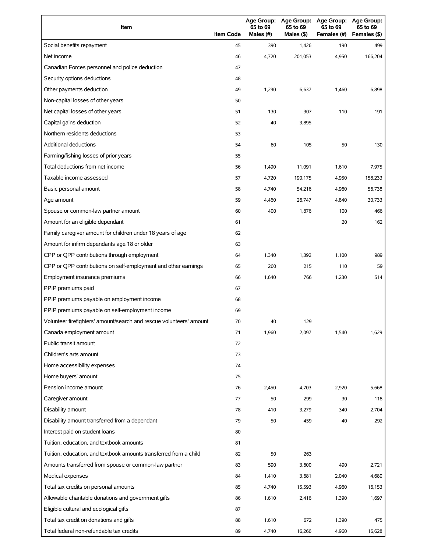| Item                                                                | <b>Item Code</b> | 65 to 69<br>Males (#) | 65 to 69<br>Males (\$) | Age Group: Age Group: Age Group:<br>65 to 69<br>Females (#) | <b>Age Group:</b><br>65 to 69<br>Females (\$) |
|---------------------------------------------------------------------|------------------|-----------------------|------------------------|-------------------------------------------------------------|-----------------------------------------------|
| Social benefits repayment                                           | 45               | 390                   | 1,426                  | 190                                                         | 499                                           |
| Net income                                                          | 46               | 4,720                 | 201,053                | 4,950                                                       | 166,204                                       |
| Canadian Forces personnel and police deduction                      | 47               |                       |                        |                                                             |                                               |
| Security options deductions                                         | 48               |                       |                        |                                                             |                                               |
| Other payments deduction                                            | 49               | 1,290                 | 6,637                  | 1,460                                                       | 6,898                                         |
| Non-capital losses of other years                                   | 50               |                       |                        |                                                             |                                               |
| Net capital losses of other years                                   | 51               | 130                   | 307                    | 110                                                         | 191                                           |
| Capital gains deduction                                             | 52               | 40                    | 3,895                  |                                                             |                                               |
| Northern residents deductions                                       | 53               |                       |                        |                                                             |                                               |
| Additional deductions                                               | 54               | 60                    | 105                    | 50                                                          | 130                                           |
| Farming/fishing losses of prior years                               | 55               |                       |                        |                                                             |                                               |
| Total deductions from net income                                    | 56               | 1,490                 | 11,091                 | 1,610                                                       | 7,975                                         |
| Taxable income assessed                                             | 57               | 4,720                 | 190,175                | 4,950                                                       | 158,233                                       |
| Basic personal amount                                               | 58               | 4,740                 | 54,216                 | 4,960                                                       | 56,738                                        |
| Age amount                                                          | 59               | 4,460                 | 26,747                 | 4,840                                                       | 30,733                                        |
| Spouse or common-law partner amount                                 | 60               | 400                   | 1,876                  | 100                                                         | 466                                           |
| Amount for an eligible dependant                                    | 61               |                       |                        | 20                                                          | 162                                           |
| Family caregiver amount for children under 18 years of age          | 62               |                       |                        |                                                             |                                               |
| Amount for infirm dependants age 18 or older                        | 63               |                       |                        |                                                             |                                               |
| CPP or QPP contributions through employment                         | 64               | 1,340                 | 1,392                  | 1,100                                                       | 989                                           |
| CPP or QPP contributions on self-employment and other earnings      | 65               | 260                   | 215                    | 110                                                         | 59                                            |
| Employment insurance premiums                                       | 66               | 1,640                 | 766                    | 1,230                                                       | 514                                           |
| PPIP premiums paid                                                  | 67               |                       |                        |                                                             |                                               |
| PPIP premiums payable on employment income                          | 68               |                       |                        |                                                             |                                               |
| PPIP premiums payable on self-employment income                     | 69               |                       |                        |                                                             |                                               |
| Volunteer firefighters' amount/search and rescue volunteers' amount | 70               | 40                    | 129                    |                                                             |                                               |
| Canada employment amount                                            | 71               | 1,960                 | 2,097                  | 1,540                                                       | 1,629                                         |
| Public transit amount                                               | 72               |                       |                        |                                                             |                                               |
| Children's arts amount                                              | 73               |                       |                        |                                                             |                                               |
| Home accessibility expenses                                         | 74               |                       |                        |                                                             |                                               |
| Home buyers' amount                                                 | 75               |                       |                        |                                                             |                                               |
| Pension income amount                                               | 76               | 2,450                 | 4,703                  | 2,920                                                       | 5,668                                         |
| Caregiver amount                                                    | 77               | 50                    | 299                    | 30                                                          | 118                                           |
| Disability amount                                                   | 78               | 410                   | 3,279                  | 340                                                         | 2,704                                         |
| Disability amount transferred from a dependant                      | 79               | 50                    | 459                    | 40                                                          | 292                                           |
| Interest paid on student loans                                      | 80               |                       |                        |                                                             |                                               |
| Tuition, education, and textbook amounts                            | 81               |                       |                        |                                                             |                                               |
| Tuition, education, and textbook amounts transferred from a child   | 82               | 50                    | 263                    |                                                             |                                               |
| Amounts transferred from spouse or common-law partner               | 83               | 590                   | 3,600                  | 490                                                         | 2,721                                         |
| Medical expenses                                                    | 84               | 1,410                 | 3,681                  | 2,040                                                       | 4,680                                         |
| Total tax credits on personal amounts                               | 85               | 4,740                 | 15,593                 | 4,960                                                       | 16,153                                        |
| Allowable charitable donations and government gifts                 | 86               | 1,610                 | 2,416                  | 1,390                                                       | 1,697                                         |
| Eligible cultural and ecological gifts                              | 87               |                       |                        |                                                             |                                               |
| Total tax credit on donations and gifts                             | 88               | 1,610                 | 672                    | 1,390                                                       | 475                                           |
| Total federal non-refundable tax credits                            | 89               | 4,740                 | 16,266                 | 4,960                                                       | 16,628                                        |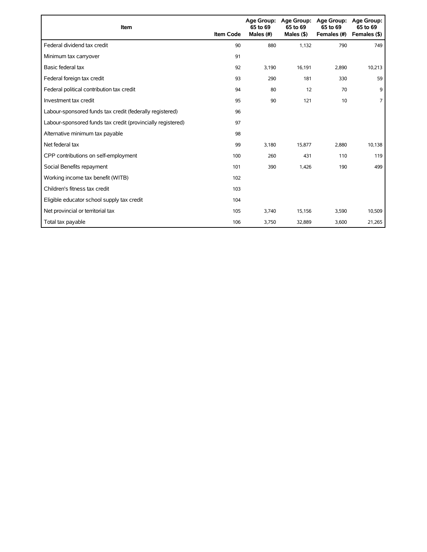| Item                                                        | <b>Item Code</b> | 65 to 69<br>Males (#) | Age Group: Age Group:<br>65 to 69<br>Males $($ \$) | <b>Age Group:</b><br>65 to 69<br>Females (#) | <b>Age Group:</b><br>65 to 69<br>Females (\$) |
|-------------------------------------------------------------|------------------|-----------------------|----------------------------------------------------|----------------------------------------------|-----------------------------------------------|
| Federal dividend tax credit                                 | 90               | 880                   | 1,132                                              | 790                                          | 749                                           |
| Minimum tax carryover                                       | 91               |                       |                                                    |                                              |                                               |
| Basic federal tax                                           | 92               | 3,190                 | 16,191                                             | 2,890                                        | 10,213                                        |
| Federal foreign tax credit                                  | 93               | 290                   | 181                                                | 330                                          | 59                                            |
| Federal political contribution tax credit                   | 94               | 80                    | 12                                                 | 70                                           | 9                                             |
| Investment tax credit                                       | 95               | 90                    | 121                                                | 10                                           | 7                                             |
| Labour-sponsored funds tax credit (federally registered)    | 96               |                       |                                                    |                                              |                                               |
| Labour-sponsored funds tax credit (provincially registered) | 97               |                       |                                                    |                                              |                                               |
| Alternative minimum tax payable                             | 98               |                       |                                                    |                                              |                                               |
| Net federal tax                                             | 99               | 3,180                 | 15,877                                             | 2,880                                        | 10,138                                        |
| CPP contributions on self-employment                        | 100              | 260                   | 431                                                | 110                                          | 119                                           |
| Social Benefits repayment                                   | 101              | 390                   | 1,426                                              | 190                                          | 499                                           |
| Working income tax benefit (WITB)                           | 102              |                       |                                                    |                                              |                                               |
| Children's fitness tax credit                               | 103              |                       |                                                    |                                              |                                               |
| Eligible educator school supply tax credit                  | 104              |                       |                                                    |                                              |                                               |
| Net provincial or territorial tax                           | 105              | 3,740                 | 15,156                                             | 3,590                                        | 10,509                                        |
| Total tax payable                                           | 106              | 3,750                 | 32,889                                             | 3,600                                        | 21,265                                        |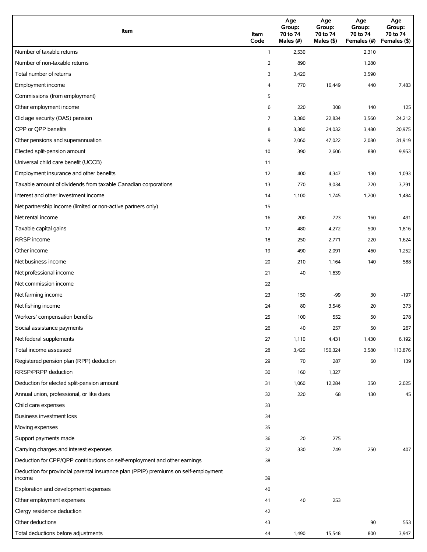| Item                                                                                          | Item<br>Code | Age<br>Group:<br>70 to 74<br>Males (#) | Age<br>Group:<br>70 to 74<br>Males (\$) | Age<br>Group:<br>70 to 74<br>Females (#) | Age<br>Group:<br>70 to 74<br>Females (\$) |
|-----------------------------------------------------------------------------------------------|--------------|----------------------------------------|-----------------------------------------|------------------------------------------|-------------------------------------------|
| Number of taxable returns                                                                     | $\mathbf{1}$ | 2,530                                  |                                         | 2,310                                    |                                           |
| Number of non-taxable returns                                                                 | 2            | 890                                    |                                         | 1,280                                    |                                           |
| Total number of returns                                                                       | 3            | 3,420                                  |                                         | 3,590                                    |                                           |
| Employment income                                                                             | 4            | 770                                    | 16,449                                  | 440                                      | 7,483                                     |
| Commissions (from employment)                                                                 | 5            |                                        |                                         |                                          |                                           |
| Other employment income                                                                       | 6            | 220                                    | 308                                     | 140                                      | 125                                       |
| Old age security (OAS) pension                                                                | 7            | 3,380                                  | 22,834                                  | 3,560                                    | 24,212                                    |
| CPP or QPP benefits                                                                           | 8            | 3,380                                  | 24,032                                  | 3,480                                    | 20,975                                    |
| Other pensions and superannuation                                                             | 9            | 2,060                                  | 47,022                                  | 2,080                                    | 31,919                                    |
| Elected split-pension amount                                                                  | 10           | 390                                    | 2,606                                   | 880                                      | 9,953                                     |
| Universal child care benefit (UCCB)                                                           | 11           |                                        |                                         |                                          |                                           |
| Employment insurance and other benefits                                                       | 12           | 400                                    | 4,347                                   | 130                                      | 1,093                                     |
| Taxable amount of dividends from taxable Canadian corporations                                | 13           | 770                                    | 9,034                                   | 720                                      | 3,791                                     |
| Interest and other investment income                                                          | 14           | 1,100                                  | 1,745                                   | 1,200                                    | 1,484                                     |
| Net partnership income (limited or non-active partners only)                                  | 15           |                                        |                                         |                                          |                                           |
| Net rental income                                                                             | 16           | 200                                    | 723                                     | 160                                      | 491                                       |
| Taxable capital gains                                                                         | 17           | 480                                    | 4,272                                   | 500                                      | 1,816                                     |
| <b>RRSP</b> income                                                                            | 18           | 250                                    | 2,771                                   | 220                                      | 1,624                                     |
| Other income                                                                                  | 19           | 490                                    | 2,091                                   | 460                                      | 1,252                                     |
| Net business income                                                                           | 20           | 210                                    | 1,164                                   | 140                                      | 588                                       |
| Net professional income                                                                       | 21           | 40                                     | 1,639                                   |                                          |                                           |
| Net commission income                                                                         | 22           |                                        |                                         |                                          |                                           |
| Net farming income                                                                            | 23           | 150                                    | -99                                     | 30                                       | $-197$                                    |
| Net fishing income                                                                            | 24           | 80                                     | 3,546                                   | 20                                       | 373                                       |
| Workers' compensation benefits                                                                | 25           | 100                                    | 552                                     | 50                                       | 278                                       |
| Social assistance payments                                                                    | 26           | 40                                     | 257                                     | 50                                       | 267                                       |
| Net federal supplements                                                                       | 27           | 1,110                                  | 4,431                                   | 1,430                                    | 6,192                                     |
| Total income assessed                                                                         | 28           | 3,420                                  | 150,324                                 | 3,580                                    | 113,876                                   |
| Registered pension plan (RPP) deduction                                                       | 29           | 70                                     | 287                                     | 60                                       | 139                                       |
| RRSP/PRPP deduction                                                                           | 30           | 160                                    | 1,327                                   |                                          |                                           |
| Deduction for elected split-pension amount                                                    | 31           | 1,060                                  | 12,284                                  | 350                                      | 2,025                                     |
| Annual union, professional, or like dues                                                      | 32           | 220                                    | 68                                      | 130                                      | 45                                        |
| Child care expenses                                                                           | 33           |                                        |                                         |                                          |                                           |
| Business investment loss                                                                      | 34           |                                        |                                         |                                          |                                           |
| Moving expenses                                                                               | 35           |                                        |                                         |                                          |                                           |
| Support payments made                                                                         | 36           | 20                                     | 275                                     |                                          |                                           |
| Carrying charges and interest expenses                                                        | 37           | 330                                    | 749                                     | 250                                      | 407                                       |
| Deduction for CPP/QPP contributions on self-employment and other earnings                     | 38           |                                        |                                         |                                          |                                           |
| Deduction for provincial parental insurance plan (PPIP) premiums on self-employment<br>income | 39           |                                        |                                         |                                          |                                           |
| Exploration and development expenses                                                          | 40           |                                        |                                         |                                          |                                           |
| Other employment expenses                                                                     | 41           | 40                                     | 253                                     |                                          |                                           |
| Clergy residence deduction                                                                    | 42           |                                        |                                         |                                          |                                           |
| Other deductions                                                                              | 43           |                                        |                                         | 90                                       | 553                                       |
| Total deductions before adjustments                                                           | 44           | 1,490                                  | 15,548                                  | 800                                      | 3,947                                     |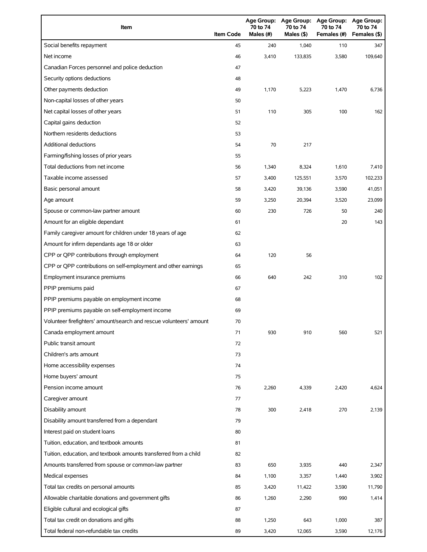| Item                                                                | <b>Item Code</b> | 70 to 74<br>Males (#) | 70 to 74<br>Males $(§)$ | Age Group: Age Group: Age Group:<br>70 to 74<br>Females (#) | <b>Age Group:</b><br>70 to 74<br>Females (\$) |
|---------------------------------------------------------------------|------------------|-----------------------|-------------------------|-------------------------------------------------------------|-----------------------------------------------|
| Social benefits repayment                                           | 45               | 240                   | 1,040                   | 110                                                         | 347                                           |
| Net income                                                          | 46               | 3,410                 | 133,835                 | 3,580                                                       | 109,640                                       |
| Canadian Forces personnel and police deduction                      | 47               |                       |                         |                                                             |                                               |
| Security options deductions                                         | 48               |                       |                         |                                                             |                                               |
| Other payments deduction                                            | 49               | 1,170                 | 5,223                   | 1,470                                                       | 6,736                                         |
| Non-capital losses of other years                                   | 50               |                       |                         |                                                             |                                               |
| Net capital losses of other years                                   | 51               | 110                   | 305                     | 100                                                         | 162                                           |
| Capital gains deduction                                             | 52               |                       |                         |                                                             |                                               |
| Northern residents deductions                                       | 53               |                       |                         |                                                             |                                               |
| Additional deductions                                               | 54               | 70                    | 217                     |                                                             |                                               |
| Farming/fishing losses of prior years                               | 55               |                       |                         |                                                             |                                               |
| Total deductions from net income                                    | 56               | 1,340                 | 8,324                   | 1,610                                                       | 7,410                                         |
| Taxable income assessed                                             | 57               | 3,400                 | 125,551                 | 3,570                                                       | 102,233                                       |
| Basic personal amount                                               | 58               | 3,420                 | 39,136                  | 3,590                                                       | 41,051                                        |
| Age amount                                                          | 59               | 3,250                 | 20,394                  | 3,520                                                       | 23,099                                        |
| Spouse or common-law partner amount                                 | 60               | 230                   | 726                     | 50                                                          | 240                                           |
| Amount for an eligible dependant                                    | 61               |                       |                         | 20                                                          | 143                                           |
| Family caregiver amount for children under 18 years of age          | 62               |                       |                         |                                                             |                                               |
| Amount for infirm dependants age 18 or older                        | 63               |                       |                         |                                                             |                                               |
| CPP or QPP contributions through employment                         | 64               | 120                   | 56                      |                                                             |                                               |
| CPP or QPP contributions on self-employment and other earnings      | 65               |                       |                         |                                                             |                                               |
| Employment insurance premiums                                       | 66               | 640                   | 242                     | 310                                                         | 102                                           |
| PPIP premiums paid                                                  | 67               |                       |                         |                                                             |                                               |
| PPIP premiums payable on employment income                          | 68               |                       |                         |                                                             |                                               |
| PPIP premiums payable on self-employment income                     | 69               |                       |                         |                                                             |                                               |
| Volunteer firefighters' amount/search and rescue volunteers' amount | 70               |                       |                         |                                                             |                                               |
| Canada employment amount                                            | 71               | 930                   | 910                     | 560                                                         | 521                                           |
| Public transit amount                                               | 72               |                       |                         |                                                             |                                               |
| Children's arts amount                                              | 73               |                       |                         |                                                             |                                               |
| Home accessibility expenses                                         | 74               |                       |                         |                                                             |                                               |
| Home buyers' amount                                                 | 75               |                       |                         |                                                             |                                               |
| Pension income amount                                               | 76               | 2,260                 | 4,339                   | 2,420                                                       | 4,624                                         |
| Caregiver amount                                                    | 77               |                       |                         |                                                             |                                               |
| Disability amount                                                   | 78               | 300                   | 2,418                   | 270                                                         | 2,139                                         |
| Disability amount transferred from a dependant                      | 79               |                       |                         |                                                             |                                               |
| Interest paid on student loans                                      | 80               |                       |                         |                                                             |                                               |
| Tuition, education, and textbook amounts                            | 81               |                       |                         |                                                             |                                               |
| Tuition, education, and textbook amounts transferred from a child   | 82               |                       |                         |                                                             |                                               |
| Amounts transferred from spouse or common-law partner               | 83               | 650                   | 3,935                   | 440                                                         | 2,347                                         |
| Medical expenses                                                    | 84               | 1,100                 | 3,357                   | 1,440                                                       | 3,902                                         |
| Total tax credits on personal amounts                               | 85               | 3,420                 | 11,422                  | 3,590                                                       | 11,790                                        |
| Allowable charitable donations and government gifts                 | 86               | 1,260                 | 2,290                   | 990                                                         | 1,414                                         |
| Eligible cultural and ecological gifts                              | 87               |                       |                         |                                                             |                                               |
| Total tax credit on donations and gifts                             | 88               | 1,250                 | 643                     | 1,000                                                       | 387                                           |
| Total federal non-refundable tax credits                            | 89               | 3,420                 | 12,065                  | 3,590                                                       | 12,176                                        |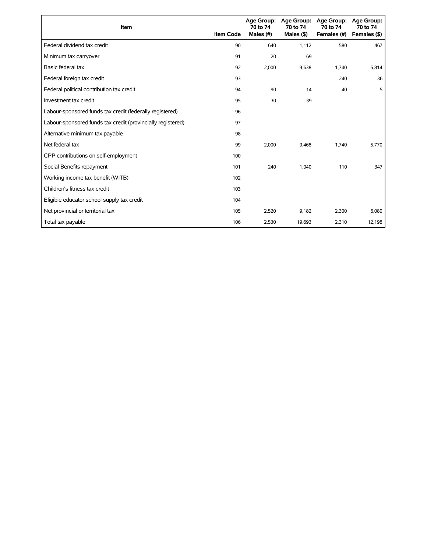| Item                                                        | <b>Item Code</b> | 70 to 74<br>Males (#) | Age Group: Age Group:<br>70 to 74<br>Males $($ \$) | <b>Age Group:</b><br>70 to 74<br>Females (#) | <b>Age Group:</b><br>70 to 74<br>Females (\$) |
|-------------------------------------------------------------|------------------|-----------------------|----------------------------------------------------|----------------------------------------------|-----------------------------------------------|
| Federal dividend tax credit                                 | 90               | 640                   | 1,112                                              | 580                                          | 467                                           |
| Minimum tax carryover                                       | 91               | 20                    | 69                                                 |                                              |                                               |
| Basic federal tax                                           | 92               | 2,000                 | 9,638                                              | 1,740                                        | 5,814                                         |
| Federal foreign tax credit                                  | 93               |                       |                                                    | 240                                          | 36                                            |
| Federal political contribution tax credit                   | 94               | 90                    | 14                                                 | 40                                           | 5                                             |
| Investment tax credit                                       | 95               | 30                    | 39                                                 |                                              |                                               |
| Labour-sponsored funds tax credit (federally registered)    | 96               |                       |                                                    |                                              |                                               |
| Labour-sponsored funds tax credit (provincially registered) | 97               |                       |                                                    |                                              |                                               |
| Alternative minimum tax payable                             | 98               |                       |                                                    |                                              |                                               |
| Net federal tax                                             | 99               | 2,000                 | 9,468                                              | 1.740                                        | 5,770                                         |
| CPP contributions on self-employment                        | 100              |                       |                                                    |                                              |                                               |
| Social Benefits repayment                                   | 101              | 240                   | 1,040                                              | 110                                          | 347                                           |
| Working income tax benefit (WITB)                           | 102              |                       |                                                    |                                              |                                               |
| Children's fitness tax credit                               | 103              |                       |                                                    |                                              |                                               |
| Eligible educator school supply tax credit                  | 104              |                       |                                                    |                                              |                                               |
| Net provincial or territorial tax                           | 105              | 2,520                 | 9,182                                              | 2,300                                        | 6,080                                         |
| Total tax payable                                           | 106              | 2,530                 | 19,693                                             | 2,310                                        | 12,198                                        |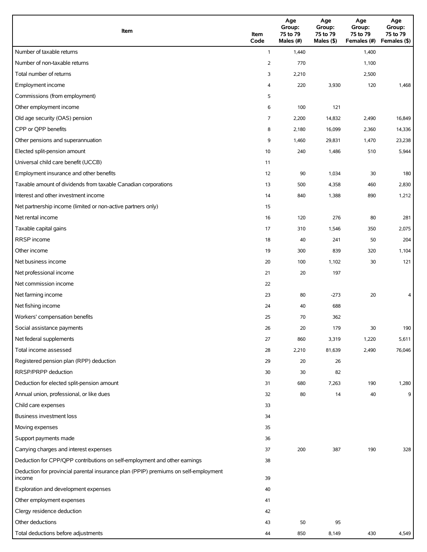| Item                                                                                          | Item<br>Code | Age<br>Group:<br>75 to 79<br>Males (#) | Age<br>Group:<br>75 to 79<br>Males (\$) | Age<br>Group:<br>75 to 79<br>Females (#) | Age<br>Group:<br>75 to 79<br>Females (\$) |
|-----------------------------------------------------------------------------------------------|--------------|----------------------------------------|-----------------------------------------|------------------------------------------|-------------------------------------------|
| Number of taxable returns                                                                     | $\mathbf{1}$ | 1,440                                  |                                         | 1,400                                    |                                           |
| Number of non-taxable returns                                                                 | 2            | 770                                    |                                         | 1,100                                    |                                           |
| Total number of returns                                                                       | 3            | 2,210                                  |                                         | 2,500                                    |                                           |
| Employment income                                                                             | 4            | 220                                    | 3,930                                   | 120                                      | 1,468                                     |
| Commissions (from employment)                                                                 | 5            |                                        |                                         |                                          |                                           |
| Other employment income                                                                       | 6            | 100                                    | 121                                     |                                          |                                           |
| Old age security (OAS) pension                                                                | 7            | 2,200                                  | 14,832                                  | 2,490                                    | 16,849                                    |
| CPP or QPP benefits                                                                           | 8            | 2,180                                  | 16,099                                  | 2,360                                    | 14,336                                    |
| Other pensions and superannuation                                                             | 9            | 1,460                                  | 29,831                                  | 1,470                                    | 23,238                                    |
| Elected split-pension amount                                                                  | 10           | 240                                    | 1,486                                   | 510                                      | 5,944                                     |
| Universal child care benefit (UCCB)                                                           | 11           |                                        |                                         |                                          |                                           |
| Employment insurance and other benefits                                                       | 12           | 90                                     | 1,034                                   | 30                                       | 180                                       |
| Taxable amount of dividends from taxable Canadian corporations                                | 13           | 500                                    | 4,358                                   | 460                                      | 2,830                                     |
| Interest and other investment income                                                          | 14           | 840                                    | 1,388                                   | 890                                      | 1,212                                     |
| Net partnership income (limited or non-active partners only)                                  | 15           |                                        |                                         |                                          |                                           |
| Net rental income                                                                             | 16           | 120                                    | 276                                     | 80                                       | 281                                       |
| Taxable capital gains                                                                         | 17           | 310                                    | 1,546                                   | 350                                      | 2,075                                     |
| RRSP income                                                                                   | 18           | 40                                     | 241                                     | 50                                       | 204                                       |
| Other income                                                                                  | 19           | 300                                    | 839                                     | 320                                      | 1,104                                     |
| Net business income                                                                           | 20           | 100                                    | 1,102                                   | 30                                       | 121                                       |
| Net professional income                                                                       | 21           | 20                                     | 197                                     |                                          |                                           |
| Net commission income                                                                         | 22           |                                        |                                         |                                          |                                           |
| Net farming income                                                                            | 23           | 80                                     | $-273$                                  | 20                                       | 4                                         |
| Net fishing income                                                                            | 24           | 40                                     | 688                                     |                                          |                                           |
| Workers' compensation benefits                                                                | 25           | 70                                     | 362                                     |                                          |                                           |
| Social assistance payments                                                                    | 26           | 20                                     | 179                                     | 30                                       | 190                                       |
| Net federal supplements                                                                       | 27           | 860                                    | 3,319                                   | 1,220                                    | 5,611                                     |
| Total income assessed                                                                         | 28           | 2,210                                  | 81,639                                  | 2,490                                    | 76,046                                    |
| Registered pension plan (RPP) deduction                                                       | 29           | 20                                     | 26                                      |                                          |                                           |
| RRSP/PRPP deduction                                                                           | 30           | 30                                     | 82                                      |                                          |                                           |
| Deduction for elected split-pension amount                                                    | 31           | 680                                    | 7,263                                   | 190                                      | 1,280                                     |
| Annual union, professional, or like dues                                                      | 32           | 80                                     | 14                                      | 40                                       | 9                                         |
| Child care expenses                                                                           | 33           |                                        |                                         |                                          |                                           |
| <b>Business investment loss</b>                                                               | 34           |                                        |                                         |                                          |                                           |
| Moving expenses                                                                               | 35           |                                        |                                         |                                          |                                           |
| Support payments made                                                                         | 36           |                                        |                                         |                                          |                                           |
| Carrying charges and interest expenses                                                        | 37           | 200                                    | 387                                     | 190                                      | 328                                       |
| Deduction for CPP/QPP contributions on self-employment and other earnings                     | 38           |                                        |                                         |                                          |                                           |
| Deduction for provincial parental insurance plan (PPIP) premiums on self-employment<br>income | 39           |                                        |                                         |                                          |                                           |
| Exploration and development expenses                                                          | 40           |                                        |                                         |                                          |                                           |
| Other employment expenses                                                                     | 41           |                                        |                                         |                                          |                                           |
| Clergy residence deduction                                                                    | 42           |                                        |                                         |                                          |                                           |
| Other deductions                                                                              | 43           | 50                                     | 95                                      |                                          |                                           |
| Total deductions before adjustments                                                           | 44           | 850                                    | 8,149                                   | 430                                      | 4,549                                     |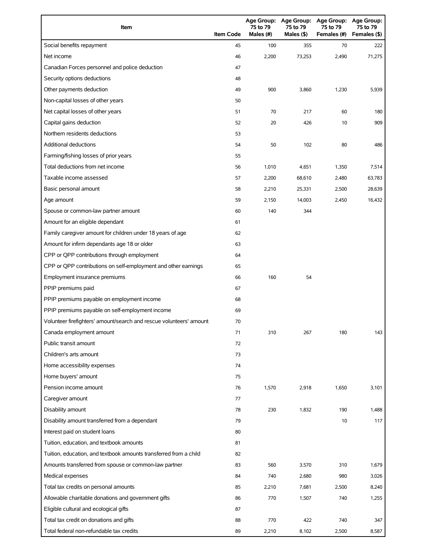| Item                                                                | <b>Item Code</b> | 75 to 79<br>Males $(H)$ | 75 to 79<br>Males (\$) | Age Group: Age Group: Age Group:<br>75 to 79<br>Females (#) | <b>Age Group:</b><br>75 to 79<br>Females (\$) |
|---------------------------------------------------------------------|------------------|-------------------------|------------------------|-------------------------------------------------------------|-----------------------------------------------|
| Social benefits repayment                                           | 45               | 100                     | 355                    | 70                                                          | 222                                           |
| Net income                                                          | 46               | 2,200                   | 73,253                 | 2,490                                                       | 71,275                                        |
| Canadian Forces personnel and police deduction                      | 47               |                         |                        |                                                             |                                               |
| Security options deductions                                         | 48               |                         |                        |                                                             |                                               |
| Other payments deduction                                            | 49               | 900                     | 3,860                  | 1,230                                                       | 5,939                                         |
| Non-capital losses of other years                                   | 50               |                         |                        |                                                             |                                               |
| Net capital losses of other years                                   | 51               | 70                      | 217                    | 60                                                          | 180                                           |
| Capital gains deduction                                             | 52               | 20                      | 426                    | 10                                                          | 909                                           |
| Northern residents deductions                                       | 53               |                         |                        |                                                             |                                               |
| Additional deductions                                               | 54               | 50                      | 102                    | 80                                                          | 486                                           |
| Farming/fishing losses of prior years                               | 55               |                         |                        |                                                             |                                               |
| Total deductions from net income                                    | 56               | 1,010                   | 4,651                  | 1,350                                                       | 7,514                                         |
| Taxable income assessed                                             | 57               | 2,200                   | 68,610                 | 2,480                                                       | 63,783                                        |
| Basic personal amount                                               | 58               | 2,210                   | 25,331                 | 2,500                                                       | 28,639                                        |
| Age amount                                                          | 59               | 2,150                   | 14,003                 | 2,450                                                       | 16,432                                        |
| Spouse or common-law partner amount                                 | 60               | 140                     | 344                    |                                                             |                                               |
| Amount for an eligible dependant                                    | 61               |                         |                        |                                                             |                                               |
| Family caregiver amount for children under 18 years of age          | 62               |                         |                        |                                                             |                                               |
| Amount for infirm dependants age 18 or older                        | 63               |                         |                        |                                                             |                                               |
| CPP or QPP contributions through employment                         | 64               |                         |                        |                                                             |                                               |
| CPP or QPP contributions on self-employment and other earnings      | 65               |                         |                        |                                                             |                                               |
| Employment insurance premiums                                       | 66               | 160                     | 54                     |                                                             |                                               |
| PPIP premiums paid                                                  | 67               |                         |                        |                                                             |                                               |
| PPIP premiums payable on employment income                          | 68               |                         |                        |                                                             |                                               |
| PPIP premiums payable on self-employment income                     | 69               |                         |                        |                                                             |                                               |
| Volunteer firefighters' amount/search and rescue volunteers' amount | 70               |                         |                        |                                                             |                                               |
| Canada employment amount                                            | 71               | 310                     | 267                    | 180                                                         | 143                                           |
| Public transit amount                                               | 72               |                         |                        |                                                             |                                               |
| Children's arts amount                                              | 73               |                         |                        |                                                             |                                               |
| Home accessibility expenses                                         | 74               |                         |                        |                                                             |                                               |
| Home buyers' amount                                                 | 75               |                         |                        |                                                             |                                               |
| Pension income amount                                               | 76               | 1,570                   | 2,918                  | 1,650                                                       | 3,101                                         |
| Caregiver amount                                                    | 77               |                         |                        |                                                             |                                               |
| Disability amount                                                   | 78               | 230                     | 1,832                  | 190                                                         | 1,488                                         |
| Disability amount transferred from a dependant                      | 79               |                         |                        | 10                                                          | 117                                           |
| Interest paid on student loans                                      | 80               |                         |                        |                                                             |                                               |
| Tuition, education, and textbook amounts                            | 81               |                         |                        |                                                             |                                               |
| Tuition, education, and textbook amounts transferred from a child   | 82               |                         |                        |                                                             |                                               |
| Amounts transferred from spouse or common-law partner               | 83               | 560                     | 3,570                  | 310                                                         | 1,679                                         |
| Medical expenses                                                    | 84               | 740                     | 2,680                  | 980                                                         | 3,026                                         |
| Total tax credits on personal amounts                               | 85               | 2,210                   | 7,681                  | 2,500                                                       | 8,240                                         |
| Allowable charitable donations and government gifts                 | 86               | 770                     | 1,507                  | 740                                                         | 1,255                                         |
| Eligible cultural and ecological gifts                              | 87               |                         |                        |                                                             |                                               |
| Total tax credit on donations and gifts                             | 88               | 770                     | 422                    | 740                                                         | 347                                           |
| Total federal non-refundable tax credits                            | 89               | 2,210                   | 8,102                  | 2,500                                                       | 8,587                                         |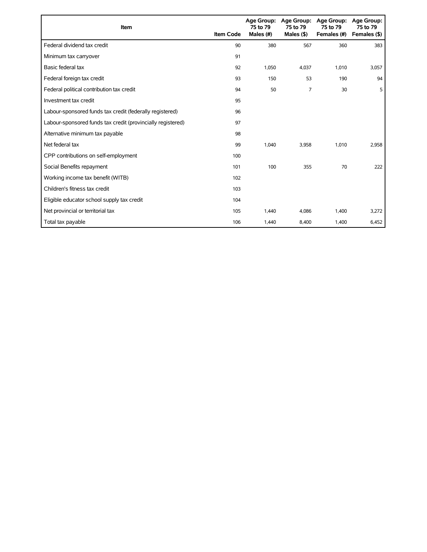| Item                                                        | <b>Item Code</b> | 75 to 79<br>Males (#) | Age Group: Age Group:<br>75 to 79<br>Males $($ \$ $)$ | <b>Age Group:</b><br>75 to 79<br>Females (#) | Age Group:<br>75 to 79<br>Females (\$) |
|-------------------------------------------------------------|------------------|-----------------------|-------------------------------------------------------|----------------------------------------------|----------------------------------------|
| Federal dividend tax credit                                 | 90               | 380                   | 567                                                   | 360                                          | 383                                    |
| Minimum tax carryover                                       | 91               |                       |                                                       |                                              |                                        |
| Basic federal tax                                           | 92               | 1,050                 | 4,037                                                 | 1,010                                        | 3,057                                  |
| Federal foreign tax credit                                  | 93               | 150                   | 53                                                    | 190                                          | 94                                     |
| Federal political contribution tax credit                   | 94               | 50                    | 7                                                     | 30                                           | 5                                      |
| Investment tax credit                                       | 95               |                       |                                                       |                                              |                                        |
| Labour-sponsored funds tax credit (federally registered)    | 96               |                       |                                                       |                                              |                                        |
| Labour-sponsored funds tax credit (provincially registered) | 97               |                       |                                                       |                                              |                                        |
| Alternative minimum tax payable                             | 98               |                       |                                                       |                                              |                                        |
| Net federal tax                                             | 99               | 1,040                 | 3,958                                                 | 1,010                                        | 2,958                                  |
| CPP contributions on self-employment                        | 100              |                       |                                                       |                                              |                                        |
| Social Benefits repayment                                   | 101              | 100                   | 355                                                   | 70                                           | 222                                    |
| Working income tax benefit (WITB)                           | 102              |                       |                                                       |                                              |                                        |
| Children's fitness tax credit                               | 103              |                       |                                                       |                                              |                                        |
| Eligible educator school supply tax credit                  | 104              |                       |                                                       |                                              |                                        |
| Net provincial or territorial tax                           | 105              | 1.440                 | 4,086                                                 | 1,400                                        | 3,272                                  |
| Total tax payable                                           | 106              | 1,440                 | 8,400                                                 | 1,400                                        | 6,452                                  |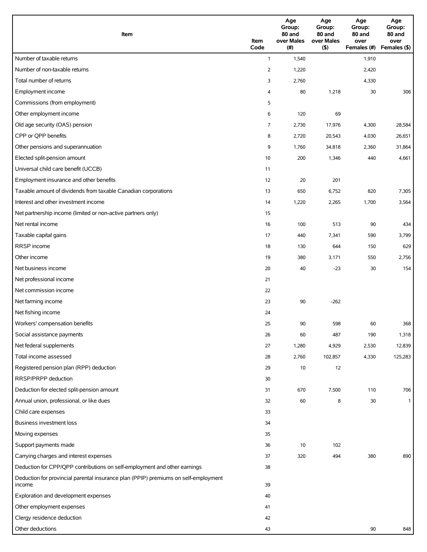| Item                                                                                | Item<br>Code   | Age<br>Group:<br>80 and<br>over Males<br>(# ) | Age<br>Group:<br>80 and<br>over Males<br>(5) | Age<br>Group:<br>80 and<br>over<br>Females (#) | Age<br>Group:<br>80 and<br>over<br>Females (\$) |
|-------------------------------------------------------------------------------------|----------------|-----------------------------------------------|----------------------------------------------|------------------------------------------------|-------------------------------------------------|
| Number of taxable returns                                                           | $\mathbf{1}$   | 1,540                                         |                                              | 1,910                                          |                                                 |
| Number of non-taxable returns                                                       | $\overline{2}$ | 1,220                                         |                                              | 2,420                                          |                                                 |
| Total number of returns                                                             | 3              | 2,760                                         |                                              | 4,330                                          |                                                 |
| Employment income                                                                   | 4              | 80                                            | 1,218                                        | 30                                             | 306                                             |
| Commissions (from employment)                                                       | 5              |                                               |                                              |                                                |                                                 |
| Other employment income                                                             | 6              | 120                                           | 69                                           |                                                |                                                 |
| Old age security (OAS) pension                                                      | 7              | 2,730                                         | 17,976                                       | 4,300                                          | 28,584                                          |
| CPP or QPP benefits                                                                 | 8              | 2,720                                         | 20,543                                       | 4,030                                          | 26,651                                          |
| Other pensions and superannuation                                                   | 9              | 1,760                                         | 34,818                                       | 2,360                                          | 31,864                                          |
| Elected split-pension amount                                                        | 10             | 200                                           | 1,346                                        | 440                                            | 4,661                                           |
| Universal child care benefit (UCCB)                                                 | 11             |                                               |                                              |                                                |                                                 |
| Employment insurance and other benefits                                             | 12             | 20                                            | 201                                          |                                                |                                                 |
| Taxable amount of dividends from taxable Canadian corporations                      | 13             | 650                                           | 6,752                                        | 820                                            | 7,305                                           |
| Interest and other investment income                                                | 14             | 1,220                                         | 2,265                                        | 1,700                                          | 3,564                                           |
| Net partnership income (limited or non-active partners only)                        | 15             |                                               |                                              |                                                |                                                 |
| Net rental income                                                                   | 16             | 100                                           | 513                                          | 90                                             | 434                                             |
| Taxable capital gains                                                               | 17             | 440                                           | 7,341                                        | 590                                            | 3,799                                           |
| RRSP income                                                                         | 18             | 130                                           | 644                                          | 150                                            | 629                                             |
| Other income                                                                        | 19             | 380                                           | 3,171                                        | 550                                            | 2,756                                           |
| Net business income                                                                 | 20             | 40                                            | $-23$                                        | 30                                             | 154                                             |
| Net professional income                                                             | 21             |                                               |                                              |                                                |                                                 |
| Net commission income                                                               | 22             |                                               |                                              |                                                |                                                 |
| Net farming income                                                                  | 23             | 90                                            | $-262$                                       |                                                |                                                 |
| Net fishing income                                                                  | 24             |                                               |                                              |                                                |                                                 |
| Workers' compensation benefits                                                      | 25             | 90                                            | 598                                          | 60                                             | 368                                             |
| Social assistance payments                                                          | 26             | 60                                            | 487                                          | 190                                            | 1,318                                           |
| Net federal supplements                                                             | 27             | 1,280                                         | 4,929                                        | 2,530                                          | 12,839                                          |
| Total income assessed                                                               | 28             | 2,760                                         | 102,857                                      | 4,330                                          | 125,283                                         |
| Registered pension plan (RPP) deduction                                             | 29             | 10                                            | 12                                           |                                                |                                                 |
| RRSP/PRPP deduction                                                                 | 30             |                                               |                                              |                                                |                                                 |
| Deduction for elected split-pension amount                                          | 31             | 670                                           | 7,500                                        | 110                                            | 706                                             |
| Annual union, professional, or like dues                                            | 32             | 60                                            | 8                                            | 30                                             | $\mathbf{1}$                                    |
| Child care expenses                                                                 | 33             |                                               |                                              |                                                |                                                 |
| Business investment loss                                                            | 34             |                                               |                                              |                                                |                                                 |
| Moving expenses                                                                     | 35             |                                               |                                              |                                                |                                                 |
| Support payments made                                                               | 36             | 10                                            | 102                                          |                                                |                                                 |
| Carrying charges and interest expenses                                              | 37             | 320                                           | 494                                          | 380                                            | 890                                             |
| Deduction for CPP/QPP contributions on self-employment and other earnings           | 38             |                                               |                                              |                                                |                                                 |
| Deduction for provincial parental insurance plan (PPIP) premiums on self-employment |                |                                               |                                              |                                                |                                                 |
| income                                                                              | 39             |                                               |                                              |                                                |                                                 |
| Exploration and development expenses                                                | 40             |                                               |                                              |                                                |                                                 |
| Other employment expenses                                                           | 41             |                                               |                                              |                                                |                                                 |
| Clergy residence deduction                                                          | 42             |                                               |                                              |                                                |                                                 |
| Other deductions                                                                    | 43             |                                               |                                              | 90                                             | 848                                             |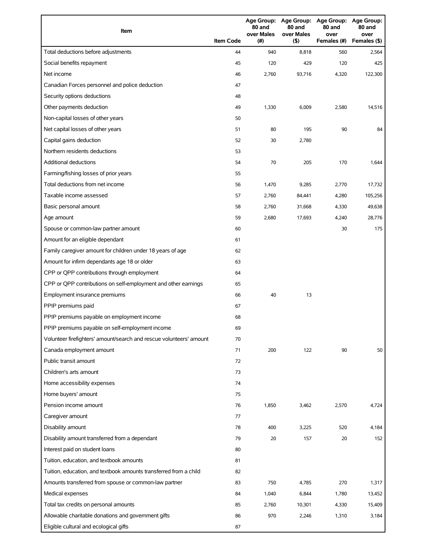| Item                                                                | <b>Item Code</b> | 80 and<br>over Males<br>(# ) | 80 and<br>over Males<br>(5) | Age Group: Age Group: Age Group: Age Group:<br>80 and<br>over<br>Females (#) | 80 and<br>over<br>Females (\$) |
|---------------------------------------------------------------------|------------------|------------------------------|-----------------------------|------------------------------------------------------------------------------|--------------------------------|
| Total deductions before adjustments                                 | 44               | 940                          | 8,818                       | 560                                                                          | 2,564                          |
| Social benefits repayment                                           | 45               | 120                          | 429                         | 120                                                                          | 425                            |
| Net income                                                          | 46               | 2,760                        | 93,716                      | 4,320                                                                        | 122,300                        |
| Canadian Forces personnel and police deduction                      | 47               |                              |                             |                                                                              |                                |
| Security options deductions                                         | 48               |                              |                             |                                                                              |                                |
| Other payments deduction                                            | 49               | 1,330                        | 6,009                       | 2,580                                                                        | 14,516                         |
| Non-capital losses of other years                                   | 50               |                              |                             |                                                                              |                                |
| Net capital losses of other years                                   | 51               | 80                           | 195                         | 90                                                                           | 84                             |
| Capital gains deduction                                             | 52               | 30                           | 2,780                       |                                                                              |                                |
| Northern residents deductions                                       | 53               |                              |                             |                                                                              |                                |
| Additional deductions                                               | 54               | 70                           | 205                         | 170                                                                          | 1,644                          |
| Farming/fishing losses of prior years                               | 55               |                              |                             |                                                                              |                                |
| Total deductions from net income                                    | 56               | 1,470                        | 9,285                       | 2,770                                                                        | 17,732                         |
| Taxable income assessed                                             | 57               | 2,760                        | 84,441                      | 4,280                                                                        | 105,256                        |
| Basic personal amount                                               | 58               | 2,760                        | 31,668                      | 4,330                                                                        | 49,638                         |
| Age amount                                                          | 59               | 2,680                        | 17,693                      | 4,240                                                                        | 28,776                         |
| Spouse or common-law partner amount                                 | 60               |                              |                             | 30                                                                           | 175                            |
| Amount for an eligible dependant                                    | 61               |                              |                             |                                                                              |                                |
| Family caregiver amount for children under 18 years of age          | 62               |                              |                             |                                                                              |                                |
| Amount for infirm dependants age 18 or older                        | 63               |                              |                             |                                                                              |                                |
| CPP or QPP contributions through employment                         | 64               |                              |                             |                                                                              |                                |
| CPP or QPP contributions on self-employment and other earnings      | 65               |                              |                             |                                                                              |                                |
| Employment insurance premiums                                       | 66               | 40                           | 13                          |                                                                              |                                |
| PPIP premiums paid                                                  | 67               |                              |                             |                                                                              |                                |
| PPIP premiums payable on employment income                          | 68               |                              |                             |                                                                              |                                |
| PPIP premiums payable on self-employment income                     | 69               |                              |                             |                                                                              |                                |
| Volunteer firefighters' amount/search and rescue volunteers' amount | 70               |                              |                             |                                                                              |                                |
| Canada employment amount                                            | 71               | 200                          | 122                         | 90                                                                           | 50                             |
| Public transit amount                                               | 72               |                              |                             |                                                                              |                                |
| Children's arts amount                                              | 73               |                              |                             |                                                                              |                                |
| Home accessibility expenses                                         | 74               |                              |                             |                                                                              |                                |
| Home buyers' amount                                                 | 75               |                              |                             |                                                                              |                                |
| Pension income amount                                               | 76               | 1,850                        | 3,462                       | 2,570                                                                        | 4,724                          |
| Caregiver amount                                                    | 77               |                              |                             |                                                                              |                                |
| Disability amount                                                   | 78               | 400                          | 3,225                       | 520                                                                          | 4,184                          |
| Disability amount transferred from a dependant                      | 79               | 20                           | 157                         | 20                                                                           | 152                            |
| Interest paid on student loans                                      | 80               |                              |                             |                                                                              |                                |
| Tuition, education, and textbook amounts                            | 81               |                              |                             |                                                                              |                                |
| Tuition, education, and textbook amounts transferred from a child   | 82               |                              |                             |                                                                              |                                |
| Amounts transferred from spouse or common-law partner               | 83               | 750                          | 4,785                       | 270                                                                          | 1,317                          |
| Medical expenses                                                    | 84               | 1,040                        | 6,844                       | 1,780                                                                        | 13,452                         |
| Total tax credits on personal amounts                               | 85               | 2,760                        | 10,301                      | 4,330                                                                        | 15,409                         |
| Allowable charitable donations and government gifts                 | 86               | 970                          | 2,246                       | 1,310                                                                        | 3,184                          |
| Eligible cultural and ecological gifts                              | 87               |                              |                             |                                                                              |                                |